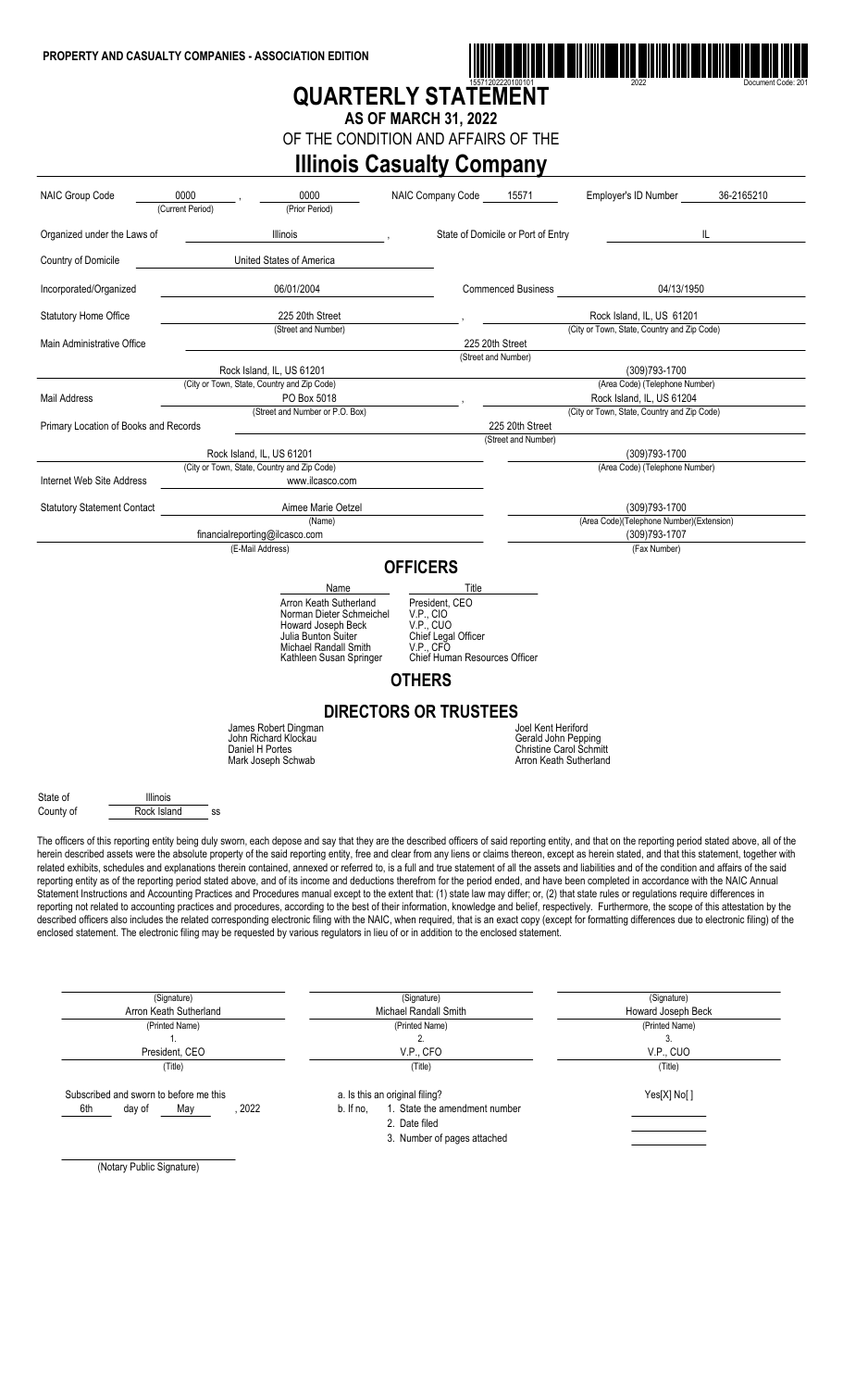

# **QUARTERLY STATEMENT**

**AS OF MARCH 31, 2022** OF THE CONDITION AND AFFAIRS OF THE

### **Illinois Casualty Company**

| <b>NAIC Group Code</b>                           | 0000<br>0000<br>(Prior Period)<br>(Current Period)                                                                                                                                                                                                                                                                                                                                                                                                                                                                                                                                                                                                                                                                                                                                                                                                                                                                                                                                                                                                                                                                                                                                                                                                                                                                                                                                                                                                                                                                                                         | NAIC Company Code                                                                                                      | 15571                                                                           | Employer's ID Number                                        | 36-2165210 |
|--------------------------------------------------|------------------------------------------------------------------------------------------------------------------------------------------------------------------------------------------------------------------------------------------------------------------------------------------------------------------------------------------------------------------------------------------------------------------------------------------------------------------------------------------------------------------------------------------------------------------------------------------------------------------------------------------------------------------------------------------------------------------------------------------------------------------------------------------------------------------------------------------------------------------------------------------------------------------------------------------------------------------------------------------------------------------------------------------------------------------------------------------------------------------------------------------------------------------------------------------------------------------------------------------------------------------------------------------------------------------------------------------------------------------------------------------------------------------------------------------------------------------------------------------------------------------------------------------------------------|------------------------------------------------------------------------------------------------------------------------|---------------------------------------------------------------------------------|-------------------------------------------------------------|------------|
| Organized under the Laws of                      | Illinois                                                                                                                                                                                                                                                                                                                                                                                                                                                                                                                                                                                                                                                                                                                                                                                                                                                                                                                                                                                                                                                                                                                                                                                                                                                                                                                                                                                                                                                                                                                                                   |                                                                                                                        | State of Domicile or Port of Entry                                              |                                                             | IL.        |
| Country of Domicile                              | United States of America                                                                                                                                                                                                                                                                                                                                                                                                                                                                                                                                                                                                                                                                                                                                                                                                                                                                                                                                                                                                                                                                                                                                                                                                                                                                                                                                                                                                                                                                                                                                   |                                                                                                                        |                                                                                 |                                                             |            |
| Incorporated/Organized                           | 06/01/2004                                                                                                                                                                                                                                                                                                                                                                                                                                                                                                                                                                                                                                                                                                                                                                                                                                                                                                                                                                                                                                                                                                                                                                                                                                                                                                                                                                                                                                                                                                                                                 |                                                                                                                        | <b>Commenced Business</b>                                                       | 04/13/1950                                                  |            |
| <b>Statutory Home Office</b>                     | 225 20th Street                                                                                                                                                                                                                                                                                                                                                                                                                                                                                                                                                                                                                                                                                                                                                                                                                                                                                                                                                                                                                                                                                                                                                                                                                                                                                                                                                                                                                                                                                                                                            |                                                                                                                        |                                                                                 | Rock Island, IL. US 61201                                   |            |
| Main Administrative Office                       | (Street and Number)                                                                                                                                                                                                                                                                                                                                                                                                                                                                                                                                                                                                                                                                                                                                                                                                                                                                                                                                                                                                                                                                                                                                                                                                                                                                                                                                                                                                                                                                                                                                        |                                                                                                                        | 225 20th Street                                                                 | (City or Town, State, Country and Zip Code)                 |            |
|                                                  |                                                                                                                                                                                                                                                                                                                                                                                                                                                                                                                                                                                                                                                                                                                                                                                                                                                                                                                                                                                                                                                                                                                                                                                                                                                                                                                                                                                                                                                                                                                                                            |                                                                                                                        | (Street and Number)                                                             |                                                             |            |
|                                                  | Rock Island, IL, US 61201                                                                                                                                                                                                                                                                                                                                                                                                                                                                                                                                                                                                                                                                                                                                                                                                                                                                                                                                                                                                                                                                                                                                                                                                                                                                                                                                                                                                                                                                                                                                  |                                                                                                                        |                                                                                 | (309)793-1700                                               |            |
| <b>Mail Address</b>                              | (City or Town, State, Country and Zip Code)<br>PO Box 5018                                                                                                                                                                                                                                                                                                                                                                                                                                                                                                                                                                                                                                                                                                                                                                                                                                                                                                                                                                                                                                                                                                                                                                                                                                                                                                                                                                                                                                                                                                 |                                                                                                                        |                                                                                 | (Area Code) (Telephone Number)<br>Rock Island, IL, US 61204 |            |
|                                                  | (Street and Number or P.O. Box)                                                                                                                                                                                                                                                                                                                                                                                                                                                                                                                                                                                                                                                                                                                                                                                                                                                                                                                                                                                                                                                                                                                                                                                                                                                                                                                                                                                                                                                                                                                            |                                                                                                                        |                                                                                 | (City or Town, State, Country and Zip Code)                 |            |
| Primary Location of Books and Records            |                                                                                                                                                                                                                                                                                                                                                                                                                                                                                                                                                                                                                                                                                                                                                                                                                                                                                                                                                                                                                                                                                                                                                                                                                                                                                                                                                                                                                                                                                                                                                            |                                                                                                                        | 225 20th Street                                                                 |                                                             |            |
|                                                  | Rock Island, IL, US 61201                                                                                                                                                                                                                                                                                                                                                                                                                                                                                                                                                                                                                                                                                                                                                                                                                                                                                                                                                                                                                                                                                                                                                                                                                                                                                                                                                                                                                                                                                                                                  |                                                                                                                        | (Street and Number)                                                             | (309)793-1700                                               |            |
|                                                  | (City or Town, State, Country and Zip Code)                                                                                                                                                                                                                                                                                                                                                                                                                                                                                                                                                                                                                                                                                                                                                                                                                                                                                                                                                                                                                                                                                                                                                                                                                                                                                                                                                                                                                                                                                                                |                                                                                                                        |                                                                                 | (Area Code) (Telephone Number)                              |            |
| Internet Web Site Address                        | www.ilcasco.com                                                                                                                                                                                                                                                                                                                                                                                                                                                                                                                                                                                                                                                                                                                                                                                                                                                                                                                                                                                                                                                                                                                                                                                                                                                                                                                                                                                                                                                                                                                                            |                                                                                                                        |                                                                                 |                                                             |            |
| <b>Statutory Statement Contact</b>               | Aimee Marie Oetzel                                                                                                                                                                                                                                                                                                                                                                                                                                                                                                                                                                                                                                                                                                                                                                                                                                                                                                                                                                                                                                                                                                                                                                                                                                                                                                                                                                                                                                                                                                                                         |                                                                                                                        |                                                                                 | (309)793-1700                                               |            |
|                                                  | (Name)<br>financialreporting@ilcasco.com                                                                                                                                                                                                                                                                                                                                                                                                                                                                                                                                                                                                                                                                                                                                                                                                                                                                                                                                                                                                                                                                                                                                                                                                                                                                                                                                                                                                                                                                                                                   |                                                                                                                        |                                                                                 | (Area Code)(Telephone Number)(Extension)<br>(309)793-1707   |            |
|                                                  | (E-Mail Address)                                                                                                                                                                                                                                                                                                                                                                                                                                                                                                                                                                                                                                                                                                                                                                                                                                                                                                                                                                                                                                                                                                                                                                                                                                                                                                                                                                                                                                                                                                                                           |                                                                                                                        |                                                                                 | (Fax Number)                                                |            |
|                                                  |                                                                                                                                                                                                                                                                                                                                                                                                                                                                                                                                                                                                                                                                                                                                                                                                                                                                                                                                                                                                                                                                                                                                                                                                                                                                                                                                                                                                                                                                                                                                                            | <b>OFFICERS</b>                                                                                                        |                                                                                 |                                                             |            |
|                                                  | Name<br>Arron Keath Sutherland<br>Norman Dieter Schmeichel<br>Howard Joseph Beck<br>Julia Bunton Suiter<br><b>Michael Randall Smith</b><br>Kathleen Susan Springer                                                                                                                                                                                                                                                                                                                                                                                                                                                                                                                                                                                                                                                                                                                                                                                                                                                                                                                                                                                                                                                                                                                                                                                                                                                                                                                                                                                         | Title<br>President, CEO<br>V.P., CIO<br>V.P., CUO<br>Chief Legal Officer<br>V.P., CFO<br>Chief Human Resources Officer |                                                                                 |                                                             |            |
|                                                  |                                                                                                                                                                                                                                                                                                                                                                                                                                                                                                                                                                                                                                                                                                                                                                                                                                                                                                                                                                                                                                                                                                                                                                                                                                                                                                                                                                                                                                                                                                                                                            | <b>OTHERS</b>                                                                                                          |                                                                                 |                                                             |            |
|                                                  | James Robert Dingman                                                                                                                                                                                                                                                                                                                                                                                                                                                                                                                                                                                                                                                                                                                                                                                                                                                                                                                                                                                                                                                                                                                                                                                                                                                                                                                                                                                                                                                                                                                                       | <b>DIRECTORS OR TRUSTEES</b>                                                                                           | Joel Kent Heriford                                                              |                                                             |            |
|                                                  | John Richard Klockau<br>Daniel H Portes<br>Mark Joseph Schwab                                                                                                                                                                                                                                                                                                                                                                                                                                                                                                                                                                                                                                                                                                                                                                                                                                                                                                                                                                                                                                                                                                                                                                                                                                                                                                                                                                                                                                                                                              |                                                                                                                        | Gerald John Pepping<br><b>Christine Carol Schmitt</b><br>Arron Keath Sutherland |                                                             |            |
| State of<br>Illinois<br>Rock Island<br>County of | SS                                                                                                                                                                                                                                                                                                                                                                                                                                                                                                                                                                                                                                                                                                                                                                                                                                                                                                                                                                                                                                                                                                                                                                                                                                                                                                                                                                                                                                                                                                                                                         |                                                                                                                        |                                                                                 |                                                             |            |
|                                                  | The officers of this reporting entity being duly sworn, each depose and say that they are the described officers of said reporting entity, and that on the reporting period stated above, all of the<br>herein described assets were the absolute property of the said reporting entity, free and clear from any liens or claims thereon, except as herein stated, and that this statement, together with<br>related exhibits, schedules and explanations therein contained, annexed or referred to, is a full and true statement of all the assets and liabilities and of the condition and affairs of the said<br>reporting entity as of the reporting period stated above, and of its income and deductions therefrom for the period ended, and have been completed in accordance with the NAIC Annual<br>Statement Instructions and Accounting Practices and Procedures manual except to the extent that: (1) state law may differ; or, (2) that state rules or regulations require differences in<br>reporting not related to accounting practices and procedures, according to the best of their information, knowledge and belief, respectively. Furthermore, the scope of this attestation by the<br>described officers also includes the related corresponding electronic filing with the NAIC, when required, that is an exact copy (except for formatting differences due to electronic filing) of the<br>enclosed statement. The electronic filing may be requested by various regulators in lieu of or in addition to the enclosed statement. |                                                                                                                        |                                                                                 |                                                             |            |
|                                                  | (Signature)<br>Arron Keath Sutherland                                                                                                                                                                                                                                                                                                                                                                                                                                                                                                                                                                                                                                                                                                                                                                                                                                                                                                                                                                                                                                                                                                                                                                                                                                                                                                                                                                                                                                                                                                                      | (Signature)<br>Michael Randall Smith                                                                                   |                                                                                 | (Signature)<br>Howard Joseph Beck                           |            |
|                                                  | (Printed Name)                                                                                                                                                                                                                                                                                                                                                                                                                                                                                                                                                                                                                                                                                                                                                                                                                                                                                                                                                                                                                                                                                                                                                                                                                                                                                                                                                                                                                                                                                                                                             | (Printed Name)                                                                                                         |                                                                                 | (Printed Name)                                              |            |
|                                                  | 1.                                                                                                                                                                                                                                                                                                                                                                                                                                                                                                                                                                                                                                                                                                                                                                                                                                                                                                                                                                                                                                                                                                                                                                                                                                                                                                                                                                                                                                                                                                                                                         | 2.                                                                                                                     |                                                                                 | 3.                                                          |            |
|                                                  | President, CEO<br>(Title)                                                                                                                                                                                                                                                                                                                                                                                                                                                                                                                                                                                                                                                                                                                                                                                                                                                                                                                                                                                                                                                                                                                                                                                                                                                                                                                                                                                                                                                                                                                                  | V.P., CFO<br>(Title)                                                                                                   |                                                                                 | V.P., CUO<br>(Title)                                        |            |
|                                                  |                                                                                                                                                                                                                                                                                                                                                                                                                                                                                                                                                                                                                                                                                                                                                                                                                                                                                                                                                                                                                                                                                                                                                                                                                                                                                                                                                                                                                                                                                                                                                            |                                                                                                                        |                                                                                 |                                                             |            |
| Subscribed and sworn to before me this           |                                                                                                                                                                                                                                                                                                                                                                                                                                                                                                                                                                                                                                                                                                                                                                                                                                                                                                                                                                                                                                                                                                                                                                                                                                                                                                                                                                                                                                                                                                                                                            | a. Is this an original filing?                                                                                         |                                                                                 | Yes[X] No[]                                                 |            |

2. Date filed

3. Number of pages attached

(Notary Public Signature)

6th day of May , 2022 b. If no, 1. State the amendment number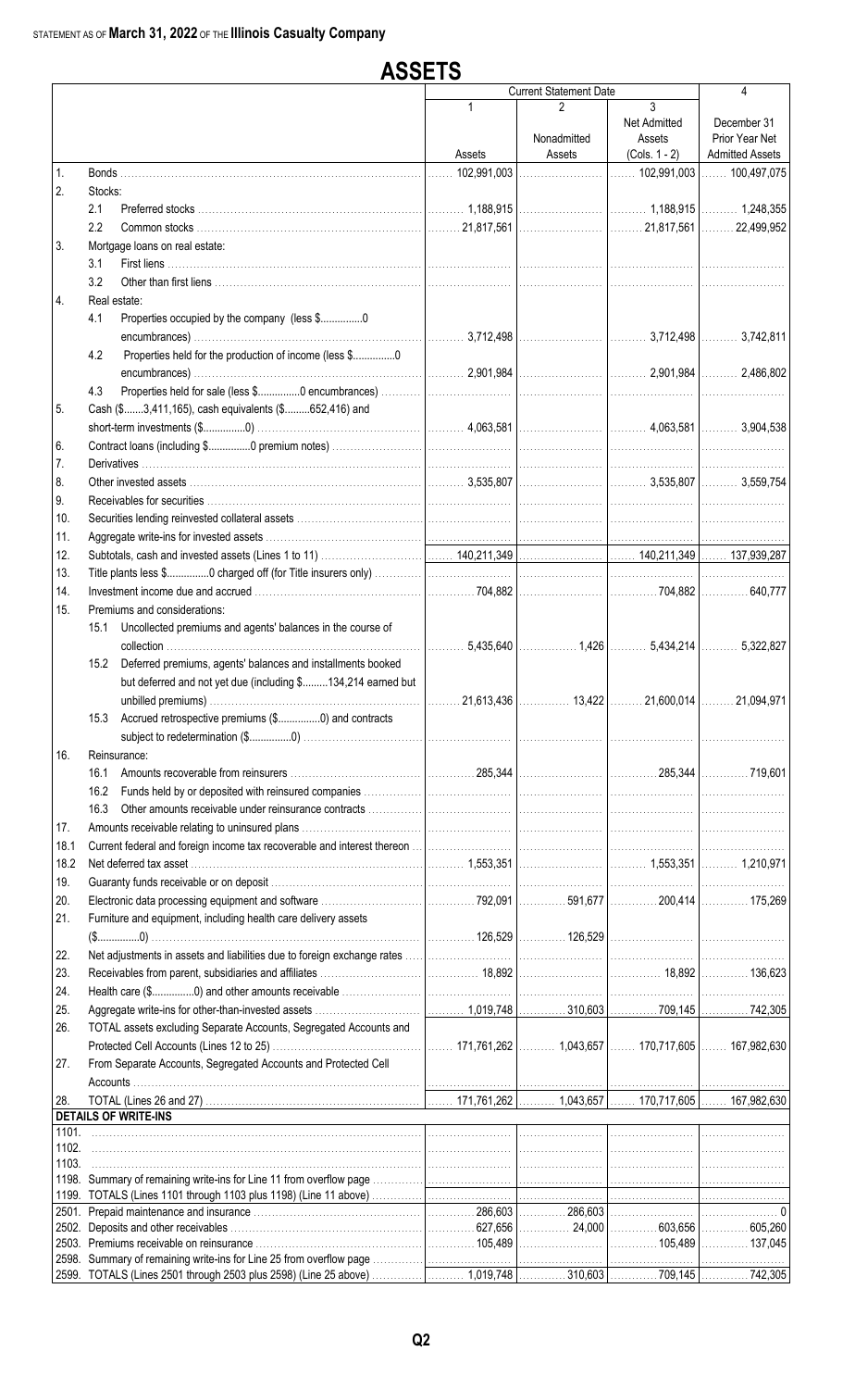#### **ASSETS** Current Statement Date 4 1 2 3 Net Admitted December 31 Nonadmitted | Assets | Prior Year Net Assets | Assets | (Cols. 1 - 2) | Admitted Assets 1. Bonds ……………………………………………………………………………… |…… 102,991,003 |…………………… |……. 102,991,003 |……. 100,497,075 2. Stocks: 2.1 Preferred stocks . . . . . . . . . . . . . . . . . . . . . . . . . . . . . . . . . . . . . . . . . . . . . . . . . . . . . . . . . . . . . . . . . . . . . . . . 1,188,915 . . . . . . . . . . . . . . . . . . . . . . . . . . . . . . . . . 1,188,915 . . . . . . . . . . 1,248,355 2.2 Common stocks . . . . . . . . . . . . . . . . . . . . . . . . . . . . . . . . . . . . . . . . . . . . . . . . . . . . . . . . . . . . . . . . . . . . . . . 21,817,561 . . . . . . . . . . . . . . . . . . . . . . . . . . . . . . . . 21,817,561 . . . . . . . . . 22,499,952 3. Mortgage loans on real estate: 3.1 First liens ............. 3.2 Other than first liens .......................... 4. Real estate: 4.1 Properties occupied by the company (less \$................0 encumbrances) . . . . . . . . . . . . . . . . . . . . . . . . . . . . . . . . . . . . . . . . . . . . . . . . . . . . . . . . . . . . . . . . . . . . . . . . . 3,712,498 . . . . . . . . . . . . . . . . . . . . . . . . . . . . . . . . . 3,712,498 . . . . . . . . . . 3,742,811 4.2 Properties held for the production of income (less \$.................0 encumbrances) . . . . . . . . . . . . . . . . . . . . . . . . . . . . . . . . . . . . . . . . . . . . . . . . . . . . . . . . . . . . . . . . . . . . . . . . . 2,901,984 . . . . . . . . . . . . . . . . . . . . . . . . . . . . . . . . . 2,901,984 . . . . . . . . . . 2,486,802 4.3 Properties held for sale (less \$................0 encumbrances). 5. Cash (\$.......3,411,165), cash equivalents (\$.........652,416) and short-term investments (\$...............0) . . . . . . . . . . . . . . . . . . . . . . . . . . . . . . . . . . . . . . . . . . . . . . . . . . . . . . . 4,063,581 . . . . . . . . . . . . . . . . . . . . . . . . . . . . . . . . . 4,063,581 . . . . . . . . . . 3,904,538 6. Contract loans (including \$................0 premium notes)... 7. Derivatives . . . . . . . . . . . . . . . . . . . . . . . . . . . . . . . . . . . . . . . . . . . . . . . . . . . . . . . . . . . . . . . . . . . . . . . . . . . . . . . . . . . . . . . . . . . . . . . . . . . . . . . . . . . . . . . . . . . . . . . . . . . . . . . . . . . . . . . . . . . . . . . . . . . . . . . . . . . . . . . . . . . . . . . . . 8. Other invested assets . . . . . . . . . . . . . . . . . . . . . . . . . . . . . . . . . . . . . . . . . . . . . . . . . . . . . . . . . . . . . . . . . . . . . . . . . . 3,535,807 . . . . . . . . . . . . . . . . . . . . . . . . . . . . . . . . . 3,535,807 . . . . . . . . . . 3,559,754 9. Receivables for securities... 10. Securities lending reinvested collateral assets 11. Aggregate write-ins for invested assets .. 12. Subtotals, cash and invested assets (Lines 1 to 11) . . . . . . . . . . . . . . . . . . . . . . . . . . . . . . . . . . . 140,211,349 . . . . . . . . . . . . . . . . . . . . . . . . . . . . . . 140,211,349 . . . . . . . 137,939,287 13. Title plants less \$................0 charged off (for Title insurers only) 14. Investment income due and accrued . . . . . . . . . . . . . . . . . . . . . . . . . . . . . . . . . . . . . . . . . . . . . . . . . . . . . . . . . . . 704,882 . . . . . . . . . . . . . . . . . . . . . . . . . . . . . . . . . . . . 704,882 . . . . . . . . . . . . . 640,777 15. Premiums and considerations: 15.1 Uncollected premiums and agents' balances in the course of collection . . . . . . . . . . . . . . . . . . . . . . . . . . . . . . . . . . . . . . . . . . . . . . . . . . . . . . . . . . . . . . . . . . . . . . . . . . . . . . . . 5,435,640 . . . . . . . . . . . . . . . . 1,426 . . . . . . . . . . 5,434,214 . . . . . . . . . . 5,322,827 15.2 Deferred premiums, agents' balances and installments booked but deferred and not yet due (including \$.........134,214 earned but unbilled premiums) . . . . . . . . . . . . . . . . . . . . . . . . . . . . . . . . . . . . . . . . . . . . . . . . . . . . . . . . . . . . . . . . . . . 21,613,436 . . . . . . . . . . . . . . 13,422 . . . . . . . . . 21,600,014 . . . . . . . . . 21,094,971 15.3 Accrued retrospective premiums (\$...............0) and contracts subject to redetermination (\$...............0) . . . . . . . . . . . . . . . . . . . . . . . . . . . . . . . . . . . . . . . . . . . . . . . . . . . . . . . . . . . . . . . . . . . . . . . . . . . . . . . . . . . . . . . . . . . . . . . . . . . . . . . . . . . . . . . . . . . . . . . . . . . . . 16. Reinsurance: 16.1 Amounts recoverable from reinsurers . . . . . . . . . . . . . . . . . . . . . . . . . . . . . . . . . . . . . . . . . . . . . . . . . 285,344 . . . . . . . . . . . . . . . . . . . . . . . . . . . . . . . . . . . . 285,344 . . . . . . . . . . . . . 719,601 16.2 Funds held by or deposited with reinsured companies 16.3 Other amounts receivable under reinsurance contracts 17. Amounts receivable relating to uninsured plans. 18.1 Current federal and foreign income tax recoverable and interest the 1.553.351 1.000 1.553.351 1.000 1.553.351 1.000 1.553.351 1.000 1.553.351 1.000 1.553.351 1.000 1.553.351 1.000 1.553.351 1.000 1.553.351 1.000 1.553.351 1.000 1.553.351 1.000 1.553.351 1.000 1.553.351 1.000 1.000 1.000 1. 19. Guaranty funds receivable or on deposit .. 20. Electronic data processing equipment and software . . . . . . . . . . . . . . . . . . . . . . . . . . . . . . . . . . . . . . . . . 792,091 . . . . . . . . . . . . . 591,677 . . . . . . . . . . . . . 200,414 . . . . . . . . . . . . . 175,269 21. Furniture and equipment, including health care delivery assets (\$...............0) . . . . . . . . . . . . . . . . . . . . . . . . . . . . . . . . . . . . . . . . . . . . . . . . . . . . . . . . . . . . . . . . . . . . . . . . . . . . . . . . . . . . . . . 126,529 . . . . . . . . . . . . . 126,529 . . . . . . . . . . . . . . . . . . . . . . . . . . . . . . . . . . . . . . . . . . . . . . 22. Net adjustments in assets and liabilities due to foreign exchange rates . . . . . . . . . . . . . . . . . . . . . . . . . . . . . . . . . . . . . . . . . . . . . . . . . . . . . . . . . . . . . . . . . . . . . . . . . . . . . . . . . . . . . . . . . . . . . . . . . 23. Receivables from parent, subsidiaries and affiliates . . . . . . . . . . . . . . . . . . . . . . . . . . . . . . . . . . . . . . . . . . 18,892 . . . . . . . . . . . . . . . . . . . . . . . . . . . . . . . . . . . . . 18,892 . . . . . . . . . . . . . 136,623 24. Health care (\$................0) and other amounts receivable 25. Aggregate write-ins for other-than-invested assets . . . . . . . . . . . . . . . . . . . . . . . . . . . . . . . . . . . . . . . 1,019,748 . . . . . . . . . . . . . 310,603 . . . . . . . . . . . . . 709,145 . . . . . . . . . . . . . 742,305 26. TOTAL assets excluding Separate Accounts, Segregated Accounts and Protected Cell Accounts (Lines 12 to 25) . . . . . . . . . . . . . . . . . . . . . . . . . . . . . . . . . . . . . . . . . . . . . . . . 171,761,262 . . . . . . . . . . 1,043,657 . . . . . . . 170,717,605 . . . . . . . 167,982,630 27. From Separate Accounts, Segregated Accounts and Protected Cell Accounts . . . . . . . . . . . . . . . . . . . . . . . . . . . . . . . . . . . . . . . . . . . . . . . . . . . . . . . . . . . . . . . . . . . . . . . . . . . . . . . . . . . . . . . . . . . . . . . . . . . . . . . . . . . . . . . . . . . . . . . . . . . . . . . . . . . . . . . . . . . . . . . . . . . . . . . . . . . . . . . . . . . . . . . . . . . 28. TOTAL (Lines 26 and 27) . . . . . . . . . . . . . . . . . . . . . . . . . . . . . . . . . . . . . . . . . . . . . . . . . . . . . . . . . . . . . . . . . . 171,761,262 . . . . . . . . . . 1,043,657 . . . . . . . 170,717,605 . . . . . . . 167,982,630 **DETAILS OF WRITE-INS** 1101. . . . . . . . . . . . . . . . . . . . . . . . . . . . . . . . . . . . . . . . . . . . . . . . . . . . . . . . . . . . . . . . . . . . . . . . . . . . . . . . . . . . . . . . . . . . . . . . . . . . . . . . . . . . . . . . . . . . . . . . . . . . . . . . . . . . . . . . . . . . . . . . . . . . . . . . . . . . . . . . . . . . . . . . . . . . . . . . . . . . . . . . 1102. . . . . . . . . . . . . . . . . . . . . . . . . . . . . . . . . . . . . . . . . . . . . . . . . . . . . . . . . . . . . . . . . . . . . . . . . . . . . . . . . . . . . . . . . . . . . . . . . . . . . . . . . . . . . . . . . . . . . . . . . . . . . . . . . . . . . . . . . . . . . . . . . . . . . . . . . . . . . . . . . . . . . . . . . . . . . . . . . . . . . . . . 1103. . . . . . . . . . . . . . . . . . . . . . . . . . . . . . . . . . . . . . . . . . . . . . . . . . . . . . . . . . . . . . . . . . . . . . . . . . . . . . . . . . . . . . . . . . . . . . . . . . . . . . . . . . . . . . . . . . . . . . . . . . . . . . . . . . . . . . . . . . . . . . . . . . . . . . . . . . . . . . . . . . . . . . . . . . . . . . . . . . . . . . . . 1198. Summary of remaining write-ins for Line 11 from overflow page 1199. TOTALS (Lines 1101 through 1103 plus 1198) (Line 11 above) 2501. Prepaid maintenance and insurance . . . . . . . . . . . . . . . . . . . . . . . . . . . . . . . . . . . . . . . . . . . . . . . . . . . . . . . . . . . 286,603 . . . . . . . . . . . . . 286,603 . . . . . . . . . . . . . . . . . . . . . . . . . . . . . . . . . . . . . . . . . . . . 0 2502. Deposits and other receivables . . . . . . . . . . . . . . . . . . . . . . . . . . . . . . . . . . . . . . . . . . . . . . . . . . . . . . . . . . . . . . . . . . 627,656 . . . . . . . . . . . . . . 24,000 . . . . . . . . . . . . . 603,656 . . . . . . . . . . . . . 605,260 2503. Premiums receivable on reinsurance . . . . . . . . . . . . . . . . . . . . . . . . . . . . . . . . . . . . . . . . . . . . . . . . . . . . . . . . . . . 105,489 . . . . . . . . . . . . . . . . . . . . . . . . . . . . . . . . . . . . 105,489 . . . . . . . . . . . . . 137,045 2598. Summary of remaining write-ins for Line 25 from overflow page 2599. TOTALS (Lines 2501 through 2503 plus 2598) (Line 25 above) . . . . . . . . . . . . . . . . . . . . . . . . 1,019,748 . . . . . . . . . . . . . 310,603 . . . . . . . . . . . . . 709,145 . . . . . . . . . . . . . 742,305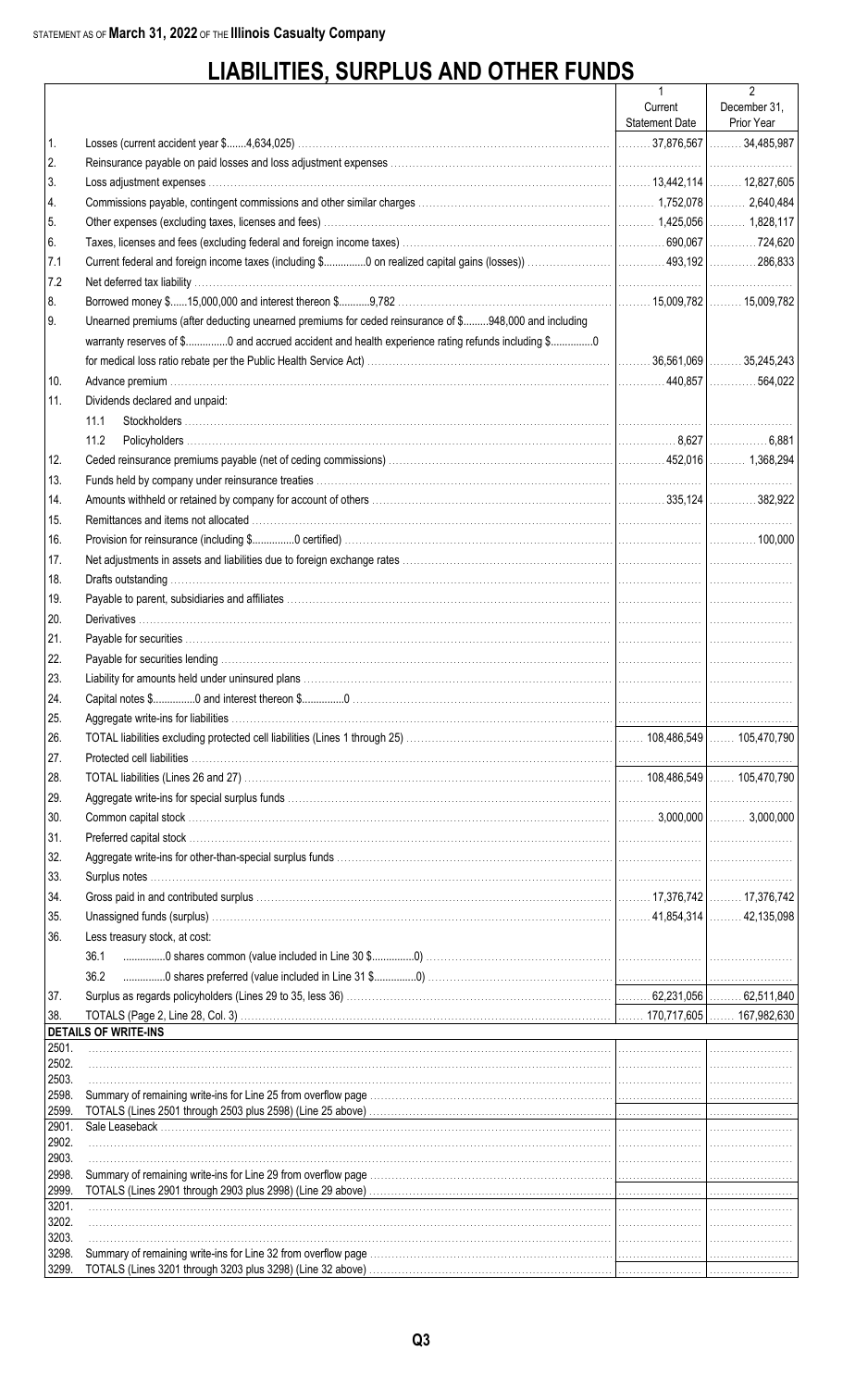# **LIABILITIES, SURPLUS AND OTHER FUNDS**

|                |                                                                                                                      | $\mathbf{1}$          | $\overline{2}$ |
|----------------|----------------------------------------------------------------------------------------------------------------------|-----------------------|----------------|
|                |                                                                                                                      | Current               | December 31,   |
|                |                                                                                                                      | <b>Statement Date</b> | Prior Year     |
| 1.             |                                                                                                                      |                       |                |
| 2.             |                                                                                                                      |                       |                |
| 3.             |                                                                                                                      |                       |                |
| 4.             |                                                                                                                      |                       |                |
| 5.             |                                                                                                                      |                       |                |
| 6.             |                                                                                                                      |                       |                |
| 7.1            |                                                                                                                      |                       |                |
| 7.2            |                                                                                                                      |                       |                |
| 8.             |                                                                                                                      |                       |                |
| 9.             | Unearned premiums (after deducting unearned premiums for ceded reinsurance of \$948,000 and including                |                       |                |
|                | warranty reserves of \$0 and accrued accident and health experience rating refunds including \$0                     |                       |                |
|                |                                                                                                                      |                       |                |
| 10.            |                                                                                                                      |                       |                |
| 11.            | Dividends declared and unpaid:                                                                                       |                       |                |
|                | 11.1                                                                                                                 |                       |                |
|                | 11.2                                                                                                                 |                       |                |
| 12.            |                                                                                                                      |                       |                |
| 13.            |                                                                                                                      |                       |                |
| 14.            |                                                                                                                      |                       |                |
| 15.            |                                                                                                                      |                       |                |
| 16.            |                                                                                                                      |                       |                |
| 17.            |                                                                                                                      |                       |                |
| 18.            |                                                                                                                      |                       |                |
| 19.            |                                                                                                                      |                       |                |
| 20.            |                                                                                                                      |                       |                |
| 21.            |                                                                                                                      |                       |                |
| 22.            |                                                                                                                      |                       |                |
| 23.            |                                                                                                                      |                       |                |
| 24.            |                                                                                                                      |                       |                |
| 25.            |                                                                                                                      |                       |                |
| 26.            |                                                                                                                      |                       |                |
| 27.            |                                                                                                                      |                       |                |
| 28.            |                                                                                                                      |                       |                |
|                |                                                                                                                      |                       |                |
| 29.            |                                                                                                                      |                       |                |
| 30.            |                                                                                                                      |                       |                |
| 31.            |                                                                                                                      |                       |                |
| 32.            |                                                                                                                      |                       |                |
| 33.            |                                                                                                                      |                       |                |
| 34.            |                                                                                                                      |                       |                |
| 35.            |                                                                                                                      |                       |                |
| 36.            | Less treasury stock, at cost:                                                                                        |                       |                |
|                | 36.1                                                                                                                 |                       |                |
|                | 36.2                                                                                                                 |                       |                |
| 37.            |                                                                                                                      |                       |                |
| 38.            |                                                                                                                      |                       |                |
| 2501.          | <b>DETAILS OF WRITE-INS</b>                                                                                          |                       |                |
| 2502.          |                                                                                                                      |                       |                |
| 2503.          |                                                                                                                      |                       |                |
| 2598.          |                                                                                                                      |                       |                |
| 2599.<br>2901. |                                                                                                                      |                       |                |
| 2902.          |                                                                                                                      |                       |                |
| 2903.          |                                                                                                                      |                       |                |
| 2998.          |                                                                                                                      |                       |                |
| 2999.          |                                                                                                                      |                       |                |
| 3201.<br>3202. |                                                                                                                      |                       |                |
| 3203.          |                                                                                                                      |                       |                |
| 3298.          |                                                                                                                      |                       |                |
| 3299.          | TOTALS (Lines 3201 through 3203 plus 3298) (Line 32 above) <i>matter contained accordinational contained through</i> |                       |                |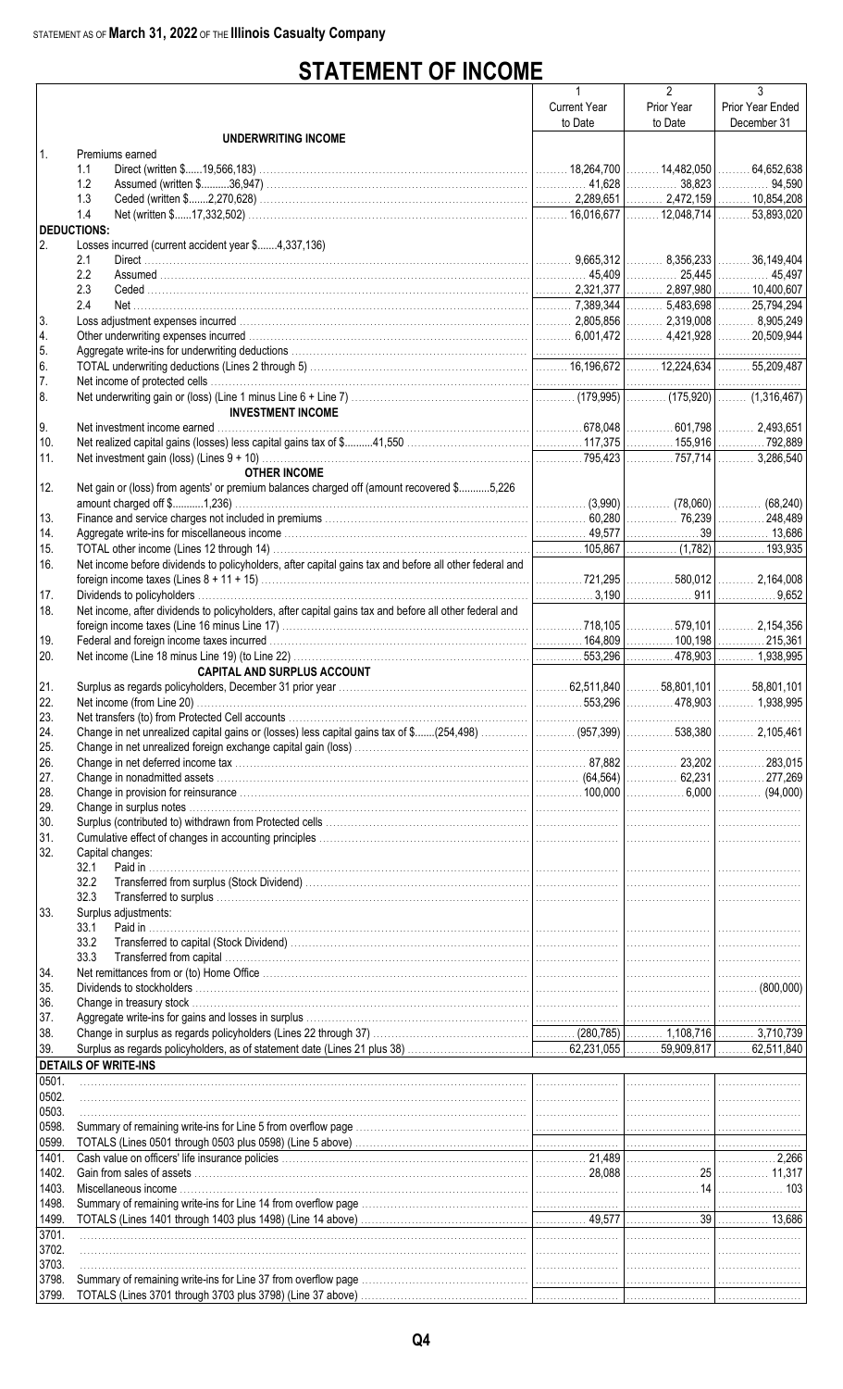# **STATEMENT OF INCOME**

|                    |                                                                                                                                                                                                                               | 1                   | $\overline{2}$ | 3                   |
|--------------------|-------------------------------------------------------------------------------------------------------------------------------------------------------------------------------------------------------------------------------|---------------------|----------------|---------------------|
|                    |                                                                                                                                                                                                                               | <b>Current Year</b> | Prior Year     | Prior Year Ended    |
|                    |                                                                                                                                                                                                                               | to Date             | to Date        | December 31         |
|                    | UNDERWRITING INCOME                                                                                                                                                                                                           |                     |                |                     |
| $\mathbf{1}$ .     | Premiums earned                                                                                                                                                                                                               |                     |                |                     |
|                    | 1.1                                                                                                                                                                                                                           |                     |                | $\ldots$ 64,652,638 |
|                    | 1.2                                                                                                                                                                                                                           |                     |                |                     |
|                    | 1.3                                                                                                                                                                                                                           |                     |                |                     |
|                    | 1.4                                                                                                                                                                                                                           |                     |                |                     |
| <b>DEDUCTIONS:</b> |                                                                                                                                                                                                                               |                     |                |                     |
| I 2.               | Losses incurred (current accident year \$4,337,136)                                                                                                                                                                           |                     |                |                     |
|                    | 2.1                                                                                                                                                                                                                           |                     |                | $\ldots$ 36,149,404 |
|                    | 2.2                                                                                                                                                                                                                           |                     |                |                     |
|                    | 2.3                                                                                                                                                                                                                           |                     |                |                     |
|                    | 2.4                                                                                                                                                                                                                           |                     |                |                     |
| 3.                 |                                                                                                                                                                                                                               |                     |                |                     |
| 4.                 |                                                                                                                                                                                                                               |                     |                |                     |
| 5.                 |                                                                                                                                                                                                                               |                     |                |                     |
| 6.                 |                                                                                                                                                                                                                               |                     |                |                     |
| 17.<br>8.          |                                                                                                                                                                                                                               |                     |                |                     |
|                    | <b>INVESTMENT INCOME</b>                                                                                                                                                                                                      |                     |                |                     |
| 9.                 |                                                                                                                                                                                                                               |                     |                |                     |
| 10.                |                                                                                                                                                                                                                               |                     |                |                     |
| 11.                |                                                                                                                                                                                                                               |                     |                |                     |
|                    | <b>OTHER INCOME</b>                                                                                                                                                                                                           |                     |                |                     |
| 12.                | Net gain or (loss) from agents' or premium balances charged off (amount recovered \$5,226                                                                                                                                     |                     |                |                     |
|                    |                                                                                                                                                                                                                               |                     |                |                     |
| 13.                |                                                                                                                                                                                                                               |                     |                |                     |
| 14.                | Aggregate write-ins for miscellaneous income members of the content of the content of the content of the content of the content of the content of the content of the content of 13,686                                        |                     |                |                     |
| 15.                |                                                                                                                                                                                                                               |                     |                |                     |
| 16.                | Net income before dividends to policyholders, after capital gains tax and before all other federal and                                                                                                                        |                     |                |                     |
|                    |                                                                                                                                                                                                                               |                     |                |                     |
| 17.                |                                                                                                                                                                                                                               |                     |                |                     |
| 18.                | Net income, after dividends to policyholders, after capital gains tax and before all other federal and                                                                                                                        |                     |                |                     |
|                    |                                                                                                                                                                                                                               |                     |                |                     |
| 19.                | Federal and foreign income taxes incurred Material Material Material Material Material Material Material Material Material Material Material Material Material Material Material Material Material Material Material Material |                     |                |                     |
| 20.                |                                                                                                                                                                                                                               |                     |                |                     |
|                    | <b>CAPITAL AND SURPLUS ACCOUNT</b>                                                                                                                                                                                            |                     |                |                     |
| 21.                |                                                                                                                                                                                                                               |                     |                |                     |
| 22.                |                                                                                                                                                                                                                               |                     |                |                     |
| 23.                |                                                                                                                                                                                                                               |                     |                |                     |
| 24.                | Change in net unrealized capital gains or (losses) less capital gains tax of \$(254,498)  (957,399)   538,380    2,105,461                                                                                                    |                     |                |                     |
| 25.                |                                                                                                                                                                                                                               |                     |                |                     |
| 26.                |                                                                                                                                                                                                                               |                     |                |                     |
| 27.                |                                                                                                                                                                                                                               |                     |                |                     |
| 28.                |                                                                                                                                                                                                                               |                     |                |                     |
| 29.                |                                                                                                                                                                                                                               |                     |                |                     |
| 30.                |                                                                                                                                                                                                                               |                     |                |                     |
| 31.                |                                                                                                                                                                                                                               |                     |                | .                   |
| 32.                | Capital changes:                                                                                                                                                                                                              |                     |                |                     |
|                    | 32.1                                                                                                                                                                                                                          |                     |                |                     |
|                    | 32.2                                                                                                                                                                                                                          |                     |                |                     |
|                    | 32.3                                                                                                                                                                                                                          |                     |                | .                   |
| 33.                | Surplus adjustments:                                                                                                                                                                                                          |                     |                |                     |
|                    | 33.1<br>Paid in                                                                                                                                                                                                               |                     |                |                     |
|                    | 33.2<br>33.3                                                                                                                                                                                                                  |                     |                |                     |
|                    |                                                                                                                                                                                                                               |                     |                |                     |
| 34.<br>35.         |                                                                                                                                                                                                                               |                     |                |                     |
| 36.                |                                                                                                                                                                                                                               |                     |                |                     |
| 37.                |                                                                                                                                                                                                                               |                     |                |                     |
| 38.                |                                                                                                                                                                                                                               |                     |                |                     |
| 39.                |                                                                                                                                                                                                                               |                     |                |                     |
|                    | <b>DETAILS OF WRITE-INS</b>                                                                                                                                                                                                   |                     |                |                     |
| 0501.              |                                                                                                                                                                                                                               |                     |                |                     |
| 0502.              |                                                                                                                                                                                                                               |                     |                |                     |
| 0503.              |                                                                                                                                                                                                                               |                     |                |                     |
| 0598.              |                                                                                                                                                                                                                               |                     |                |                     |
| 0599.              |                                                                                                                                                                                                                               |                     |                |                     |
| 1401.              |                                                                                                                                                                                                                               |                     |                |                     |
| 1402.              |                                                                                                                                                                                                                               |                     |                |                     |
| 1403.              |                                                                                                                                                                                                                               |                     |                |                     |
| 1498.              |                                                                                                                                                                                                                               |                     |                |                     |
| 1499.              |                                                                                                                                                                                                                               |                     |                |                     |
| 3701.              |                                                                                                                                                                                                                               |                     |                |                     |
| 3702.              |                                                                                                                                                                                                                               |                     |                |                     |
| 3703.              |                                                                                                                                                                                                                               |                     |                |                     |
| 3798.              |                                                                                                                                                                                                                               |                     |                |                     |
| 3799.              |                                                                                                                                                                                                                               |                     |                |                     |
|                    |                                                                                                                                                                                                                               |                     |                |                     |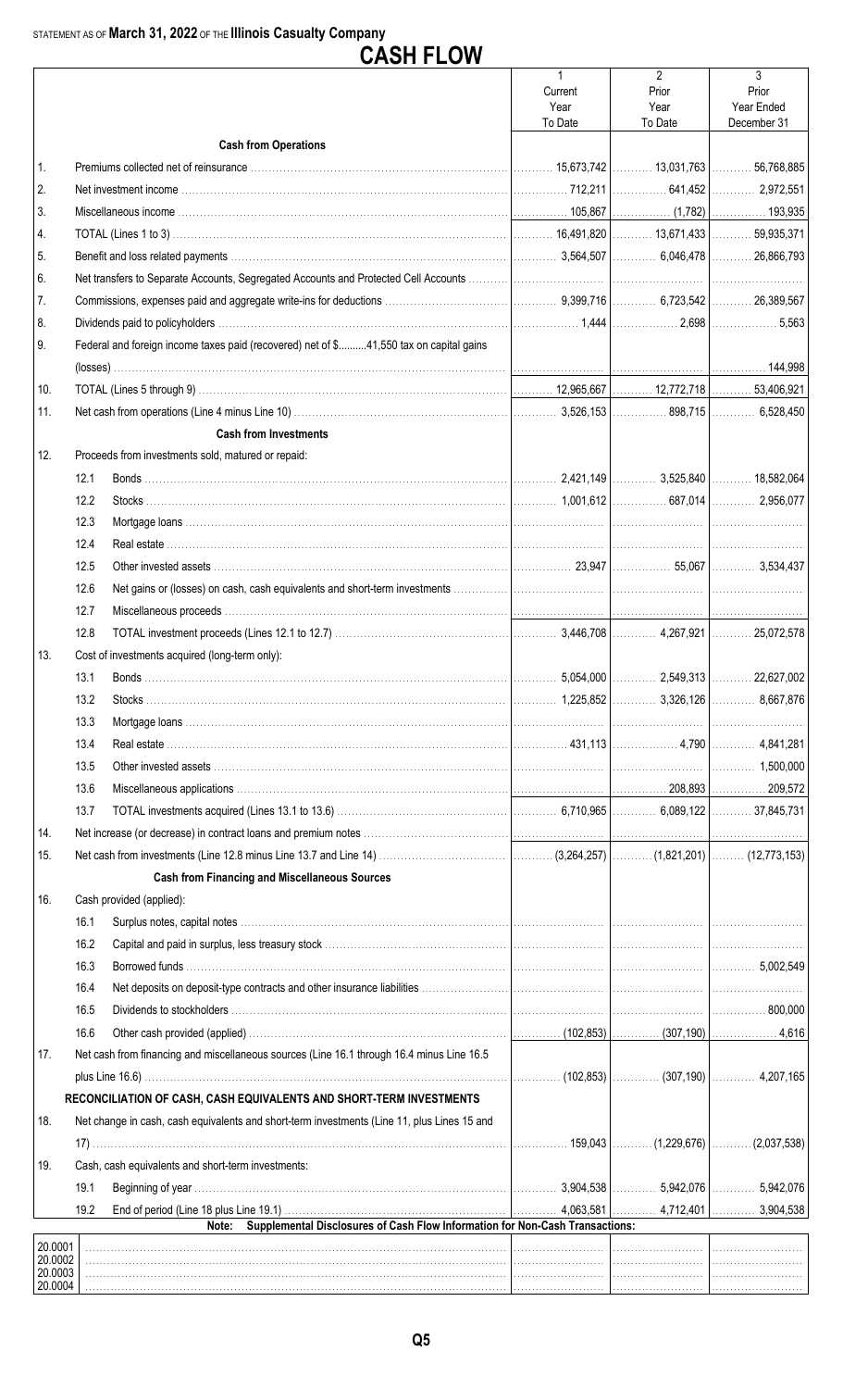|                    |              | <b>CASH FLOW</b>                                                                                                                                                   |                                            |                                            |                                         |
|--------------------|--------------|--------------------------------------------------------------------------------------------------------------------------------------------------------------------|--------------------------------------------|--------------------------------------------|-----------------------------------------|
|                    |              |                                                                                                                                                                    | $\mathbf{1}$<br>Current<br>Year<br>To Date | $\overline{2}$<br>Prior<br>Year<br>To Date | 3<br>Prior<br>Year Ended<br>December 31 |
|                    |              | <b>Cash from Operations</b>                                                                                                                                        |                                            |                                            |                                         |
| 1.                 |              |                                                                                                                                                                    |                                            |                                            |                                         |
| 2.                 |              |                                                                                                                                                                    |                                            |                                            |                                         |
| 3.                 |              |                                                                                                                                                                    |                                            |                                            |                                         |
| 4.                 |              |                                                                                                                                                                    |                                            |                                            |                                         |
| 5.                 |              |                                                                                                                                                                    |                                            |                                            |                                         |
| 6.                 |              |                                                                                                                                                                    |                                            |                                            |                                         |
| 7.                 |              |                                                                                                                                                                    |                                            |                                            |                                         |
| 8.                 |              |                                                                                                                                                                    |                                            |                                            |                                         |
| 9.                 |              | Federal and foreign income taxes paid (recovered) net of \$41,550 tax on capital gains                                                                             |                                            |                                            |                                         |
|                    |              |                                                                                                                                                                    |                                            |                                            |                                         |
| 10.                |              |                                                                                                                                                                    |                                            |                                            |                                         |
| 11.                |              |                                                                                                                                                                    |                                            |                                            |                                         |
|                    |              | <b>Cash from Investments</b>                                                                                                                                       |                                            |                                            |                                         |
| 12.                |              | Proceeds from investments sold, matured or repaid:                                                                                                                 |                                            |                                            |                                         |
|                    | 12.1         |                                                                                                                                                                    |                                            |                                            |                                         |
|                    | 12.2         |                                                                                                                                                                    |                                            |                                            |                                         |
|                    | 12.3<br>12.4 |                                                                                                                                                                    |                                            |                                            |                                         |
|                    |              |                                                                                                                                                                    |                                            |                                            |                                         |
|                    | 12.5         |                                                                                                                                                                    |                                            |                                            |                                         |
|                    | 12.6         |                                                                                                                                                                    |                                            |                                            |                                         |
|                    | 12.7         |                                                                                                                                                                    |                                            |                                            |                                         |
|                    | 12.8         |                                                                                                                                                                    |                                            |                                            |                                         |
| 13.                |              | Cost of investments acquired (long-term only):                                                                                                                     |                                            |                                            |                                         |
|                    | 13.1         |                                                                                                                                                                    |                                            |                                            |                                         |
|                    | 13.2         |                                                                                                                                                                    |                                            |                                            |                                         |
|                    | 13.3         |                                                                                                                                                                    |                                            |                                            |                                         |
|                    | 13.4         |                                                                                                                                                                    |                                            |                                            |                                         |
|                    | 13.5         |                                                                                                                                                                    |                                            |                                            |                                         |
|                    | 13.6         |                                                                                                                                                                    |                                            |                                            |                                         |
|                    | 13.7         |                                                                                                                                                                    |                                            |                                            |                                         |
| 14.                |              |                                                                                                                                                                    |                                            |                                            |                                         |
| 15.                |              |                                                                                                                                                                    |                                            |                                            |                                         |
|                    |              | <b>Cash from Financing and Miscellaneous Sources</b>                                                                                                               |                                            |                                            |                                         |
| 16.                |              | Cash provided (applied):                                                                                                                                           |                                            |                                            |                                         |
|                    | 16.1         |                                                                                                                                                                    |                                            |                                            |                                         |
|                    | 16.2         |                                                                                                                                                                    |                                            |                                            |                                         |
|                    | 16.3         |                                                                                                                                                                    |                                            |                                            |                                         |
|                    | 16.4         |                                                                                                                                                                    |                                            |                                            |                                         |
|                    | 16.5         |                                                                                                                                                                    |                                            |                                            |                                         |
|                    | 16.6         |                                                                                                                                                                    |                                            |                                            |                                         |
| 17.                |              | Net cash from financing and miscellaneous sources (Line 16.1 through 16.4 minus Line 16.5                                                                          |                                            |                                            |                                         |
|                    |              |                                                                                                                                                                    |                                            |                                            |                                         |
| 18.                |              | RECONCILIATION OF CASH, CASH EQUIVALENTS AND SHORT-TERM INVESTMENTS<br>Net change in cash, cash equivalents and short-term investments (Line 11, plus Lines 15 and |                                            |                                            |                                         |
|                    |              |                                                                                                                                                                    | .                                          |                                            | . 159,043   (1,229,676)   (2,037,538)   |
| 19.                |              | Cash, cash equivalents and short-term investments:                                                                                                                 |                                            |                                            |                                         |
|                    | 19.1         |                                                                                                                                                                    |                                            |                                            |                                         |
|                    | 19.2         | Supplemental Disclosures of Cash Flow Information for Non-Cash Transactions:<br>Note:                                                                              |                                            |                                            |                                         |
| 20.0001            |              |                                                                                                                                                                    |                                            |                                            |                                         |
| 20.0002<br>20.0003 |              |                                                                                                                                                                    |                                            |                                            |                                         |
| 20.0004            |              |                                                                                                                                                                    |                                            |                                            |                                         |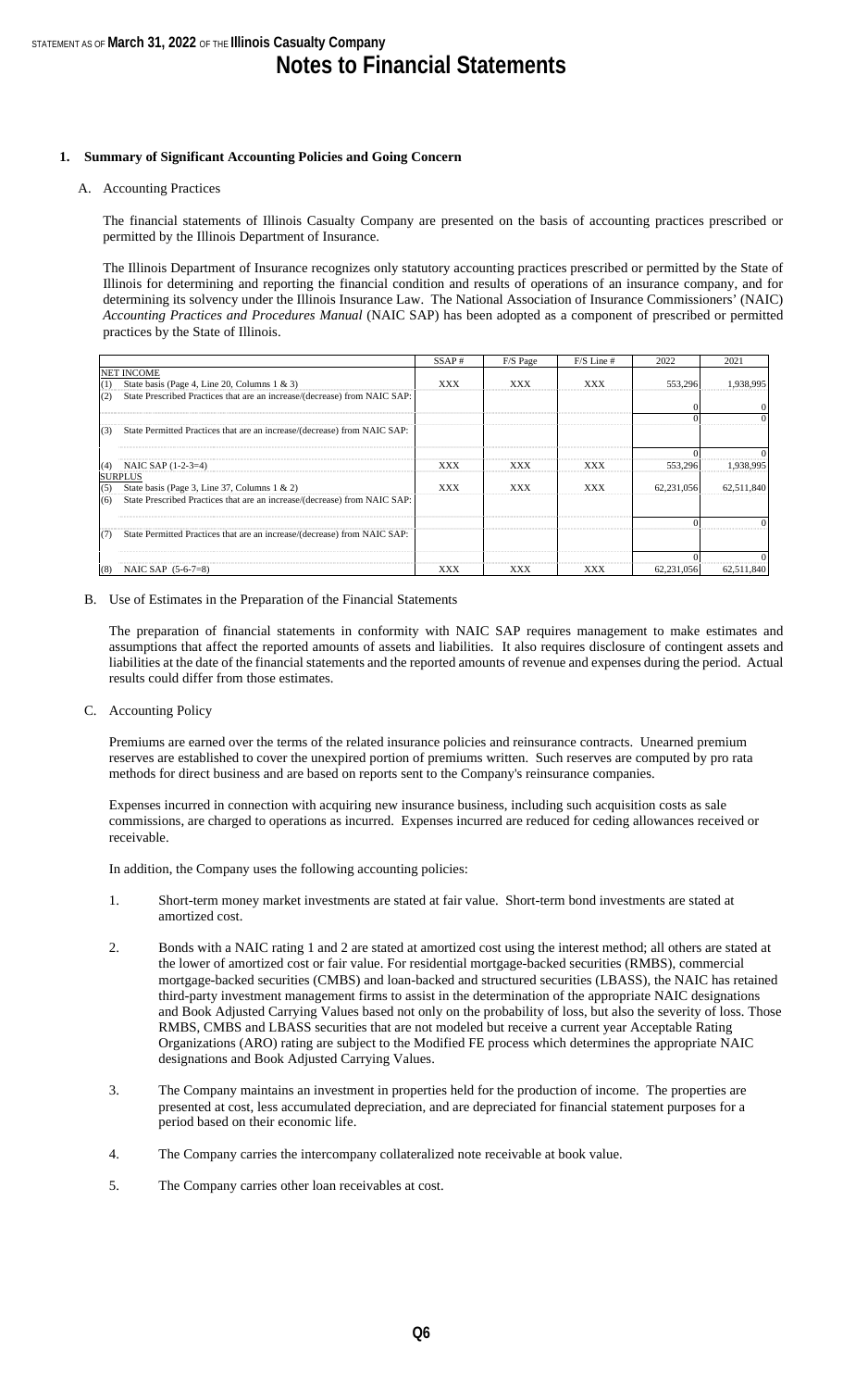#### **1. Summary of Significant Accounting Policies and Going Concern**

#### A. Accounting Practices

The financial statements of Illinois Casualty Company are presented on the basis of accounting practices prescribed or permitted by the Illinois Department of Insurance.

The Illinois Department of Insurance recognizes only statutory accounting practices prescribed or permitted by the State of Illinois for determining and reporting the financial condition and results of operations of an insurance company, and for determining its solvency under the Illinois Insurance Law. The National Association of Insurance Commissioners' (NAIC) *Accounting Practices and Procedures Manual* (NAIC SAP) has been adopted as a component of prescribed or permitted practices by the State of Illinois.

|     |                                                                           | SSAP# | F/S Page   | $F/S$ Line # | 2022       | 2021       |
|-----|---------------------------------------------------------------------------|-------|------------|--------------|------------|------------|
|     | <b>NET INCOME</b>                                                         |       |            |              |            |            |
| (1) | State basis (Page 4, Line 20, Columns $1 \& 3$ )                          | XXX   | <b>XXX</b> | XXX          | 553,296    | 1,938,995  |
| (2) | State Prescribed Practices that are an increase/(decrease) from NAIC SAP: |       |            |              |            |            |
|     |                                                                           |       |            |              |            | $\Omega$   |
|     |                                                                           |       |            |              |            | $\Omega$   |
| (3) | State Permitted Practices that are an increase/(decrease) from NAIC SAP:  |       |            |              |            |            |
|     |                                                                           |       |            |              |            |            |
| (4) | NAIC SAP (1-2-3=4)                                                        | XXX   | <b>XXX</b> | XXX          | 553,296    | 1,938,995  |
|     | <b>SURPLUS</b>                                                            |       |            |              |            |            |
| (5) | State basis (Page 3, Line 37, Columns $1 \& 2$ )                          | XXX   | XXX        | XXX          | 62.231.056 | 62,511,840 |
| (6) | State Prescribed Practices that are an increase/(decrease) from NAIC SAP: |       |            |              |            |            |
|     |                                                                           |       |            |              |            |            |
| (7) | State Permitted Practices that are an increase/(decrease) from NAIC SAP:  |       |            |              |            |            |
|     |                                                                           |       |            |              |            |            |
| (8) | NAIC SAP $(5-6-7=8)$                                                      | XXX   | <b>XXX</b> | XXX          | 62,231,056 | 62,511,840 |

#### B. Use of Estimates in the Preparation of the Financial Statements

The preparation of financial statements in conformity with NAIC SAP requires management to make estimates and assumptions that affect the reported amounts of assets and liabilities. It also requires disclosure of contingent assets and liabilities at the date of the financial statements and the reported amounts of revenue and expenses during the period. Actual results could differ from those estimates.

C. Accounting Policy

Premiums are earned over the terms of the related insurance policies and reinsurance contracts. Unearned premium reserves are established to cover the unexpired portion of premiums written. Such reserves are computed by pro rata methods for direct business and are based on reports sent to the Company's reinsurance companies.

Expenses incurred in connection with acquiring new insurance business, including such acquisition costs as sale commissions, are charged to operations as incurred. Expenses incurred are reduced for ceding allowances received or receivable.

In addition, the Company uses the following accounting policies:

- 1. Short-term money market investments are stated at fair value. Short-term bond investments are stated at amortized cost.
- 2. Bonds with a NAIC rating 1 and 2 are stated at amortized cost using the interest method; all others are stated at the lower of amortized cost or fair value. For residential mortgage-backed securities (RMBS), commercial mortgage-backed securities (CMBS) and loan-backed and structured securities (LBASS), the NAIC has retained third-party investment management firms to assist in the determination of the appropriate NAIC designations and Book Adjusted Carrying Values based not only on the probability of loss, but also the severity of loss. Those RMBS, CMBS and LBASS securities that are not modeled but receive a current year Acceptable Rating Organizations (ARO) rating are subject to the Modified FE process which determines the appropriate NAIC designations and Book Adjusted Carrying Values.
- 3. The Company maintains an investment in properties held for the production of income. The properties are presented at cost, less accumulated depreciation, and are depreciated for financial statement purposes for a period based on their economic life.
- 4. The Company carries the intercompany collateralized note receivable at book value.
- 5. The Company carries other loan receivables at cost.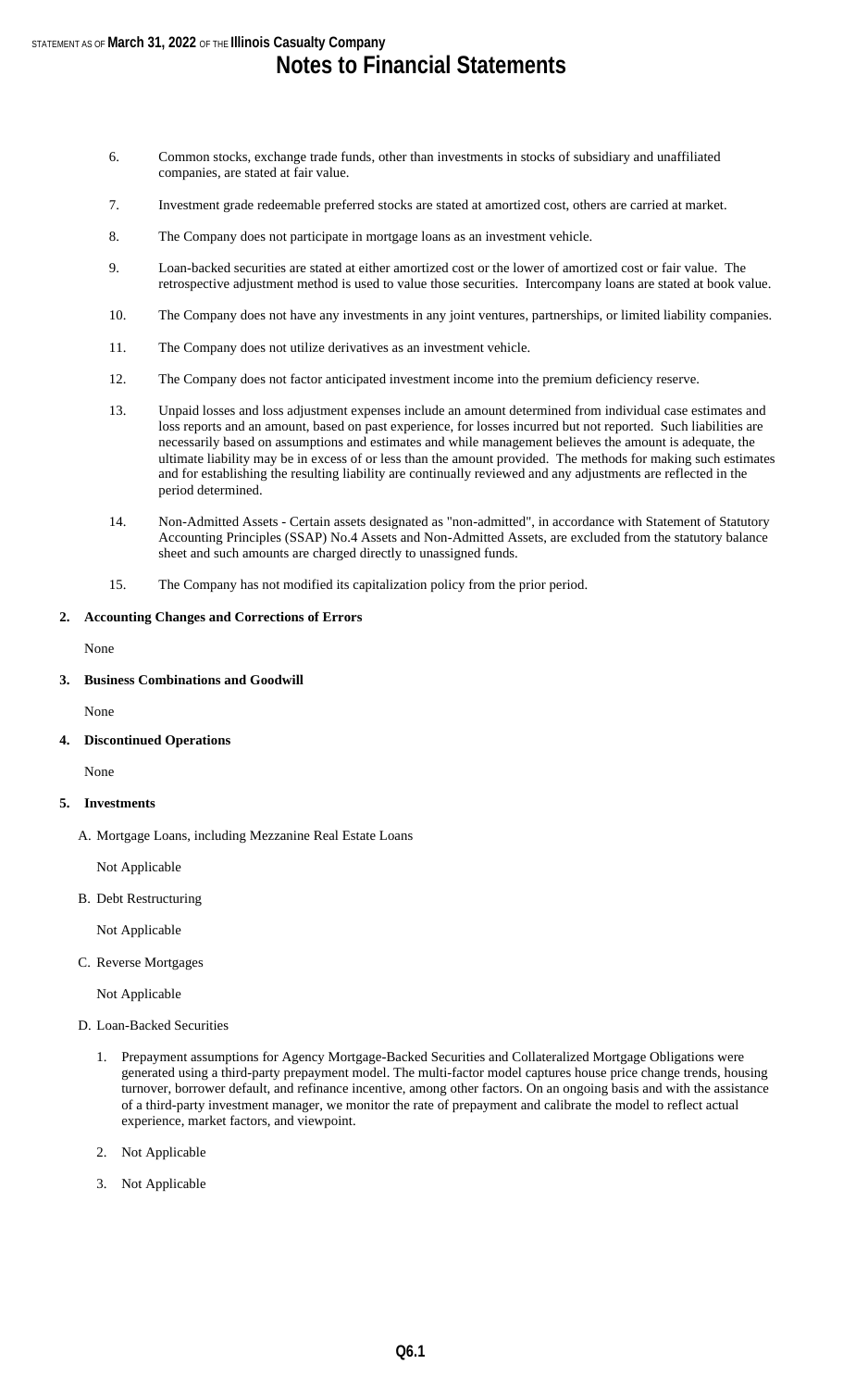- 6. Common stocks, exchange trade funds, other than investments in stocks of subsidiary and unaffiliated companies, are stated at fair value.
- 7. Investment grade redeemable preferred stocks are stated at amortized cost, others are carried at market.
- 8. The Company does not participate in mortgage loans as an investment vehicle.
- 9. Loan-backed securities are stated at either amortized cost or the lower of amortized cost or fair value. The retrospective adjustment method is used to value those securities. Intercompany loans are stated at book value.
- 10. The Company does not have any investments in any joint ventures, partnerships, or limited liability companies.
- 11. The Company does not utilize derivatives as an investment vehicle.
- 12. The Company does not factor anticipated investment income into the premium deficiency reserve.
- 13. Unpaid losses and loss adjustment expenses include an amount determined from individual case estimates and loss reports and an amount, based on past experience, for losses incurred but not reported. Such liabilities are necessarily based on assumptions and estimates and while management believes the amount is adequate, the ultimate liability may be in excess of or less than the amount provided. The methods for making such estimates and for establishing the resulting liability are continually reviewed and any adjustments are reflected in the period determined.
- 14. Non-Admitted Assets Certain assets designated as "non-admitted", in accordance with Statement of Statutory Accounting Principles (SSAP) No.4 Assets and Non-Admitted Assets, are excluded from the statutory balance sheet and such amounts are charged directly to unassigned funds.
- 15. The Company has not modified its capitalization policy from the prior period.

#### **2. Accounting Changes and Corrections of Errors**

None

#### **3. Business Combinations and Goodwill**

None

**4. Discontinued Operations**

None

#### **5. Investments**

A. Mortgage Loans, including Mezzanine Real Estate Loans

Not Applicable

B. Debt Restructuring

Not Applicable

C. Reverse Mortgages

Not Applicable

- D. Loan-Backed Securities
	- 1. Prepayment assumptions for Agency Mortgage-Backed Securities and Collateralized Mortgage Obligations were generated using a third-party prepayment model. The multi-factor model captures house price change trends, housing turnover, borrower default, and refinance incentive, among other factors. On an ongoing basis and with the assistance of a third-party investment manager, we monitor the rate of prepayment and calibrate the model to reflect actual experience, market factors, and viewpoint.
	- 2. Not Applicable
	- 3. Not Applicable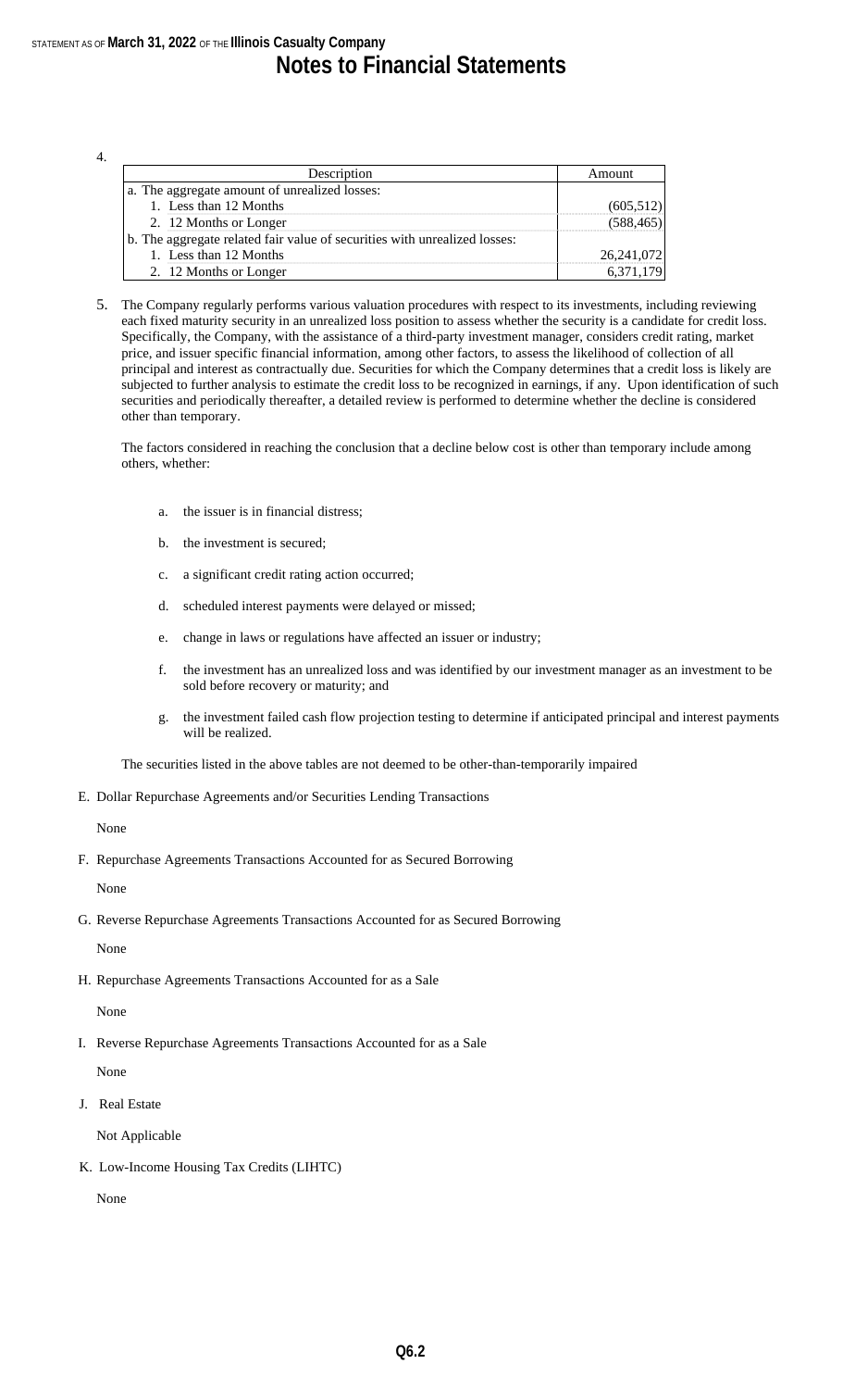4.

| Description                                                               | Amount     |
|---------------------------------------------------------------------------|------------|
| a. The aggregate amount of unrealized losses:                             |            |
| 1. Less than 12 Months                                                    | (605,512)  |
| 2. 12 Months or Longer                                                    | (588, 465) |
| b. The aggregate related fair value of securities with unrealized losses: |            |
| 1. Less than 12 Months                                                    | 26,241,072 |
| 2. 12 Months or Longer                                                    | 6,371,179  |

5. The Company regularly performs various valuation procedures with respect to its investments, including reviewing each fixed maturity security in an unrealized loss position to assess whether the security is a candidate for credit loss. Specifically, the Company, with the assistance of a third-party investment manager, considers credit rating, market price, and issuer specific financial information, among other factors, to assess the likelihood of collection of all principal and interest as contractually due. Securities for which the Company determines that a credit loss is likely are subjected to further analysis to estimate the credit loss to be recognized in earnings, if any. Upon identification of such securities and periodically thereafter, a detailed review is performed to determine whether the decline is considered other than temporary.

The factors considered in reaching the conclusion that a decline below cost is other than temporary include among others, whether:

- a. the issuer is in financial distress;
- b. the investment is secured;
- c. a significant credit rating action occurred;
- d. scheduled interest payments were delayed or missed;
- e. change in laws or regulations have affected an issuer or industry;
- f. the investment has an unrealized loss and was identified by our investment manager as an investment to be sold before recovery or maturity; and
- g. the investment failed cash flow projection testing to determine if anticipated principal and interest payments will be realized.

The securities listed in the above tables are not deemed to be other-than-temporarily impaired

E. Dollar Repurchase Agreements and/or Securities Lending Transactions

#### None

F. Repurchase Agreements Transactions Accounted for as Secured Borrowing

None

- G. Reverse Repurchase Agreements Transactions Accounted for as Secured Borrowing None
- H. Repurchase Agreements Transactions Accounted for as a Sale

#### None

I. Reverse Repurchase Agreements Transactions Accounted for as a Sale

None

J. Real Estate

Not Applicable

K. Low-Income Housing Tax Credits (LIHTC)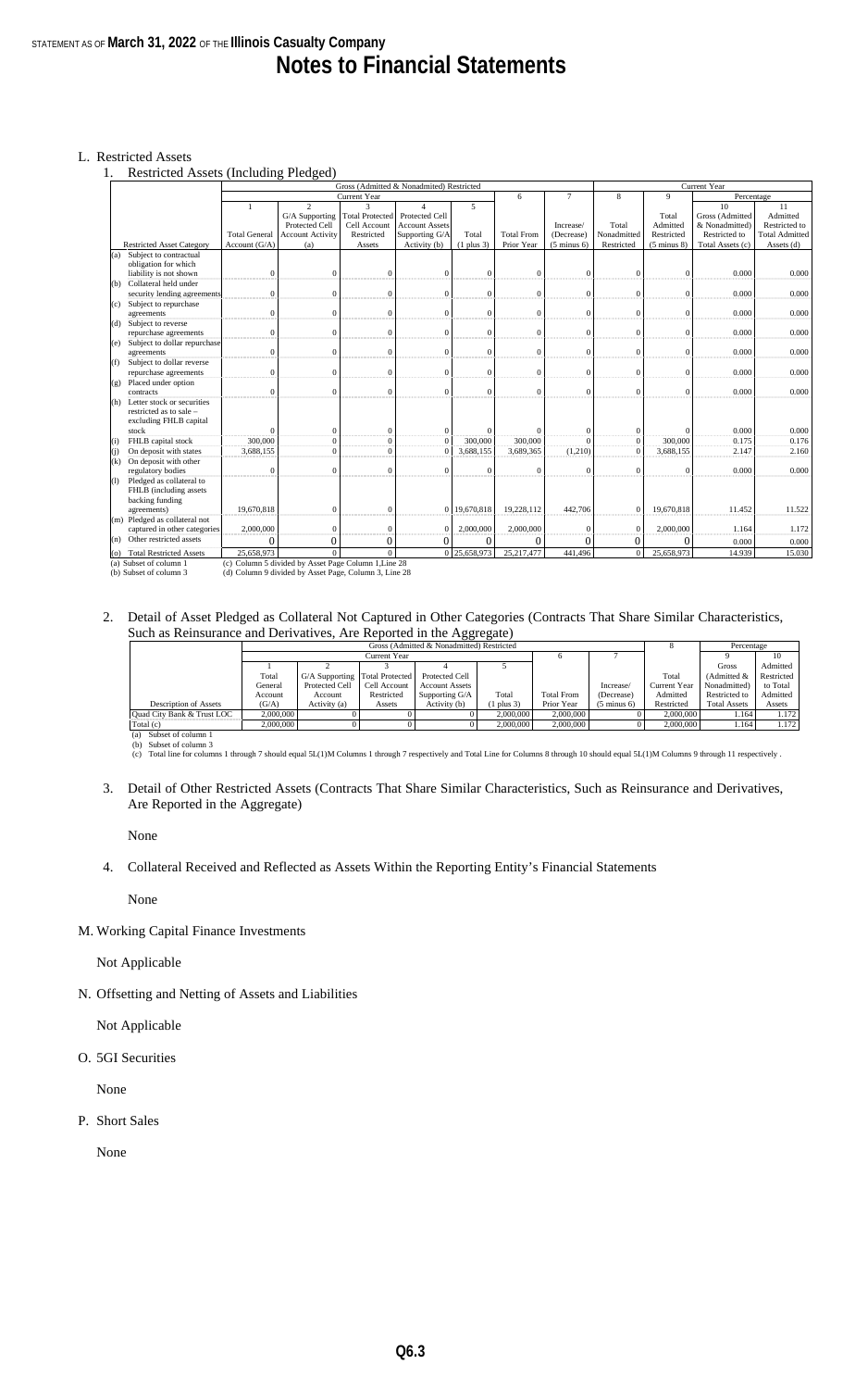#### L. Restricted Assets

1. Restricted Assets (Including Pledged)

|                   |                                           | Gross (Admitted & Nonadmited) Restricted |                                                     |                        |                       |                |                   | Current Year           |                |                        |                  |                       |
|-------------------|-------------------------------------------|------------------------------------------|-----------------------------------------------------|------------------------|-----------------------|----------------|-------------------|------------------------|----------------|------------------------|------------------|-----------------------|
|                   |                                           |                                          |                                                     | Current Year           |                       |                | 6                 | $\tau$                 | 8              | $\overline{Q}$         | Percentage       |                       |
|                   |                                           |                                          | $\overline{2}$                                      | $\mathbf{3}$           |                       | 5              |                   |                        |                |                        | 10               | 11                    |
|                   |                                           |                                          | G/A Supporting                                      | <b>Total Protected</b> | Protected Cell        |                |                   |                        |                | Total                  | Gross (Admitted  | Admitted              |
|                   |                                           |                                          | Protected Cell                                      | Cell Account           | <b>Account Assets</b> |                |                   | Increase/              | Total          | Admitted               | & Nonadmitted)   | Restricted to         |
|                   |                                           | <b>Total General</b>                     | <b>Account Activity</b>                             | Restricted             | Supporting G/A        | Total          | <b>Total From</b> | (Decrease)             | Nonadmitted    | Restricted             | Restricted to    | <b>Total Admitted</b> |
|                   | <b>Restricted Asset Category</b>          | Account $(G/A)$                          | (a)                                                 | Assets                 | Activity (b)          | $(1$ plus $3)$ | Prior Year        | $(5 \text{ minus } 6)$ | Restricted     | $(5 \text{ minus } 8)$ | Total Assets (c) | Assets (d)            |
|                   | Subject to contractual<br>(a)             |                                          |                                                     |                        |                       |                |                   |                        |                |                        |                  |                       |
|                   | obligation for which                      |                                          |                                                     |                        |                       |                |                   |                        |                |                        |                  |                       |
|                   | liability is not shown                    | $\Omega$                                 | $\sqrt{ }$                                          | $\mathbf{0}$           | $\Omega$              | $\mathbf{0}$   | $\Omega$          | $\Omega$               | $\Omega$       | $\Omega$               | 0.000            | 0.000                 |
|                   | Collateral held under<br>(b)              |                                          |                                                     |                        |                       |                |                   |                        |                |                        |                  |                       |
|                   | security lending agreements               | $\theta$                                 | $\Omega$                                            | $\mathbf{0}$           | $\mathbf{0}$          | $\mathbf{0}$   | $\Omega$          | $\Omega$               | $\Omega$       | $\Omega$               | 0.000            | 0.000                 |
|                   | (c) Subject to repurchase                 |                                          |                                                     |                        |                       |                |                   |                        |                |                        |                  |                       |
|                   | agreements                                | $\Omega$                                 | $\Omega$                                            | $\mathbf{0}$           | $\mathbf{0}$          | $\mathbf{0}$   | $\Omega$          | $\Omega$               | $\mathbf{0}$   | $\Omega$               | 0.000            | 0.000                 |
|                   | (d) Subject to reverse                    |                                          |                                                     |                        |                       |                |                   |                        |                |                        |                  |                       |
|                   | repurchase agreements                     | $\mathbf{0}$                             | $\sqrt{ }$                                          | $\mathbf{0}$           | $\mathbf{0}$          | $\mathbf{0}$   | $\mathbf{0}$      | $\mathbf{0}$           | $\mathbf{0}$   | $\Omega$               | 0.000            | 0.000                 |
|                   | Subject to dollar repurchase<br>(e)       |                                          |                                                     |                        |                       |                |                   |                        |                |                        |                  |                       |
|                   | agreements                                | $\Omega$                                 | $\Omega$                                            | $\mathbf{0}$           | $\Omega$              | $\Omega$       | $\Omega$          | $\Omega$               | $\Omega$       | $\Omega$               | 0.000            | 0.000                 |
|                   | Subject to dollar reverse<br>(f)          |                                          |                                                     |                        |                       |                |                   |                        |                |                        |                  |                       |
|                   | repurchase agreements                     | $\mathbf{0}$                             | $\Omega$                                            | $\mathbf{0}$           | $\mathbf{0}$          | $\mathbf{0}$   | $\Omega$          | $\Omega$               | $\mathbf{0}$   | $\Omega$               | 0.000            | 0.000                 |
|                   | Placed under option<br>(g)                |                                          |                                                     |                        |                       |                |                   |                        |                |                        |                  |                       |
|                   | contracts                                 | $\Omega$                                 | $\Omega$                                            | $\mathbf{0}$           | $\mathbf{0}$          | $\Omega$       | $\Omega$          | $\Omega$               | $\Omega$       | $\Omega$               | 0.000            | 0.000                 |
|                   | Letter stock or securities<br>(h)         |                                          |                                                     |                        |                       |                |                   |                        |                |                        |                  |                       |
|                   | restricted as to sale -                   |                                          |                                                     |                        |                       |                |                   |                        |                |                        |                  |                       |
|                   | excluding FHLB capital                    |                                          |                                                     |                        |                       |                |                   |                        |                |                        |                  |                       |
|                   | stock                                     |                                          | $\sqrt{ }$                                          | $\mathbf{0}$           | $\mathbf{0}$          | $\Omega$       |                   | $\Omega$               | $\mathbf{0}$   |                        | 0.000            | 0.000                 |
| (i)               | FHLB capital stock                        | 300,000                                  | $\Omega$                                            | $\mathbf{0}$           | $\Omega$              | 300,000        | 300,000           |                        | $\mathbf{0}$   | 300,000                | 0.175            | 0.176                 |
| (i)               | On deposit with states                    | 3.688.155                                | $\Omega$                                            | $\mathbf{0}$           | $\Omega$              | 3.688.155      | 3.689.365         | (1,210)                | $\Omega$       | 3,688,155              | 2.147            | 2.160                 |
|                   | On deposit with other<br>(k)              |                                          |                                                     |                        |                       |                |                   |                        |                |                        |                  |                       |
|                   | regulatory bodies                         | $\Omega$                                 | $\Omega$                                            | $\Omega$               | $\Omega$              | $\Omega$       | $\Omega$          | $\Omega$               | $\Omega$       | £                      | 0.000            | 0.000                 |
| $\left( 1\right)$ | Pledged as collateral to                  |                                          |                                                     |                        |                       |                |                   |                        |                |                        |                  |                       |
|                   | FHLB (including assets                    |                                          |                                                     |                        |                       |                |                   |                        |                |                        |                  |                       |
|                   | backing funding                           |                                          |                                                     |                        |                       |                |                   |                        |                |                        |                  |                       |
|                   | agreements)                               | 19,670,818                               | $\Omega$                                            | $\mathbf{0}$           |                       | 0 19,670,818   | 19,228,112        | 442,706                | $\mathbf{0}$   | 19,670,818             | 11.452           | 11.522                |
|                   | (m) Pledged as collateral not             |                                          |                                                     |                        |                       |                |                   |                        |                |                        |                  |                       |
|                   | captured in other categories              | 2,000,000                                | $\sqrt{ }$                                          | $\mathbf{0}$           | $\Omega$              | 2,000,000      | 2,000,000         | $\Omega$               | $\mathbf{0}$   | 2,000,000              | 1.164            | 1.172                 |
|                   | Other restricted assets<br>(n)            | 0                                        |                                                     | $\theta$               | $\Omega$              | $\overline{0}$ |                   | 0                      | $\overline{0}$ |                        | 0.000            | 0.000                 |
|                   | <b>Total Restricted Assets</b><br>$\circ$ | 25,658,973                               | $\Omega$                                            | $\Omega$               |                       | 0 25,658,973   | 25,217,477        | 441.496                | $\Omega$       | 25,658,973             | 14.939           | 15.030                |
|                   | (a) Subset of column 1                    |                                          | (c) Column 5 divided by Asset Page Column 1 Line 28 |                        |                       |                |                   |                        |                |                        |                  |                       |

(a) Subset of column 1 (b) Subset of column 3 (c) Column 5 divided by Asset Page Column 1,Line 28 (d) Column 9 divided by Asset Page, Column 3, Line 28

#### 2. Detail of Asset Pledged as Collateral Not Captured in Other Categories (Contracts That Share Similar Characteristics, Such as Reinsurance and Derivatives, Are Reported in the Aggregate)

|                              |           |                                |              | Percentage            |           |                   |                        |              |                     |            |
|------------------------------|-----------|--------------------------------|--------------|-----------------------|-----------|-------------------|------------------------|--------------|---------------------|------------|
|                              |           |                                | Current Year |                       |           |                   |                        |              |                     | 10         |
|                              |           |                                |              |                       |           |                   |                        |              | Gross               | Admitted   |
|                              | Total     | G/A Supporting Total Protected |              | Protected Cell        |           |                   |                        | Total        | Admitted &          | Restricted |
|                              | General   | Protected Cell                 | Cell Account | <b>Account Assets</b> |           |                   | Increase/              | Current Year | Nonadmitted)        | to Total   |
|                              | Account   | Account                        | Restricted   | Supporting G/A        | Total     | <b>Total From</b> | (Decrease)             | Admitted     | Restricted to       | Admitted   |
| <b>Description of Assets</b> | (G/A)     | Activity (a)                   | Assets       | Activity (b)          | plus 3)   | Prior Year        | $(5 \text{ minus } 6)$ | Restricted   | <b>Total Assets</b> | Assets     |
| Ouad City Bank & Trust LOC   | 2,000,000 |                                |              |                       | 2,000,000 | 2,000,000         |                        | 2,000,000    | 1.164               | . 172      |
| Total (c)                    | 2,000,000 |                                |              |                       | 2,000,000 | 2,000,000         |                        | 2,000,000    | 1.164               | 1.172      |
| $(a)$ Cubant of column 1     |           |                                |              |                       |           |                   |                        |              |                     |            |

(a) Subset of column 1 (b) Subset of column 3

1 through 7 should equal 5L(1)M Columns 1 through 7 respectively and Total Line for Columns 8 through 10 should equal 5L(1)M Columns 9 through 11 respectively .

3. Detail of Other Restricted Assets (Contracts That Share Similar Characteristics, Such as Reinsurance and Derivatives, Are Reported in the Aggregate)

None

4. Collateral Received and Reflected as Assets Within the Reporting Entity's Financial Statements

None

M. Working Capital Finance Investments

Not Applicable

N. Offsetting and Netting of Assets and Liabilities

Not Applicable

O. 5GI Securities

None

P. Short Sales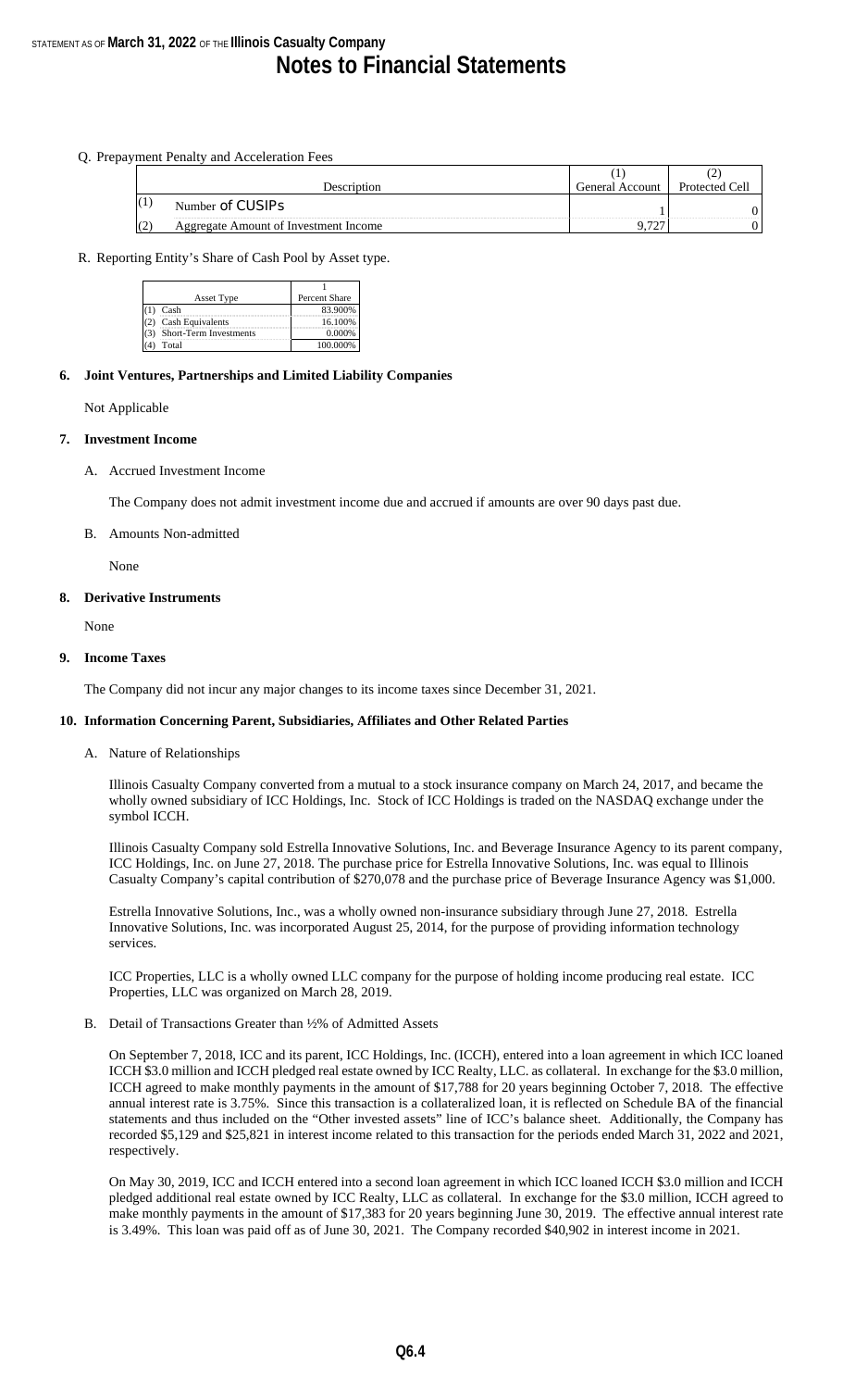#### Q. Prepayment Penalty and Acceleration Fees

| Description                                  | General Account | Protected Cell |
|----------------------------------------------|-----------------|----------------|
| Number of CUSIPs                             |                 |                |
| <b>Aggregate Amount of Investment Income</b> |                 |                |

#### R. Reporting Entity's Share of Cash Pool by Asset type.

| Asset Type             | Percent Share |
|------------------------|---------------|
| Cash                   | 83.900%       |
| Cash Equivalents       | 16.100%       |
| Short-Term Investments | 0.000%        |
| Total                  | 100.000%      |

#### **6. Joint Ventures, Partnerships and Limited Liability Companies**

Not Applicable

#### **7. Investment Income**

A. Accrued Investment Income

The Company does not admit investment income due and accrued if amounts are over 90 days past due.

#### B. Amounts Non-admitted

None

#### **8. Derivative Instruments**

None

#### **9. Income Taxes**

The Company did not incur any major changes to its income taxes since December 31, 2021.

#### **10. Information Concerning Parent, Subsidiaries, Affiliates and Other Related Parties**

A. Nature of Relationships

Illinois Casualty Company converted from a mutual to a stock insurance company on March 24, 2017, and became the wholly owned subsidiary of ICC Holdings, Inc. Stock of ICC Holdings is traded on the NASDAQ exchange under the symbol ICCH.

Illinois Casualty Company sold Estrella Innovative Solutions, Inc. and Beverage Insurance Agency to its parent company, ICC Holdings, Inc. on June 27, 2018. The purchase price for Estrella Innovative Solutions, Inc. was equal to Illinois Casualty Company's capital contribution of \$270,078 and the purchase price of Beverage Insurance Agency was \$1,000.

Estrella Innovative Solutions, Inc., was a wholly owned non-insurance subsidiary through June 27, 2018. Estrella Innovative Solutions, Inc. was incorporated August 25, 2014, for the purpose of providing information technology services.

ICC Properties, LLC is a wholly owned LLC company for the purpose of holding income producing real estate. ICC Properties, LLC was organized on March 28, 2019.

#### B. Detail of Transactions Greater than ½% of Admitted Assets

On September 7, 2018, ICC and its parent, ICC Holdings, Inc. (ICCH), entered into a loan agreement in which ICC loaned ICCH \$3.0 million and ICCH pledged real estate owned by ICC Realty, LLC. as collateral. In exchange for the \$3.0 million, ICCH agreed to make monthly payments in the amount of \$17,788 for 20 years beginning October 7, 2018. The effective annual interest rate is 3.75%. Since this transaction is a collateralized loan, it is reflected on Schedule BA of the financial statements and thus included on the "Other invested assets" line of ICC's balance sheet. Additionally, the Company has recorded \$5,129 and \$25,821 in interest income related to this transaction for the periods ended March 31, 2022 and 2021, respectively.

On May 30, 2019, ICC and ICCH entered into a second loan agreement in which ICC loaned ICCH \$3.0 million and ICCH pledged additional real estate owned by ICC Realty, LLC as collateral. In exchange for the \$3.0 million, ICCH agreed to make monthly payments in the amount of \$17,383 for 20 years beginning June 30, 2019. The effective annual interest rate is 3.49%. This loan was paid off as of June 30, 2021. The Company recorded \$40,902 in interest income in 2021.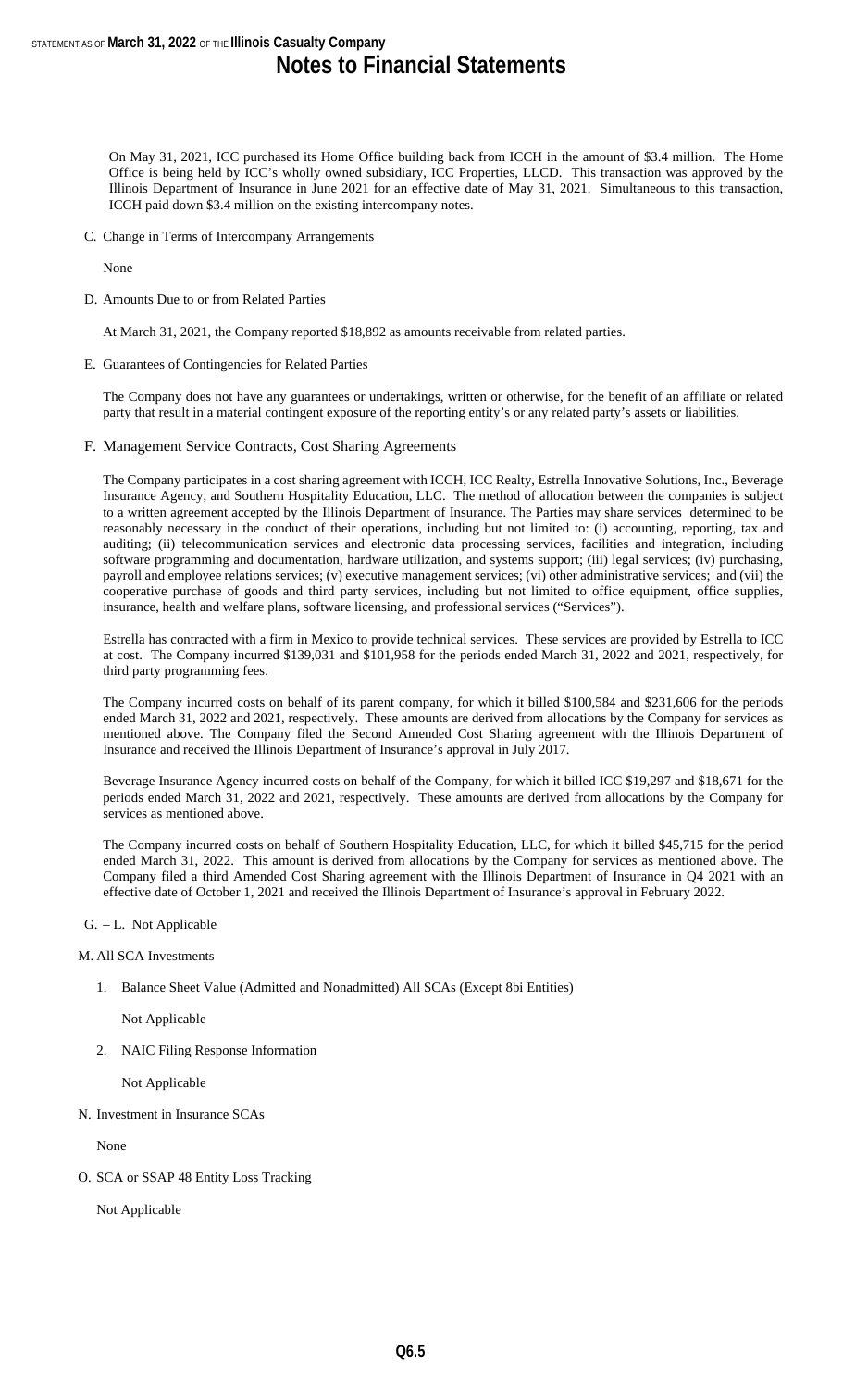On May 31, 2021, ICC purchased its Home Office building back from ICCH in the amount of \$3.4 million. The Home Office is being held by ICC's wholly owned subsidiary, ICC Properties, LLCD. This transaction was approved by the Illinois Department of Insurance in June 2021 for an effective date of May 31, 2021. Simultaneous to this transaction, ICCH paid down \$3.4 million on the existing intercompany notes.

C. Change in Terms of Intercompany Arrangements

None

D. Amounts Due to or from Related Parties

At March 31, 2021, the Company reported \$18,892 as amounts receivable from related parties.

E. Guarantees of Contingencies for Related Parties

The Company does not have any guarantees or undertakings, written or otherwise, for the benefit of an affiliate or related party that result in a material contingent exposure of the reporting entity's or any related party's assets or liabilities.

F. Management Service Contracts, Cost Sharing Agreements

The Company participates in a cost sharing agreement with ICCH, ICC Realty, Estrella Innovative Solutions, Inc., Beverage Insurance Agency, and Southern Hospitality Education, LLC. The method of allocation between the companies is subject to a written agreement accepted by the Illinois Department of Insurance. The Parties may share services determined to be reasonably necessary in the conduct of their operations, including but not limited to: (i) accounting, reporting, tax and auditing; (ii) telecommunication services and electronic data processing services, facilities and integration, including software programming and documentation, hardware utilization, and systems support; (iii) legal services; (iv) purchasing, payroll and employee relations services; (v) executive management services; (vi) other administrative services; and (vii) the cooperative purchase of goods and third party services, including but not limited to office equipment, office supplies, insurance, health and welfare plans, software licensing, and professional services ("Services").

Estrella has contracted with a firm in Mexico to provide technical services. These services are provided by Estrella to ICC at cost. The Company incurred \$139,031 and \$101,958 for the periods ended March 31, 2022 and 2021, respectively, for third party programming fees.

The Company incurred costs on behalf of its parent company, for which it billed \$100,584 and \$231,606 for the periods ended March 31, 2022 and 2021, respectively. These amounts are derived from allocations by the Company for services as mentioned above. The Company filed the Second Amended Cost Sharing agreement with the Illinois Department of Insurance and received the Illinois Department of Insurance's approval in July 2017.

Beverage Insurance Agency incurred costs on behalf of the Company, for which it billed ICC \$19,297 and \$18,671 for the periods ended March 31, 2022 and 2021, respectively. These amounts are derived from allocations by the Company for services as mentioned above.

The Company incurred costs on behalf of Southern Hospitality Education, LLC, for which it billed \$45,715 for the period ended March 31, 2022. This amount is derived from allocations by the Company for services as mentioned above. The Company filed a third Amended Cost Sharing agreement with the Illinois Department of Insurance in Q4 2021 with an effective date of October 1, 2021 and received the Illinois Department of Insurance's approval in February 2022.

#### G. – L. Not Applicable

#### M. All SCA Investments

1. Balance Sheet Value (Admitted and Nonadmitted) All SCAs (Except 8bi Entities)

Not Applicable

2. NAIC Filing Response Information

Not Applicable

N. Investment in Insurance SCAs

None

O. SCA or SSAP 48 Entity Loss Tracking

Not Applicable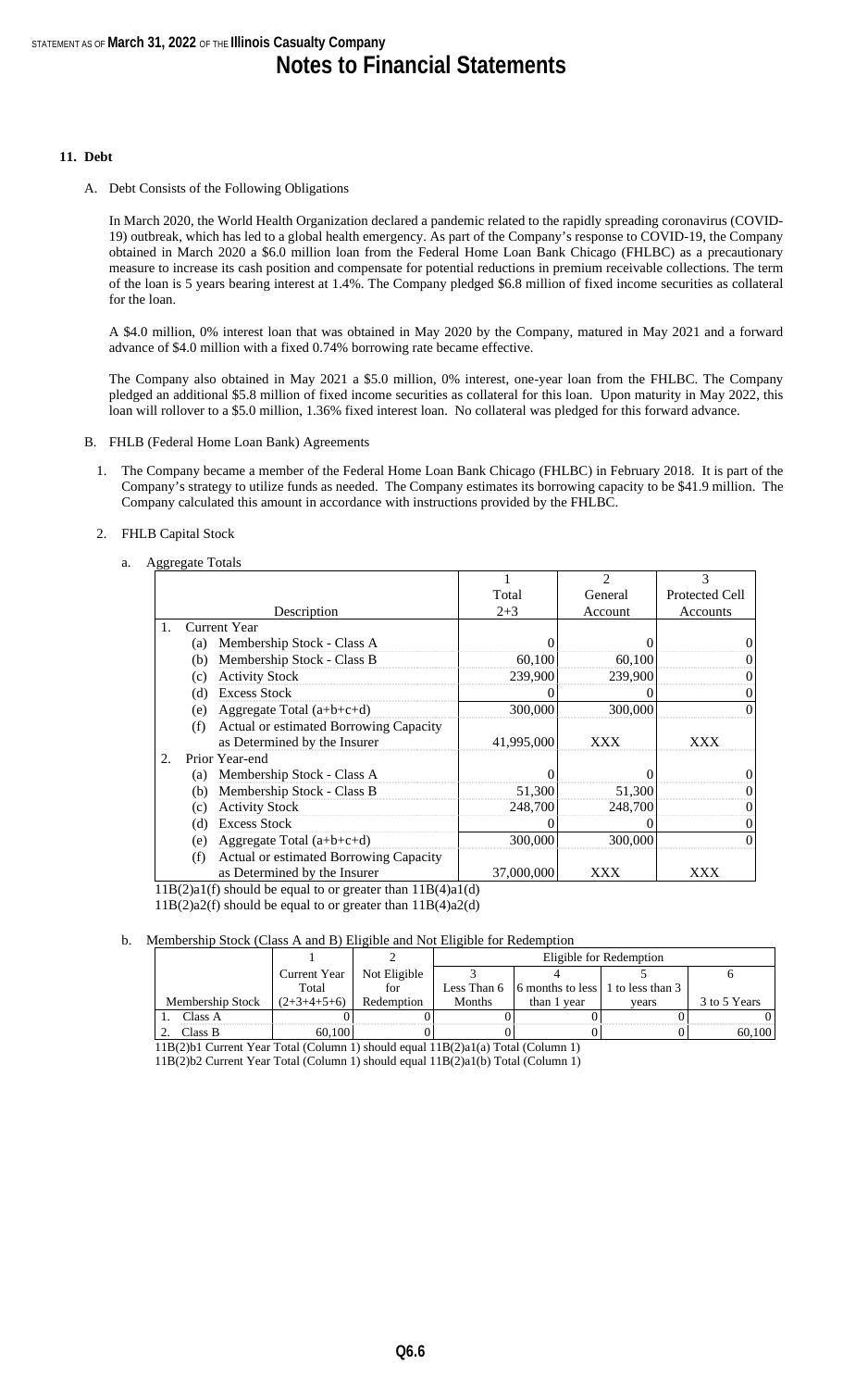#### **11. Debt**

A. Debt Consists of the Following Obligations

In March 2020, the World Health Organization declared a pandemic related to the rapidly spreading coronavirus (COVID-19) outbreak, which has led to a global health emergency. As part of the Company's response to COVID-19, the Company obtained in March 2020 a \$6.0 million loan from the Federal Home Loan Bank Chicago (FHLBC) as a precautionary measure to increase its cash position and compensate for potential reductions in premium receivable collections. The term of the loan is 5 years bearing interest at 1.4%. The Company pledged \$6.8 million of fixed income securities as collateral for the loan.

A \$4.0 million, 0% interest loan that was obtained in May 2020 by the Company, matured in May 2021 and a forward advance of \$4.0 million with a fixed 0.74% borrowing rate became effective.

The Company also obtained in May 2021 a \$5.0 million, 0% interest, one-year loan from the FHLBC. The Company pledged an additional \$5.8 million of fixed income securities as collateral for this loan. Upon maturity in May 2022, this loan will rollover to a \$5.0 million, 1.36% fixed interest loan. No collateral was pledged for this forward advance.

- B. FHLB (Federal Home Loan Bank) Agreements
	- 1. The Company became a member of the Federal Home Loan Bank Chicago (FHLBC) in February 2018. It is part of the Company's strategy to utilize funds as needed. The Company estimates its borrowing capacity to be \$41.9 million. The Company calculated this amount in accordance with instructions provided by the FHLBC.
	- 2. FHLB Capital Stock

#### a Aggregate Totals

| 00 0 |     |                                        |            | $\mathfrak{D}$ | 3                     |
|------|-----|----------------------------------------|------------|----------------|-----------------------|
|      |     |                                        | Total      | General        | <b>Protected Cell</b> |
|      |     | Description                            | $2 + 3$    | Account        | Accounts              |
| 1.   |     | Current Year                           |            |                |                       |
|      | (a) | Membership Stock - Class A             |            |                |                       |
|      | (b) | Membership Stock - Class B             | 60,100     | 60,100         |                       |
|      | (c) | <b>Activity Stock</b>                  | 239,900    | 239,900        |                       |
|      | (d) | <b>Excess Stock</b>                    |            |                |                       |
|      | (e) | Aggregate Total $(a+b+c+d)$            | 300,000    | 300,000        |                       |
|      | (f) | Actual or estimated Borrowing Capacity |            |                |                       |
|      |     | as Determined by the Insurer           | 41,995,000 | XXX            | XXX                   |
| 2.   |     | Prior Year-end                         |            |                |                       |
|      | (a) | Membership Stock - Class A             |            |                | $\Omega$              |
|      | (b) | Membership Stock - Class B             | 51,300     | 51,300         |                       |
|      | (c) | <b>Activity Stock</b>                  | 248,700    | 248,700        |                       |
|      | (d) | <b>Excess Stock</b>                    |            |                |                       |
|      | (e) | Aggregate Total $(a+b+c+d)$            | 300,000    | 300,000        | $\Omega$              |
|      | (f) | Actual or estimated Borrowing Capacity |            |                |                       |
|      |     | as Determined by the Insurer           | 37,000,000 | XXX            | XXX                   |

11B(2)a1(f) should be equal to or greater than 11B(4)a1(d)

11B(2)a2(f) should be equal to or greater than 11B(4)a2(d)

#### b. Membership Stock (Class A and B) Eligible and Not Eligible for Redemption

|                  |               |              | Eligible for Redemption |                                                      |       |              |  |  |  |
|------------------|---------------|--------------|-------------------------|------------------------------------------------------|-------|--------------|--|--|--|
|                  | Current Year  | Not Eligible |                         |                                                      |       |              |  |  |  |
|                  | Total         | for          |                         | Less Than $6 \mid 6$ months to less 1 to less than 3 |       |              |  |  |  |
| Membership Stock | $(2+3+4+5+6)$ | Redemption   | Months                  | than 1 year                                          | vears | 3 to 5 Years |  |  |  |
| Class A          |               |              |                         |                                                      |       |              |  |  |  |
| Class B          | 60.100        |              |                         |                                                      |       | 60.100       |  |  |  |

11B(2)b1 Current Year Total (Column 1) should equal 11B(2)a1(a) Total (Column 1)

11B(2)b2 Current Year Total (Column 1) should equal 11B(2)a1(b) Total (Column 1)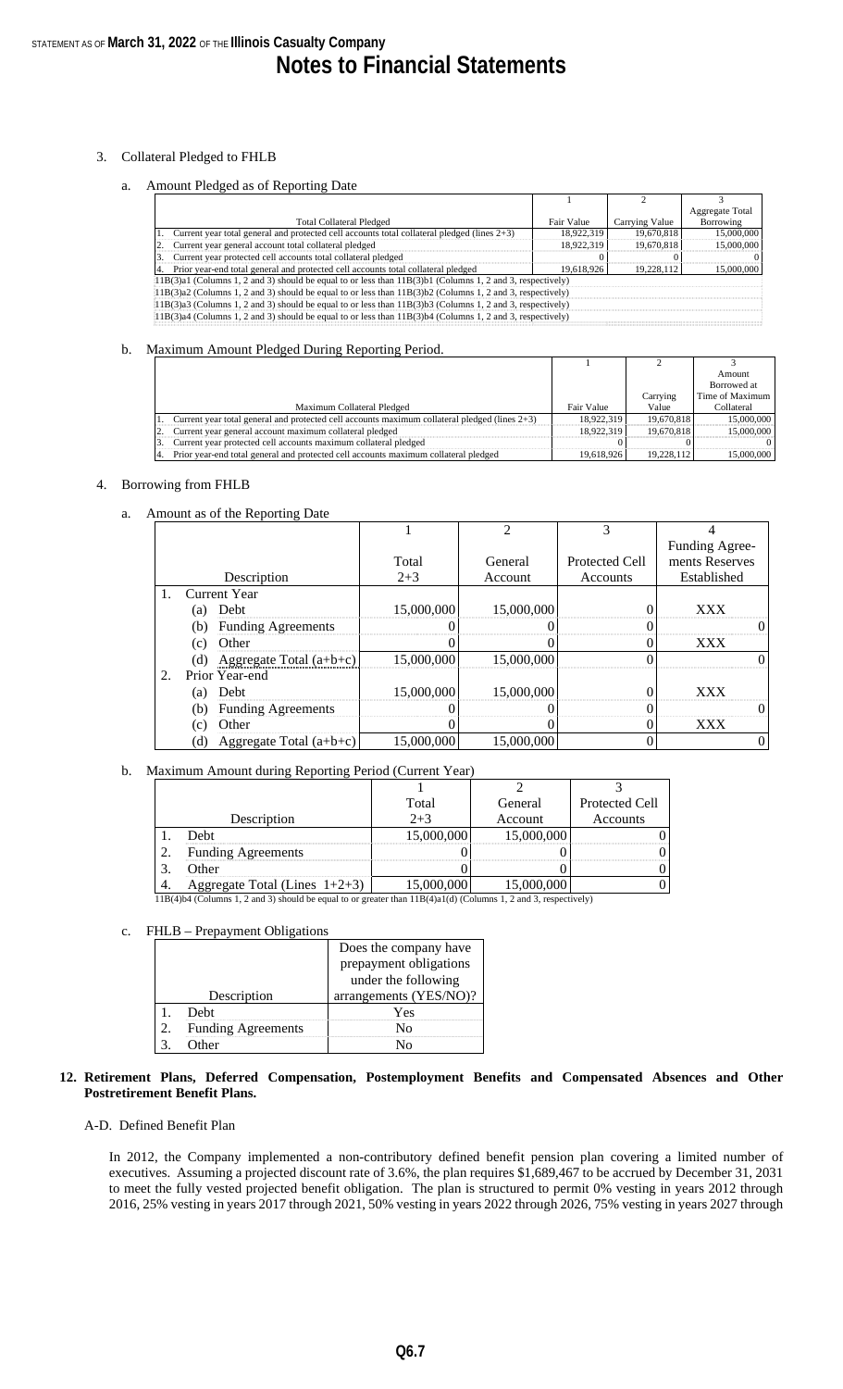#### 3. Collateral Pledged to FHLB

#### a. Amount Pledged as of Reporting Date

|                                                                                                               |            |                | <b>Aggregate Total</b> |
|---------------------------------------------------------------------------------------------------------------|------------|----------------|------------------------|
| <b>Total Collateral Pledged</b>                                                                               | Fair Value | Carrying Value | Borrowing              |
| 1. Current year total general and protected cell accounts total collateral pledged (lines 2+3)                | 18,922,319 | 19.670.818     | 15,000,000             |
| Current year general account total collateral pledged                                                         | 18,922,319 | 19.670.818     | 15,000,000             |
| Current year protected cell accounts total collateral pledged                                                 |            |                |                        |
| Prior year-end total general and protected cell accounts total collateral pledged                             | 19.618.926 | 19.228.112     | 15,000,000             |
| $11B(3)a1$ (Columns 1, 2 and 3) should be equal to or less than $11B(3)b1$ (Columns 1, 2 and 3, respectively) |            |                |                        |
| $11B(3)a2$ (Columns 1, 2 and 3) should be equal to or less than $11B(3)b2$ (Columns 1, 2 and 3, respectively) |            |                |                        |
| $11B(3)a3$ (Columns 1, 2 and 3) should be equal to or less than $11B(3)b3$ (Columns 1, 2 and 3, respectively) |            |                |                        |
| $11B(3)a4$ (Columns 1, 2 and 3) should be equal to or less than $11B(3)b4$ (Columns 1, 2 and 3, respectively) |            |                |                        |
|                                                                                                               |            |                |                        |

#### b. Maximum Amount Pledged During Reporting Period.

|                                                                                                     |            |            | Amount             |
|-----------------------------------------------------------------------------------------------------|------------|------------|--------------------|
|                                                                                                     |            |            | <b>Borrowed</b> at |
|                                                                                                     |            | Carrying   | Time of Maximum    |
| Maximum Collateral Pledged                                                                          | Fair Value | Value      | Collateral         |
| 1. Current year total general and protected cell accounts maximum collateral pledged (lines $2+3$ ) | 18.922.319 | 19,670,818 | 15,000,000         |
| Current year general account maximum collateral pledged                                             | 18.922.319 | 19,670,818 | 15,000,000         |
| Current year protected cell accounts maximum collateral pledged                                     |            |            |                    |
| Prior year-end total general and protected cell accounts maximum collateral pledged                 | 19.618.926 | 19.228.112 | 15,000,000         |

#### 4. Borrowing from FHLB

a. Amount as of the Reporting Date

|    |                                  |            | $\mathfrak{D}$ | 3              |                |
|----|----------------------------------|------------|----------------|----------------|----------------|
|    |                                  |            |                |                | Funding Agree- |
|    |                                  | Total      | General        | Protected Cell | ments Reserves |
|    | Description                      | $2 + 3$    | Account        | Accounts       | Established    |
|    | Current Year                     |            |                |                |                |
|    | Debt<br>(a)                      | 15,000,000 | 15,000,000     | 0              | <b>XXX</b>     |
|    | <b>Funding Agreements</b><br>(b) | 0          | 0              | $\theta$       |                |
|    | Other<br>(c)                     |            | 0              | 0              | XXX            |
|    | Aggregate Total $(a+b+c)$<br>(d) | 15,000,000 | 15,000,000     | ∩              |                |
| 2. | Prior Year-end                   |            |                |                |                |
|    | <b>Debt</b><br>(a)               | 15,000,000 | 15,000,000     | $\theta$       | <b>XXX</b>     |
|    | (b)<br><b>Funding Agreements</b> | 0          | 0              | $\theta$       |                |
|    | Other<br>(c)                     |            |                |                | XXX            |
|    | Aggregate Total $(a+b+c)$<br>(d) | 15,000,000 | 15,000,000     | 0              |                |

#### b. Maximum Amount during Reporting Period (Current Year)

|    |                                  | Total      | General    | Protected Cell |
|----|----------------------------------|------------|------------|----------------|
|    | Description                      | $2 + 3$    | Account    | Accounts       |
|    | Debt                             | 15,000,000 | 15,000,000 |                |
| 2. | <b>Funding Agreements</b>        |            |            |                |
|    | Other                            |            |            |                |
|    | Aggregate Total (Lines $1+2+3$ ) |            | 000,000    |                |

11B(4)b4 (Columns 1, 2 and 3) should be equal to or greater than 11B(4)a1(d) (Columns 1, 2 and 3, respectively)

#### c. FHLB – Prepayment Obligations

|                           | Does the company have  |  |  |  |
|---------------------------|------------------------|--|--|--|
|                           | prepayment obligations |  |  |  |
|                           | under the following    |  |  |  |
| Description               | arrangements (YES/NO)? |  |  |  |
| Debt                      | Yes                    |  |  |  |
| <b>Funding Agreements</b> |                        |  |  |  |
| ither                     |                        |  |  |  |

#### **12. Retirement Plans, Deferred Compensation, Postemployment Benefits and Compensated Absences and Other Postretirement Benefit Plans.**

#### A-D. Defined Benefit Plan

In 2012, the Company implemented a non-contributory defined benefit pension plan covering a limited number of executives. Assuming a projected discount rate of 3.6%, the plan requires \$1,689,467 to be accrued by December 31, 2031 to meet the fully vested projected benefit obligation. The plan is structured to permit 0% vesting in years 2012 through 2016, 25% vesting in years 2017 through 2021, 50% vesting in years 2022 through 2026, 75% vesting in years 2027 through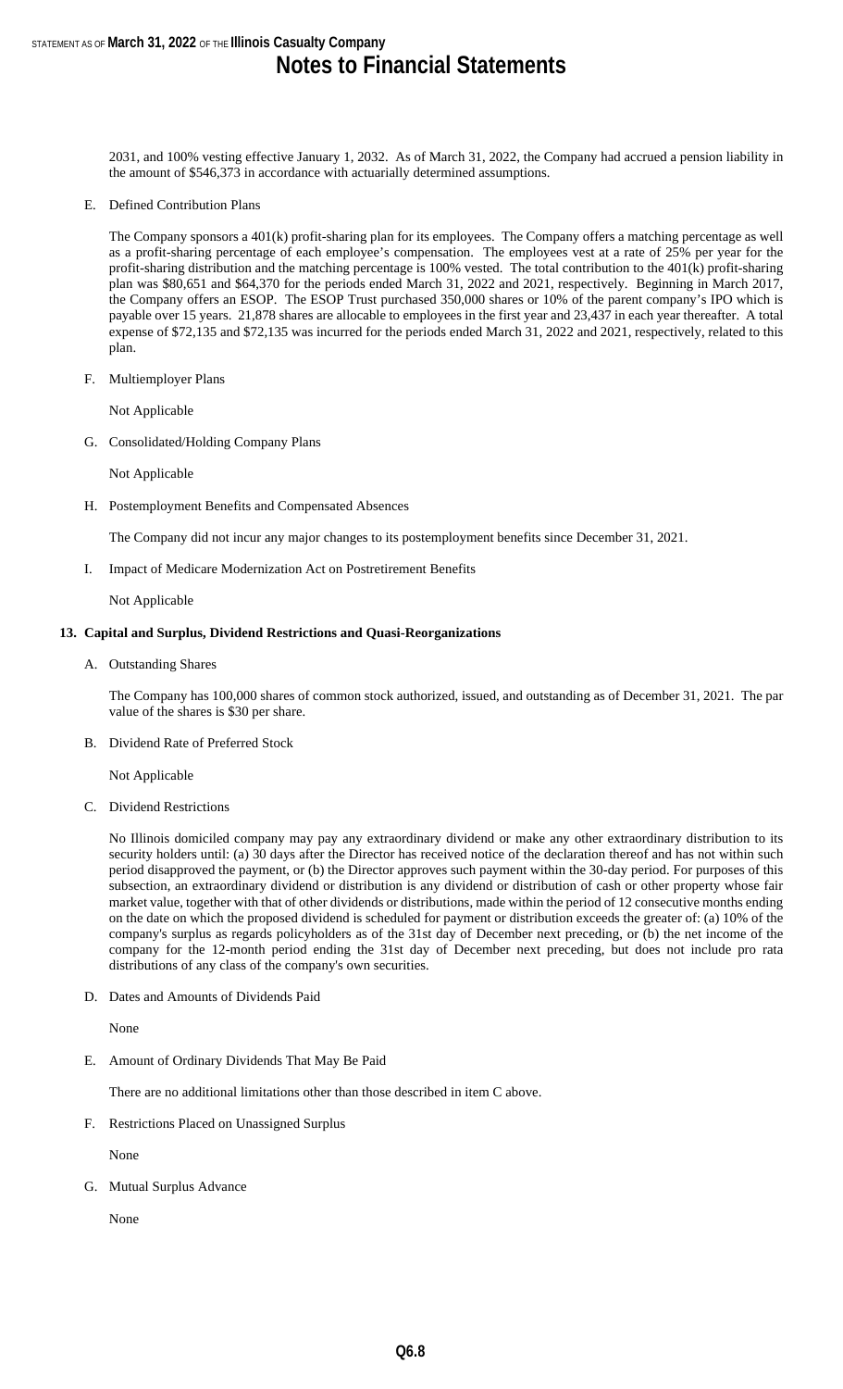2031, and 100% vesting effective January 1, 2032. As of March 31, 2022, the Company had accrued a pension liability in the amount of \$546,373 in accordance with actuarially determined assumptions.

E. Defined Contribution Plans

The Company sponsors a 401(k) profit-sharing plan for its employees. The Company offers a matching percentage as well as a profit-sharing percentage of each employee's compensation. The employees vest at a rate of 25% per year for the profit-sharing distribution and the matching percentage is 100% vested. The total contribution to the 401(k) profit-sharing plan was \$80,651 and \$64,370 for the periods ended March 31, 2022 and 2021, respectively. Beginning in March 2017, the Company offers an ESOP. The ESOP Trust purchased 350,000 shares or 10% of the parent company's IPO which is payable over 15 years. 21,878 shares are allocable to employees in the first year and 23,437 in each year thereafter. A total expense of \$72,135 and \$72,135 was incurred for the periods ended March 31, 2022 and 2021, respectively, related to this plan.

F. Multiemployer Plans

Not Applicable

G. Consolidated/Holding Company Plans

Not Applicable

H. Postemployment Benefits and Compensated Absences

The Company did not incur any major changes to its postemployment benefits since December 31, 2021.

I. Impact of Medicare Modernization Act on Postretirement Benefits

Not Applicable

#### **13. Capital and Surplus, Dividend Restrictions and Quasi-Reorganizations**

A. Outstanding Shares

The Company has 100,000 shares of common stock authorized, issued, and outstanding as of December 31, 2021. The par value of the shares is \$30 per share.

B. Dividend Rate of Preferred Stock

Not Applicable

C. Dividend Restrictions

No Illinois domiciled company may pay any extraordinary dividend or make any other extraordinary distribution to its security holders until: (a) 30 days after the Director has received notice of the declaration thereof and has not within such period disapproved the payment, or (b) the Director approves such payment within the 30-day period. For purposes of this subsection, an extraordinary dividend or distribution is any dividend or distribution of cash or other property whose fair market value, together with that of other dividends or distributions, made within the period of 12 consecutive months ending on the date on which the proposed dividend is scheduled for payment or distribution exceeds the greater of: (a) 10% of the company's surplus as regards policyholders as of the 31st day of December next preceding, or (b) the net income of the company for the 12-month period ending the 31st day of December next preceding, but does not include pro rata distributions of any class of the company's own securities.

D. Dates and Amounts of Dividends Paid

None

E. Amount of Ordinary Dividends That May Be Paid

There are no additional limitations other than those described in item C above.

F. Restrictions Placed on Unassigned Surplus

None

G. Mutual Surplus Advance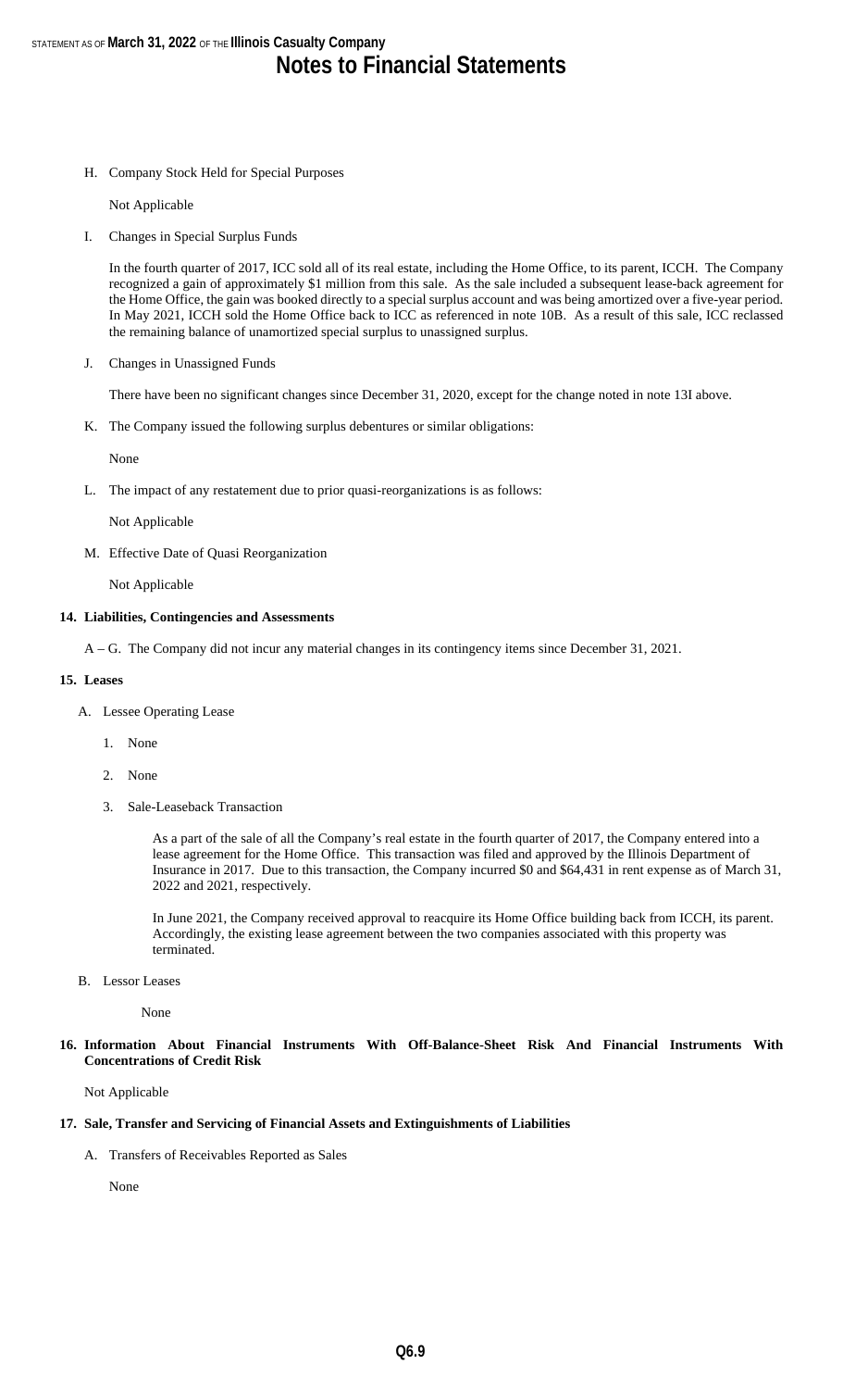H. Company Stock Held for Special Purposes

Not Applicable

I. Changes in Special Surplus Funds

In the fourth quarter of 2017, ICC sold all of its real estate, including the Home Office, to its parent, ICCH. The Company recognized a gain of approximately \$1 million from this sale. As the sale included a subsequent lease-back agreement for the Home Office, the gain was booked directly to a special surplus account and was being amortized over a five-year period. In May 2021, ICCH sold the Home Office back to ICC as referenced in note 10B. As a result of this sale, ICC reclassed the remaining balance of unamortized special surplus to unassigned surplus.

J. Changes in Unassigned Funds

There have been no significant changes since December 31, 2020, except for the change noted in note 13I above.

K. The Company issued the following surplus debentures or similar obligations:

None

L. The impact of any restatement due to prior quasi-reorganizations is as follows:

Not Applicable

M. Effective Date of Quasi Reorganization

Not Applicable

#### **14. Liabilities, Contingencies and Assessments**

A – G. The Company did not incur any material changes in its contingency items since December 31, 2021.

#### **15. Leases**

- A. Lessee Operating Lease
	- 1. None
	- 2. None
	- 3. Sale-Leaseback Transaction

As a part of the sale of all the Company's real estate in the fourth quarter of 2017, the Company entered into a lease agreement for the Home Office. This transaction was filed and approved by the Illinois Department of Insurance in 2017. Due to this transaction, the Company incurred \$0 and \$64,431 in rent expense as of March 31, 2022 and 2021, respectively.

In June 2021, the Company received approval to reacquire its Home Office building back from ICCH, its parent. Accordingly, the existing lease agreement between the two companies associated with this property was terminated.

B. Lessor Leases

None

**16. Information About Financial Instruments With Off-Balance-Sheet Risk And Financial Instruments With Concentrations of Credit Risk**

Not Applicable

#### **17. Sale, Transfer and Servicing of Financial Assets and Extinguishments of Liabilities**

A. Transfers of Receivables Reported as Sales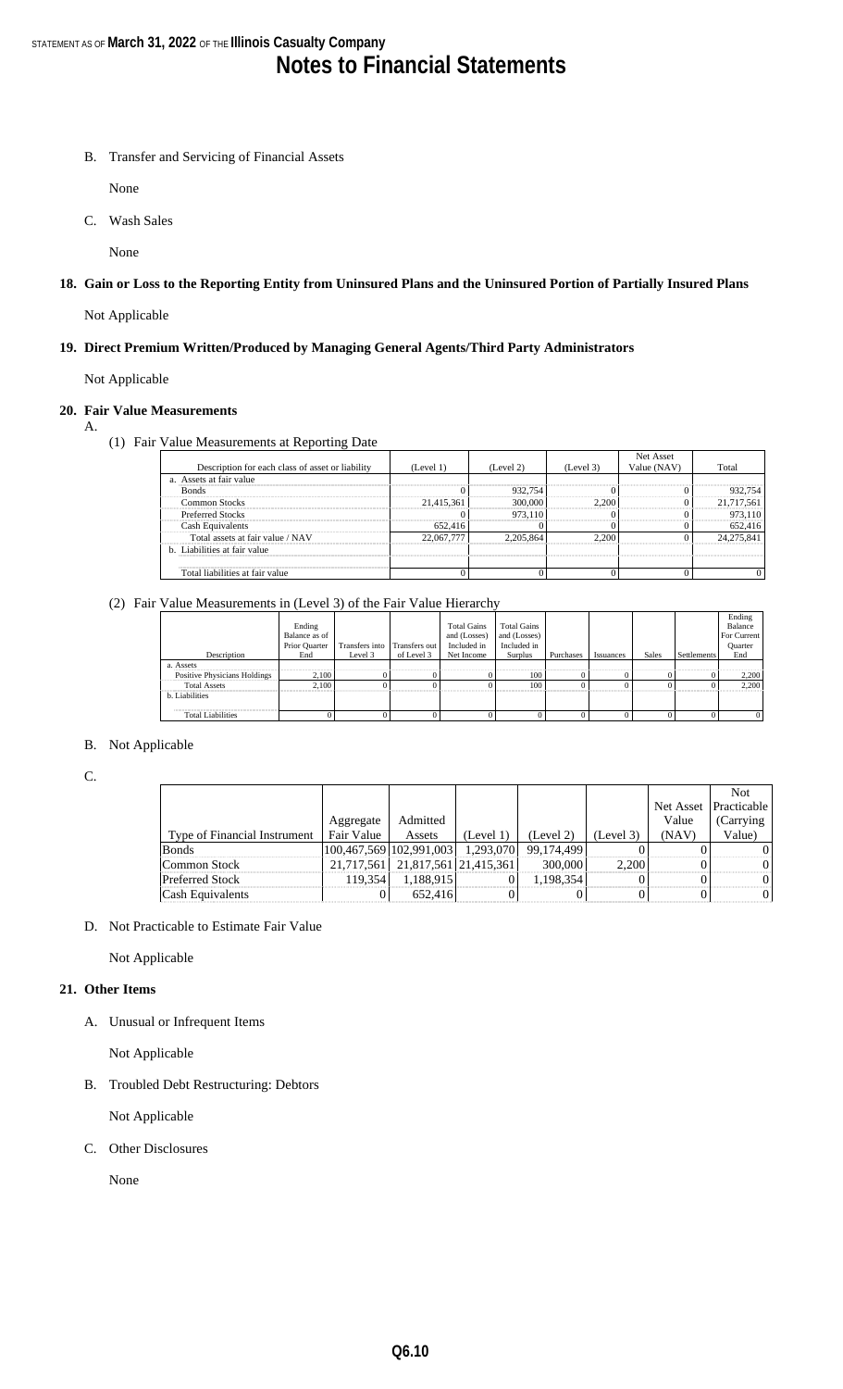B. Transfer and Servicing of Financial Assets

None

C. Wash Sales

None

**18. Gain or Loss to the Reporting Entity from Uninsured Plans and the Uninsured Portion of Partially Insured Plans**

Not Applicable

**19. Direct Premium Written/Produced by Managing General Agents/Third Party Administrators**

Not Applicable

#### **20. Fair Value Measurements** A.

(1) Fair Value Measurements at Reporting Date

|                                                  |            |           |           | Net Asset   |            |
|--------------------------------------------------|------------|-----------|-----------|-------------|------------|
| Description for each class of asset or liability | (Level 1)  | (Level 2) | (Level 3) | Value (NAV) | Total      |
| a. Assets at fair value                          |            |           |           |             |            |
| <b>Bonds</b>                                     |            | 932.754   |           |             | 932,754    |
| Common Stocks                                    | 21,415,361 | 300,000   | 2.200     |             | 21,717,561 |
| <b>Preferred Stocks</b>                          |            | 973.110   |           |             | 973,110    |
| Cash Equivalents                                 | 652,416    |           |           |             | 652,416    |
| Total assets at fair value / NAV                 | 22,067,777 | 2.205.864 | 2.200     |             | 24.275.841 |
| b. Liabilities at fair value                     |            |           |           |             |            |
|                                                  |            |           |           |             |            |
| Total liabilities at fair value                  |            |           |           |             |            |

#### (2) Fair Value Measurements in (Level 3) of the Fair Value Hierarchy

|                              |               |                |               |                    |                    |           |           |       |                    | Ending      |
|------------------------------|---------------|----------------|---------------|--------------------|--------------------|-----------|-----------|-------|--------------------|-------------|
|                              | Ending        |                |               | <b>Total Gains</b> | <b>Total Gains</b> |           |           |       |                    | Balance     |
|                              | Balance as of |                |               | and (Losses)       | and (Losses)       |           |           |       |                    | For Current |
|                              | Prior Quarter | Transfers into | Transfers out | Included in        | Included in        |           |           |       |                    | Quarter     |
| Description                  | End           | Level 3        | of Level 3    | Net Income         | Surplus            | Purchases | Issuances | Sales | <b>Settlements</b> | End         |
| a. Assets                    |               |                |               |                    |                    |           |           |       |                    |             |
| Positive Physicians Holdings | 2,100         |                |               |                    | 100                |           |           |       |                    | 2,200       |
| <b>Total Assets</b>          | 2.100         |                |               |                    | 100                |           |           |       |                    | 2.200       |
| b. Liabilities               |               |                |               |                    |                    |           |           |       |                    |             |
|                              |               |                |               |                    |                    |           |           |       |                    |             |
| <b>Total Liabilities</b>     |               |                |               |                    |                    |           |           |       |                    |             |

#### B. Not Applicable

C.

|                              |            |                                       |           |            |           |       | <b>Not</b>            |
|------------------------------|------------|---------------------------------------|-----------|------------|-----------|-------|-----------------------|
|                              |            |                                       |           |            |           |       | Net Asset Practicable |
|                              | Aggregate  | Admitted                              |           |            |           | Value | (Carrying)            |
| Type of Financial Instrument | Fair Value | Assets                                | (Level 1) | (Level 2)  | (Level 3) | (NAV) | Value)                |
| <b>Bonds</b>                 |            | 100,467,569   102,991,003   1,293,070 |           | 99,174,499 |           |       |                       |
| Common Stock                 |            | 21,717,561 21,817,561 21,415,361      |           | 300,000    | 2.200     |       | $^{\prime}$           |
| <b>Preferred Stock</b>       | 119.354    | 1,188,915                             |           | 1,198,354  |           |       | $^{\prime}$           |
| <b>Cash Equivalents</b>      |            | 652.416                               |           |            |           |       | $\Omega$              |

D. Not Practicable to Estimate Fair Value

Not Applicable

#### **21. Other Items**

A. Unusual or Infrequent Items

Not Applicable

B. Troubled Debt Restructuring: Debtors

Not Applicable

C. Other Disclosures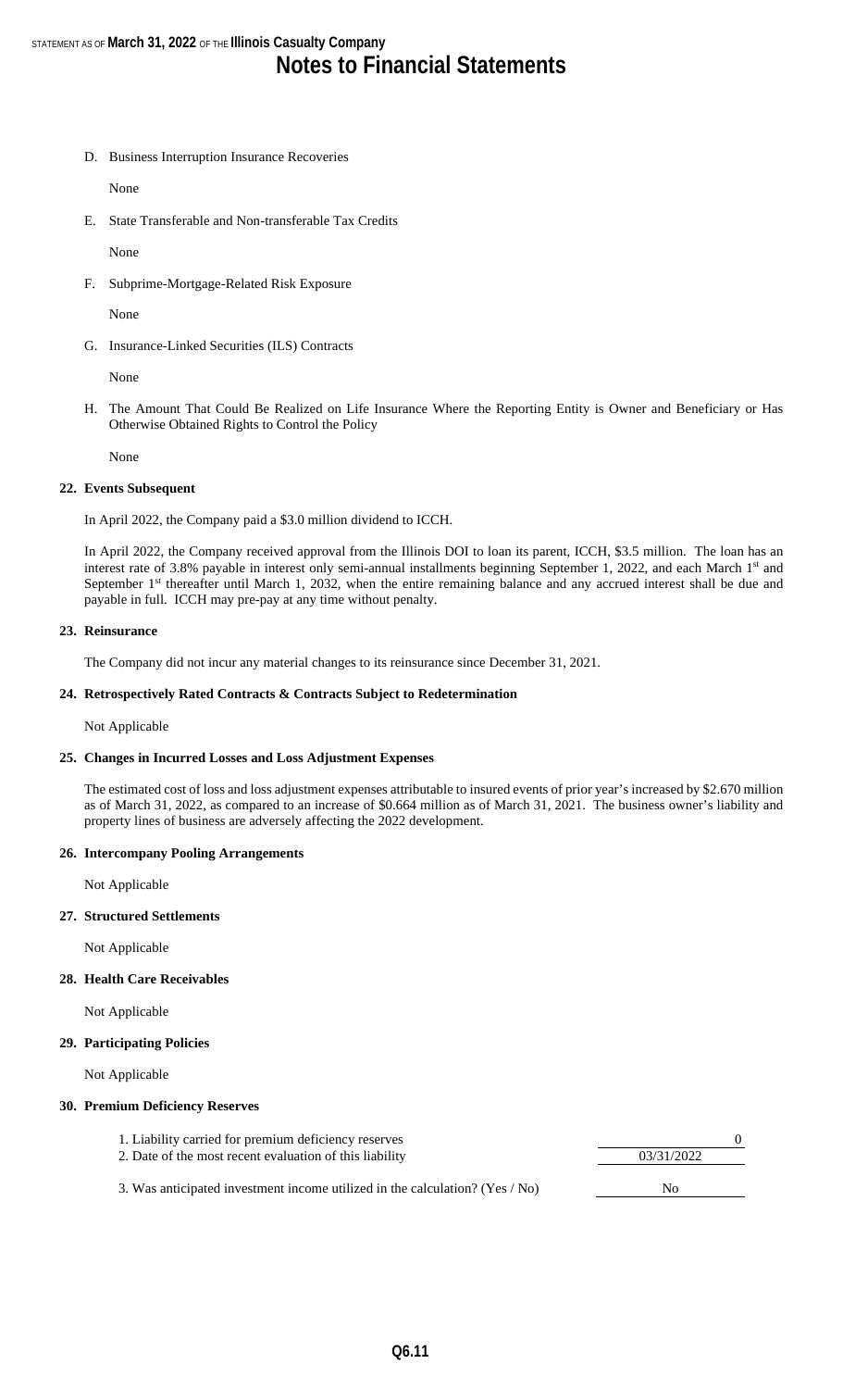D. Business Interruption Insurance Recoveries

None

E. State Transferable and Non-transferable Tax Credits

None

F. Subprime-Mortgage-Related Risk Exposure

None

G. Insurance-Linked Securities (ILS) Contracts

None

H. The Amount That Could Be Realized on Life Insurance Where the Reporting Entity is Owner and Beneficiary or Has Otherwise Obtained Rights to Control the Policy

None

#### **22. Events Subsequent**

In April 2022, the Company paid a \$3.0 million dividend to ICCH.

In April 2022, the Company received approval from the Illinois DOI to loan its parent, ICCH, \$3.5 million. The loan has an interest rate of 3.8% payable in interest only semi-annual installments beginning September 1, 2022, and each March 1<sup>st</sup> and September 1<sup>st</sup> thereafter until March 1, 2032, when the entire remaining balance and any accrued interest shall be due and payable in full. ICCH may pre-pay at any time without penalty.

#### **23. Reinsurance**

The Company did not incur any material changes to its reinsurance since December 31, 2021.

#### **24. Retrospectively Rated Contracts & Contracts Subject to Redetermination**

Not Applicable

#### **25. Changes in Incurred Losses and Loss Adjustment Expenses**

The estimated cost of loss and loss adjustment expenses attributable to insured events of prior year's increased by \$2.670 million as of March 31, 2022, as compared to an increase of \$0.664 million as of March 31, 2021. The business owner's liability and property lines of business are adversely affecting the 2022 development.

#### **26. Intercompany Pooling Arrangements**

Not Applicable

#### **27. Structured Settlements**

Not Applicable

#### **28. Health Care Receivables**

Not Applicable

#### **29. Participating Policies**

Not Applicable

#### **30. Premium Deficiency Reserves**

- 1. Liability carried for premium deficiency reserves 2. Date of the most recent evaluation of this liability 03/31/2022
- 3. Was anticipated investment income utilized in the calculation? (Yes / No) No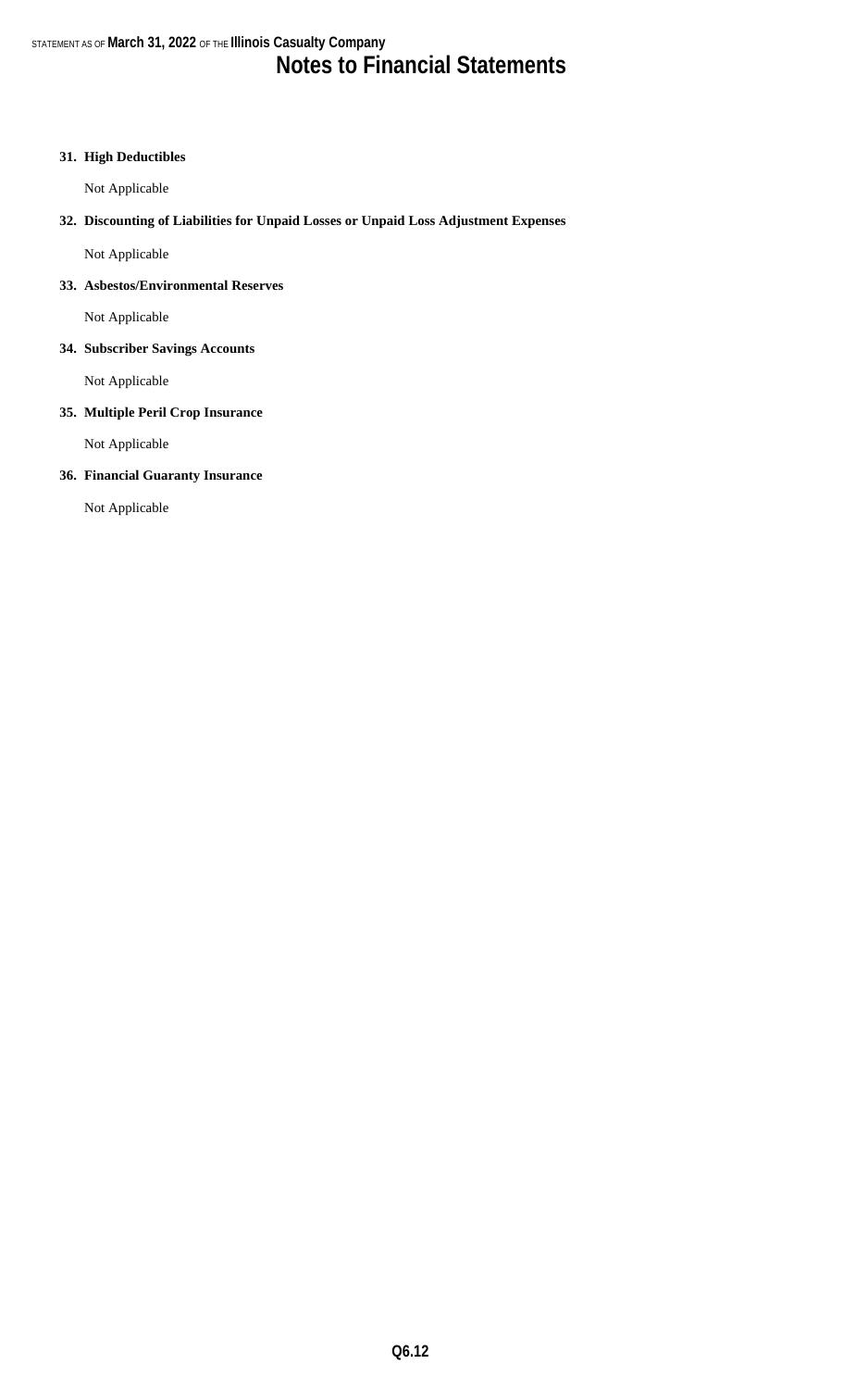#### **31. High Deductibles**

Not Applicable

#### **32. Discounting of Liabilities for Unpaid Losses or Unpaid Loss Adjustment Expenses**

Not Applicable

#### **33. Asbestos/Environmental Reserves**

Not Applicable

#### **34. Subscriber Savings Accounts**

Not Applicable

#### **35. Multiple Peril Crop Insurance**

Not Applicable

#### **36. Financial Guaranty Insurance**

Not Applicable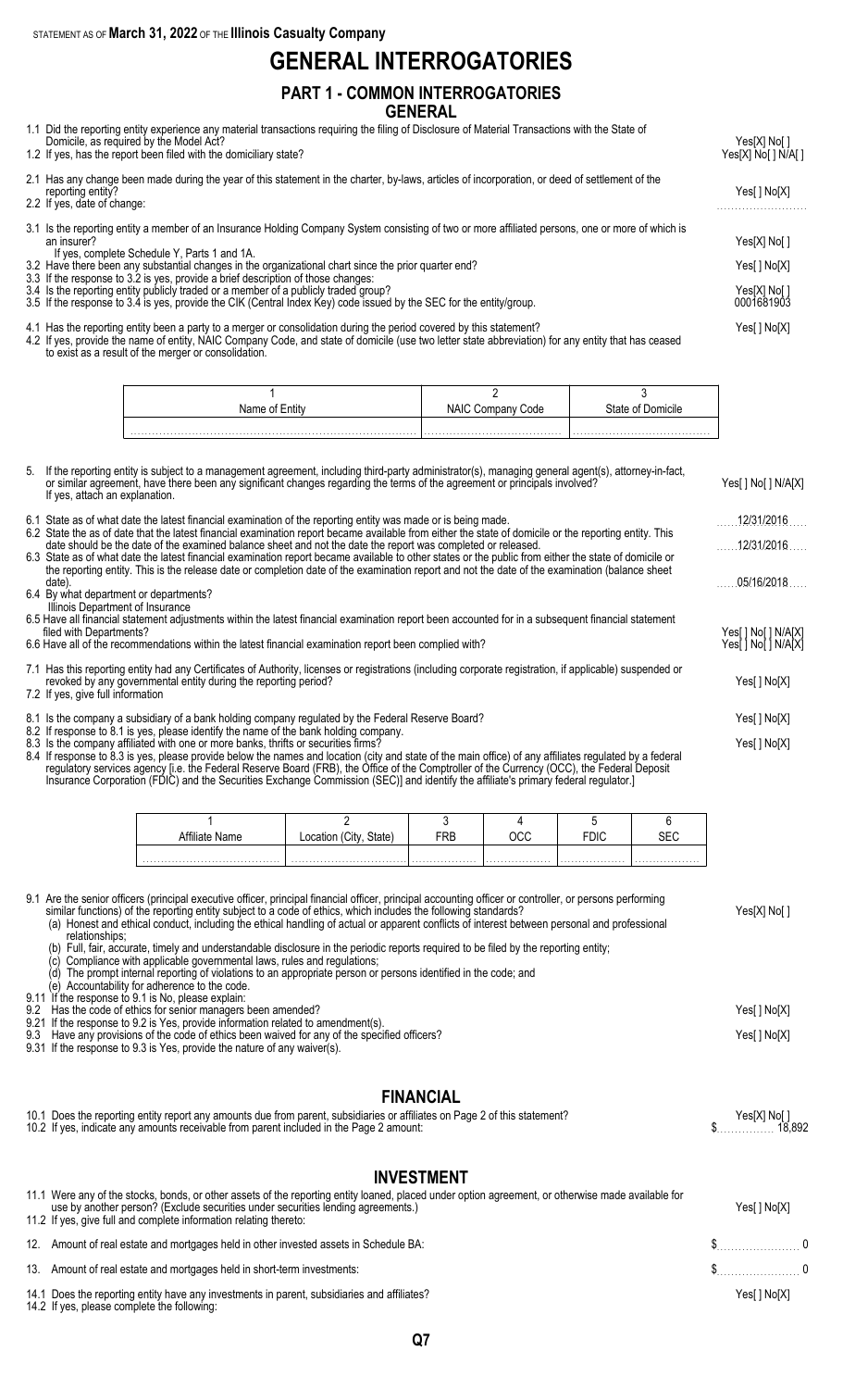STATEMENT AS OF **March 31, 2022** OF THE **Illinois Casualty Company**

### **GENERAL INTERROGATORIES**

#### **PART 1 - COMMON INTERROGATORIES GENERAL**

1.1 Did the reporting entity experience any material transactions requiring the filing of Disclosure of Material Transactions with the State of

| Domicile, as required by the Model Act?<br>1.2 If yes, has the report been filed with the domiciliary state?                                                                                                                                                                                                                                                                                                                                                                                                                                                                                                               | Yes[X] No[ ]<br>Yes[X] No[ ] N/A[ ]                        |
|----------------------------------------------------------------------------------------------------------------------------------------------------------------------------------------------------------------------------------------------------------------------------------------------------------------------------------------------------------------------------------------------------------------------------------------------------------------------------------------------------------------------------------------------------------------------------------------------------------------------------|------------------------------------------------------------|
| 2.1 Has any change been made during the year of this statement in the charter, by-laws, articles of incorporation, or deed of settlement of the<br>reporting entity?<br>2.2 If yes, date of change:                                                                                                                                                                                                                                                                                                                                                                                                                        |                                                            |
| 3.1 Is the reporting entity a member of an Insurance Holding Company System consisting of two or more affiliated persons, one or more of which is<br>an insurer?<br>If yes, complete Schedule Y, Parts 1 and 1A.<br>3.2 Have there been any substantial changes in the organizational chart since the prior quarter end?<br>3.3 If the response to 3.2 is yes, provide a brief description of those changes:<br>3.4 Is the reporting entity publicly traded or a member of a publicly traded group?<br>3.5 If the response to 3.4 is yes, provide the CIK (Central Index Key) code issued by the SEC for the entity/group. | Yes[X] No[ ]<br>Yes[ ] No[X]<br>Yes[X] No[ ]<br>0001681903 |

4.1 Has the reporting entity been a party to a merger or consolidation during the period covered by this statement? Yes[ ] No[X] 4.2 If yes, provide the name of entity, NAIC Company Code, and state of domicile (use two letter state abbreviation) for any entity that has ceased to exist as a result of the merger or consolidation.

| Name of Entity | NAIC '<br>Code<br>∪ompa | State of Domicile |
|----------------|-------------------------|-------------------|
|                |                         |                   |

| 5. | If the reporting entity is subject to a management agreement, including third-party administrator(s), managing general agent(s), attorney-in-fact,<br>or similar agreement, have there been any significant changes regarding the terms of the agreement or principals involved?<br>If yes, attach an explanation.                                                                                                                                                                 | Yes[] No[] N/A[X]   |
|----|------------------------------------------------------------------------------------------------------------------------------------------------------------------------------------------------------------------------------------------------------------------------------------------------------------------------------------------------------------------------------------------------------------------------------------------------------------------------------------|---------------------|
|    | 6.1 State as of what date the latest financial examination of the reporting entity was made or is being made.                                                                                                                                                                                                                                                                                                                                                                      | 12/31/2016          |
|    | 6.2 State the as of date that the latest financial examination report became available from either the state of domicile or the reporting entity. This<br>date should be the date of the examined balance sheet and not the date the report was completed or released.                                                                                                                                                                                                             | 12/31/2016          |
|    | 6.3 State as of what date the latest financial examination report became available to other states or the public from either the state of domicile or<br>the reporting entity. This is the release date or completion date of the examination report and not the date of the examination (balance sheet<br>date)                                                                                                                                                                   | 05/16/2018          |
|    | 6.4 By what department or departments?<br>Illinois Department of Insurance                                                                                                                                                                                                                                                                                                                                                                                                         |                     |
|    | 6.5 Have all financial statement adjustments within the latest financial examination report been accounted for in a subsequent financial statement<br>filed with Departments?                                                                                                                                                                                                                                                                                                      | Yes[ ] No[ ] N/A[X] |
|    | 6.6 Have all of the recommendations within the latest financial examination report been complied with?                                                                                                                                                                                                                                                                                                                                                                             | Yes[ ] No[ ] N/A[X] |
|    | 7.1 Has this reporting entity had any Certificates of Authority, licenses or registrations (including corporate registration, if applicable) suspended or<br>revoked by any governmental entity during the reporting period?<br>7.2 If yes, give full information                                                                                                                                                                                                                  |                     |
|    | 8.1 Is the company a subsidiary of a bank holding company regulated by the Federal Reserve Board?                                                                                                                                                                                                                                                                                                                                                                                  | Yes[] No[X]         |
|    | 8.2 If response to 8.1 is yes, please identify the name of the bank holding company.<br>8.3 Is the company affiliated with one or more banks, thrifts or securities firms?<br>8.4 If response to 8.3 is yes, please provide below the names and location (city and state of the main office) of any affiliates regulated by a federal<br>requisitory escriptors against Lie the Eaderal Besary Board (EDD) the Office of the Comptreller of the Currency (OCC) the Eaderal Deposit | Yes[] No[X]         |

regulatory services agency [i.e. the Federal Reserve Board (FRB), the Office of the Comptroller of the Currency (OCC), the Federal Deposit Insurance Corporation (FDIC) and the Securities Exchange Commission (SEC)] and identify the affiliate's primary federal regulator.]

|                |       |     | ົດ |      |     |
|----------------|-------|-----|----|------|-----|
| Attiliate Name | (tate | FRB |    | 'Dic | ∟∟د |
|                |       |     |    |      |     |
|                |       |     | .  | .    | .   |

9.1 Are the senior officers (principal executive officer, principal financial officer, principal accounting officer or controller, or persons performing similar functions) of the reporting entity subject to a code of ethics, which includes the following standards? Yes[X] No[ ] (a) Honest and ethical conduct, including the ethical handling of actual or apparent conflicts of interest between personal and professional

relationships; (b) Full, fair, accurate, timely and understandable disclosure in the periodic reports required to be filed by the reporting entity;

(c) Compliance with applicable governmental laws, rules and regulations;

(d) The prompt internal reporting of violations to an appropriate person or persons identified in the code; and

(e) Accountability for adherence to the code.

9.11 If the response to 9.1 is No, please explain:

9.2 Has the code of ethics for senior managers been amended? Yes[ ] No[X]

9.21 If the response to 9.2 is Yes, provide information related to amendment(s). 9.3 Have any provisions of the code of ethics been waived for any of the specified officers? The state of the specified officers and the specified officers?

9.31 If the response to 9.3 is Yes, provide the nature of any waiver(s).

#### **FINANCIAL**

| 10.1 Does the reporting entity report any amounts due from parent, subsidiaries or affiliates on Page 2 of this statement? | Yes[X] No[] |
|----------------------------------------------------------------------------------------------------------------------------|-------------|
| 10.2 If yes, indicate any amounts receivable from parent included in the Page 2 amount:                                    |             |
|                                                                                                                            |             |

#### **INVESTMENT**

| 11.1 Were any of the stocks, bonds, or other assets of the reporting entity loaned, placed under option agreement, or otherwise made available for<br>use by another person? (Exclude securities under securities lending agreements.)<br>11.2 If yes, give full and complete information relating thereto: | Yes[ ] No[X] |  |
|-------------------------------------------------------------------------------------------------------------------------------------------------------------------------------------------------------------------------------------------------------------------------------------------------------------|--------------|--|
| 12. Amount of real estate and mortgages held in other invested assets in Schedule BA:                                                                                                                                                                                                                       | $\sim$ 0     |  |
| 13. Amount of real estate and mortgages held in short-term investments:                                                                                                                                                                                                                                     | $\sim$ 0     |  |
| 14.1 Does the reporting entity have any investments in parent, subsidiaries and affiliates?<br>14.2 If yes, please complete the following:                                                                                                                                                                  | Yes[ ] No[X] |  |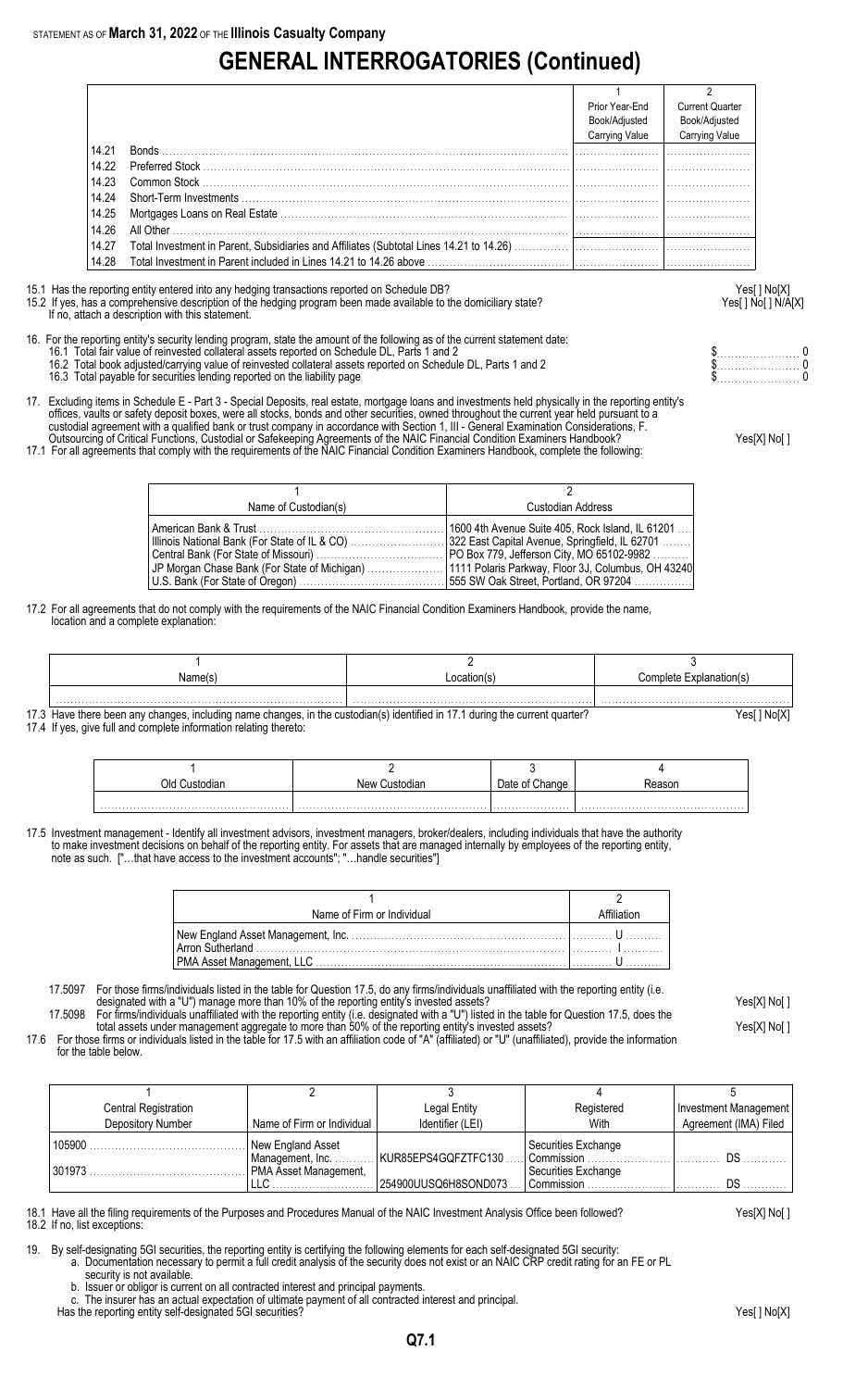# **GENERAL INTERROGATORIES (Continued)**

|       |                                                                                         | Prior Year-End<br>Book/Adjusted<br>Carrying Value | <b>Current Quarter</b><br>Book/Adjusted<br>Carrying Value |
|-------|-----------------------------------------------------------------------------------------|---------------------------------------------------|-----------------------------------------------------------|
| 14.21 |                                                                                         |                                                   |                                                           |
| 14.22 |                                                                                         |                                                   |                                                           |
| 14.23 |                                                                                         |                                                   |                                                           |
| 14.24 |                                                                                         |                                                   |                                                           |
| 14.25 |                                                                                         |                                                   |                                                           |
| 14.26 | All Other <b>All Other</b>                                                              |                                                   |                                                           |
| 14.27 | Total Investment in Parent, Subsidiaries and Affiliates (Subtotal Lines 14.21 to 14.26) |                                                   |                                                           |
| 14.28 |                                                                                         |                                                   |                                                           |

15.1 Has the reporting entity entered into any hedging transactions reported on Schedule DB? Yes[ ] No[X]

If no, attach a description with this statement.

### 15.2 If yes, has a comprehensive description of the hedging program been made available to the domiciliary state? Yesel 1 No [ ] No [ ] N/A[X]

- 16. For the reporting entity's security lending program, state the amount of the following as of the current statement date: 16.1 Total fair value of reinvested collateral assets reported on Schedule DL, Parts 1 and 2 **but a set a set a set a** set a set a set a set a protect on Schedule DL, Parts 1 and 2 **but a set a set a set a set a set a set** 
	- 16.2 Total book adjusted/carrying value of reinvested collateral assets reported on Schedule DL, Parts 1 and 2 \$. . . . . . . . . . . . . . . . . . . . . . . 0 16.2 Total book adjusted/carrying value of reinvested collateral assets reported on Schedule DL, Parts 1 and 2<br>16.3 Total payable for securities lending reported on the liability page the schedule DL, Parts 1 and 2 to the
- 17. Excluding items in Schedule E Part 3 Special Deposits, real estate, mortgage loans and investments held physically in the reporting entity's offices, vaults or safety deposit boxes, were all stocks, bonds and other securities, owned throughout the current year held pursuant to a custodial agreement with a qualified bank or trust company in accordance with Section 1, III - General Examination Considerations, F.
- Outsourcing of Critical Functions, Custodial or Safekeeping Agreements of the NAIC Financial Condition Examiners Handbook? Yes[X] No[ ] 17.1 For all agreements that comply with the requirements of the NAIC Financial Condition Examiners Handbook, complete the following:

1 and  $\overline{2}$ Name of Custodian(s) and Custodian Address American Bank & Trust . . . . . . . . . . . . . . . . . . . . . . . . . . . . . . . . . . . . . . . . . . . . . . . . . . . 1600 4th Avenue Suite 405, Rock Island, IL 61201 . . . . Illinois National Bank (For State of IL & CO) . . . . . . . . . . . . . . . . . . . . . . . . . . 322 East Capital Avenue, Springfield, IL 62701 . . . . . . . . Central Bank (For State of Missouri) . . . . . . . . . . . . . . . . . . . . . . . . . . . . . . . . . . . PO Box 779, Jefferson City, MO 65102-9982 . . . . . . . . . . JP Morgan Chase Bank (For State of Michigan) . . . . . . . . . . . . . . . . . . . . . 1111 Polaris Parkway, Floor 3J, Columbus, OH 43240 U.S. Bank (For State of Oregon) . . . . . . . . . . . . . . . . . . . . . . . . . . . . . . . . . . . . . . . . 555 SW Oak Street, Portland, OR 97204 . . . . . . . . . . . . . . . .

17.2 For all agreements that do not comply with the requirements of the NAIC Financial Condition Examiners Handbook, provide the name, location and a complete explanation:

| Name(s | ≅≏ation⊾ | ∶omplete Explanat<br>nation(s) |
|--------|----------|--------------------------------|
|        |          |                                |

17.3 Have there been any changes, including name changes, in the custodian(s) identified in 17.1 during the current quarter? Yesell No[X] 17.4 If yes, give full and complete information relating thereto:

| ٦Ι, | New ' | Date<br>Change | asor |
|-----|-------|----------------|------|
|     |       |                |      |

17.5 Investment management - Identify all investment advisors, investment managers, broker/dealers, including individuals that have the authority to make investment decisions on behalf of the reporting entity. For assets that are managed internally by employees of the reporting entity, note as such. ["…that have access to the investment accounts"; "…handle securities"]

| Name of Firm or Individual |  |
|----------------------------|--|
|                            |  |
|                            |  |

- 17.5097 For those firms/individuals listed in the table for Question 17.5, do any firms/individuals unaffiliated with the reporting entity (i.e. designated with a "U") manage more than 10% of the reporting entity's invested assets? Yes[X] No[ ]
- 17.5098 For firms/individuals unaffiliated with the reporting entity (i.e. designated with a "U") listed in the table for Question 17.5, does the total assets under management aggregate to more than 50% of the reporting entity's invested assets? Yes[X] No[ ]
- 17.6 For those firms or individuals listed in the table for 17.5 with an affiliation code of "A" (affiliated) or "U" (unaffiliated), provide the information for the table below.

| <b>Central Registration</b> |                                       | Legal Entity         | Registered                          | Investment Management |
|-----------------------------|---------------------------------------|----------------------|-------------------------------------|-----------------------|
| Depository Number           | Name of Firm or Individual            | Identifier (LEI)     | With                                | Agreement (IMA) Filed |
| 105900                      | New England Asset<br>Management, Inc. | KUR85EPS4GQFZTFC130  | Securities Exchange<br>Commission   | D.S                   |
| 301973                      | PMA Asset Management,                 | 254900UUSQ6H8SOND073 | Securities Exchange<br>l Commission |                       |

18.1 Have all the filing requirements of the Purposes and Procedures Manual of the NAIC Investment Analysis Office been followed? Yes[X] No[ ] 18.2 If no, list exceptions:

- 19. By self-designating 5GI securities, the reporting entity is certifying the following elements for each self-designated 5GI security:
	- a. Documentation necessary to permit a full credit analysis of the security does not exist or an NAIC CRP credit rating for an FE or PL
		- security is not available.
		- b. Issuer or obligor is current on all contracted interest and principal payments.
		- The insurer has an actual expectation of ultimate payment of all contracted interest and principal.
	- Has the reporting entity self-designated 5GI securities? The reporting entity self-designated 5GI securities? Yes

**Q7.1**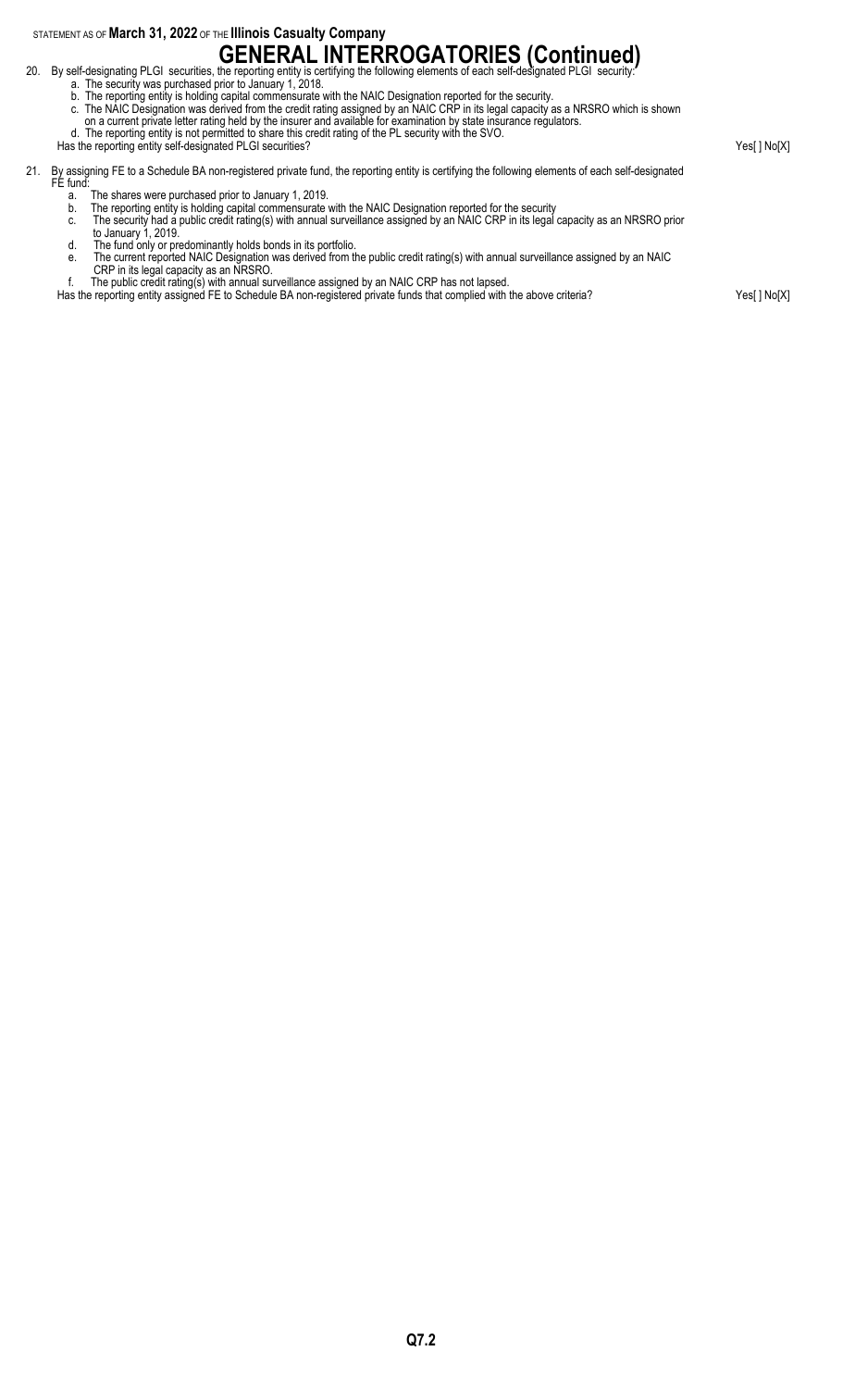STATEMENT AS OF **March 31, 2022** OF THE **Illinois Casualty Company**

# **GENERAL INTERROGATORIES (Continued)**<br>20. By self-designating PLGI securities, the reporting entity is certifying the following elements of each self-designated PLGI security:

- 
- a. The security was purchased prior to January 1, 2018.
- b. The reporting entity is holding capital commensurate with the NAIC Designation reported for the security.
- c. The NAIC Designation was derived from the credit rating assigned by an NAIC CRP in its legal capacity as a NRSRO which is shown on a current private letter rating held by the insurer and available for examination by state insurance regulators.
- d. The reporting entity is not permitted to share this credit rating of the PL security with the SVO.

Has the reporting entity self-designated PLGI securities? Yes[ ] No[X] 21. By assigning FE to a Schedule BA non-registered private fund, the reporting entity is certifying the following elements of each self-designated FE fund: a. The shares were purchased prior to January 1, 2019. b. The reporting entity is holding capital commensurate with the NAIC Designation reported for the security c. The security had a public credit rating(s) with annual surveillance assigned by an NAIC CRP in its legal capacity as an NRSRO prior to January 1, 2019. d. The fund only or predominantly holds bonds in its portfolio. e. The current reported NAIC Designation was derived from the public credit rating(s) with annual surveillance assigned by an NAIC

- CRP in its legal capacity as an NRSRO.
- f. The public credit rating(s) with annual surveillance assigned by an NAIC CRP has not lapsed.
- Has the reporting entity assigned FE to Schedule BA non-registered private funds that complied with the above criteria? Yes[ ] No[X]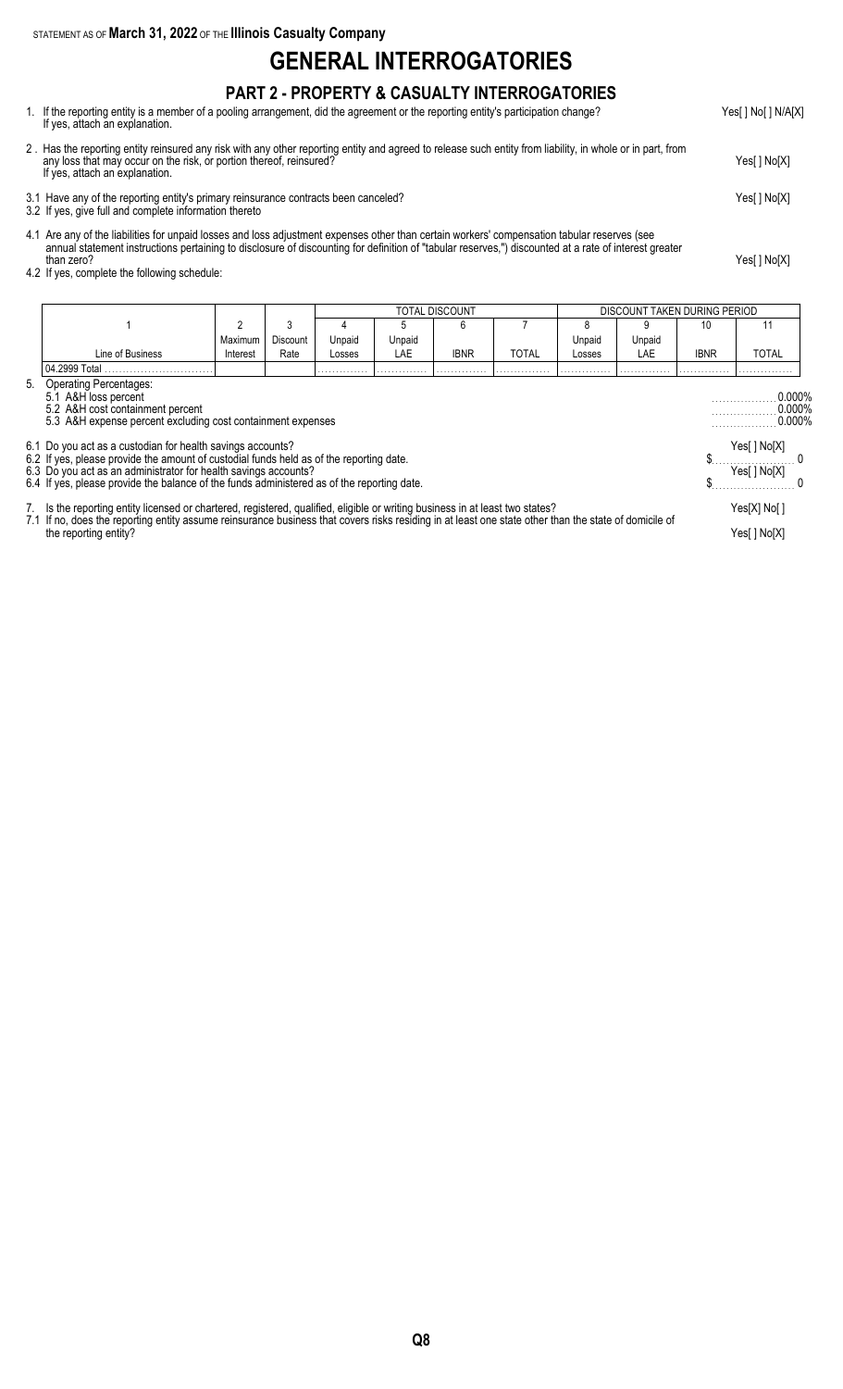STATEMENT AS OF **March 31, 2022** OF THE **Illinois Casualty Company**

### **GENERAL INTERROGATORIES**

#### **PART 2 - PROPERTY & CASUALTY INTERROGATORIES**

- 1. If the reporting entity is a member of a pooling arrangement, did the agreement or the reporting entity's participation change? Yes[ ] No[ ] N/A[X] If yes, attach an explanation.
- 2 . Has the reporting entity reinsured any risk with any other reporting entity and agreed to release such entity from liability, in whole or in part, from any loss that may occur on the risk, or portion thereof, reinsured? Yes[ ] No[X] If yes, attach an explanation.
- 3.1 Have any of the reporting entity's primary reinsurance contracts been canceled? Yes[ ] No[X]
- 3.2 If yes, give full and complete information thereto
- 4.1 Are any of the liabilities for unpaid losses and loss adjustment expenses other than certain workers' compensation tabular reserves (see annual statement instructions pertaining to disclosure of discounting for definition of "tabular reserves,") discounted at a rate of interest greater than zero? Yes[ ] No[X]
- 4.2 If yes, complete the following schedule:

|                                                                                                                                                      | TOTAL DISCOUNT<br>DISCOUNT TAKEN DURING PERIOD                                                                                                                                                                                                                                         |          |          |        |        |             |              |        |        |             |                                  |  |
|------------------------------------------------------------------------------------------------------------------------------------------------------|----------------------------------------------------------------------------------------------------------------------------------------------------------------------------------------------------------------------------------------------------------------------------------------|----------|----------|--------|--------|-------------|--------------|--------|--------|-------------|----------------------------------|--|
|                                                                                                                                                      |                                                                                                                                                                                                                                                                                        |          | 3        |        | h.     | 6           |              |        | 9      | 10          | 11                               |  |
|                                                                                                                                                      |                                                                                                                                                                                                                                                                                        | Maximum  | Discount | Unpaid | Unpaid |             |              | Unpaid | Unpaid |             |                                  |  |
|                                                                                                                                                      | Line of Business                                                                                                                                                                                                                                                                       | Interest | Rate     | Losses | LAE    | <b>IBNR</b> | <b>TOTAL</b> | Losses | LAE    | <b>IBNR</b> | TOTAL                            |  |
|                                                                                                                                                      | 04.2999 Total                                                                                                                                                                                                                                                                          |          |          |        |        |             |              |        |        |             |                                  |  |
| 5. Operating Percentages:<br>5.1 A&H loss percent<br>5.2 A&H cost containment percent<br>5.3 A&H expense percent excluding cost containment expenses |                                                                                                                                                                                                                                                                                        |          |          |        |        |             |              |        |        |             | 0.000%<br>$0.000\%$<br>$0.000\%$ |  |
|                                                                                                                                                      | 6.1 Do you act as a custodian for health savings accounts?                                                                                                                                                                                                                             |          |          |        |        |             |              |        |        |             | Yes[ ] No[X]<br>Yes[ ] No[X]     |  |
|                                                                                                                                                      | 6.2 If yes, please provide the amount of custodial funds held as of the reporting date.<br>6.3 Do you act as an administrator for health savings accounts?<br>6.4 If yes, please provide the balance of the funds administered as of the reporting date.                               |          |          |        |        |             |              |        |        |             |                                  |  |
|                                                                                                                                                      | 7. Is the reporting entity licensed or chartered, registered, qualified, eligible or writing business in at least two states?<br>7.1 If no, does the reporting entity assume reinsurance business that covers risks residing in at least one state other than the state of domicile of |          |          |        |        |             |              |        |        |             | Yes[X] No[]                      |  |
|                                                                                                                                                      | the reporting entity?                                                                                                                                                                                                                                                                  |          |          |        |        |             |              |        |        |             | Yes[] No[X]                      |  |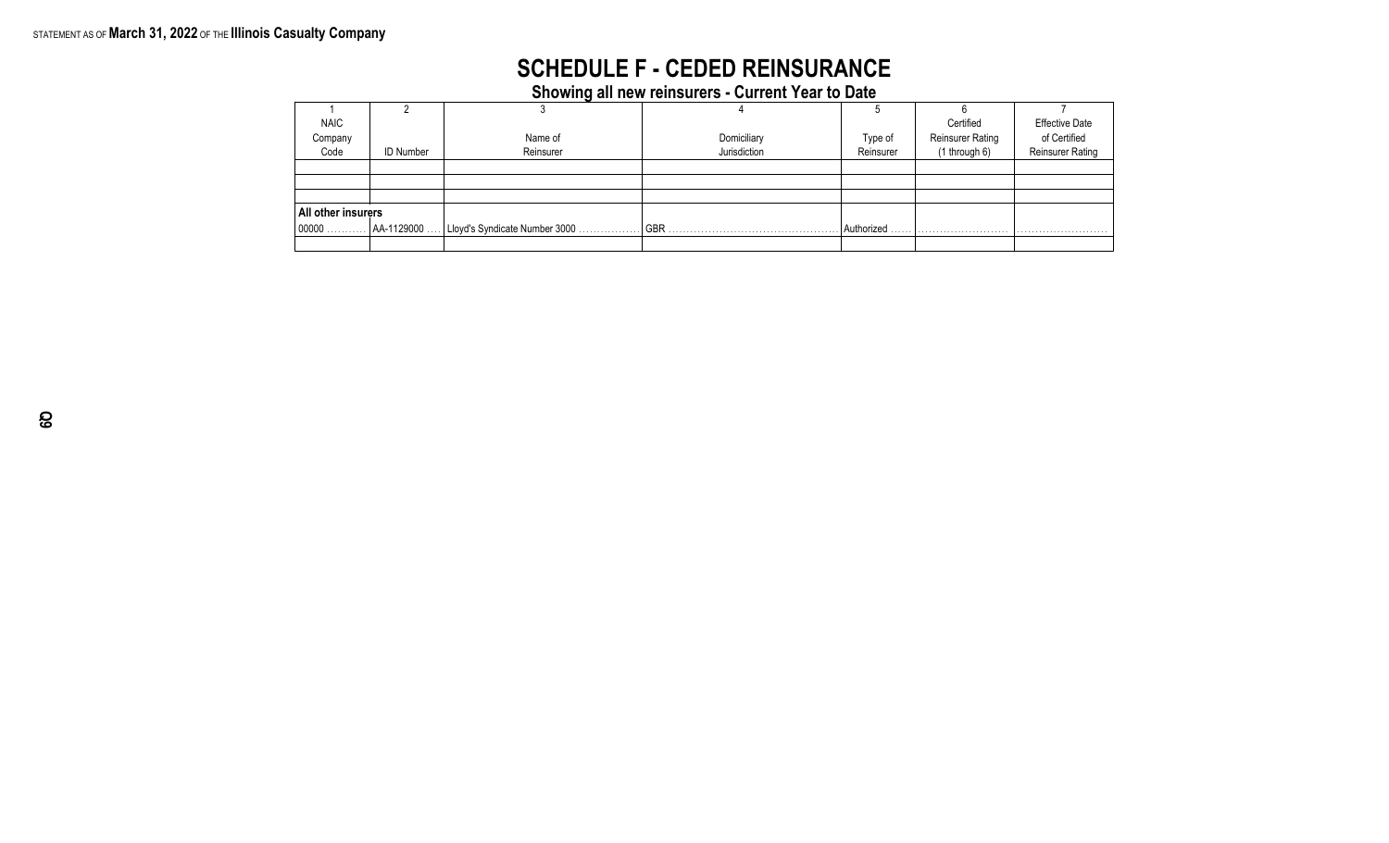# **SCHEDULE F - CEDED REINSURANCE**

**Showing all new reinsurers - Current Year to Date**

| <b>NAIC</b>        |                  |                                |              |            | Certified               | <b>Effective Date</b> |
|--------------------|------------------|--------------------------------|--------------|------------|-------------------------|-----------------------|
| Company            |                  | Name of                        | Domiciliary  | Type of    | <b>Reinsurer Rating</b> | of Certified          |
| Code               | <b>ID Number</b> | Reinsurer                      | Jurisdiction | Reinsurer  | $(1$ through 6)         | Reinsurer Rating      |
|                    |                  |                                |              |            |                         |                       |
|                    |                  |                                |              |            |                         |                       |
|                    |                  |                                |              |            |                         |                       |
| All other insurers |                  |                                |              |            |                         |                       |
| $ 00000 \dots$     | AA-1129000       | Lloyd's Syndicate Number 3000. | <b>GBR</b>   | Authorized |                         |                       |
|                    |                  |                                |              |            |                         |                       |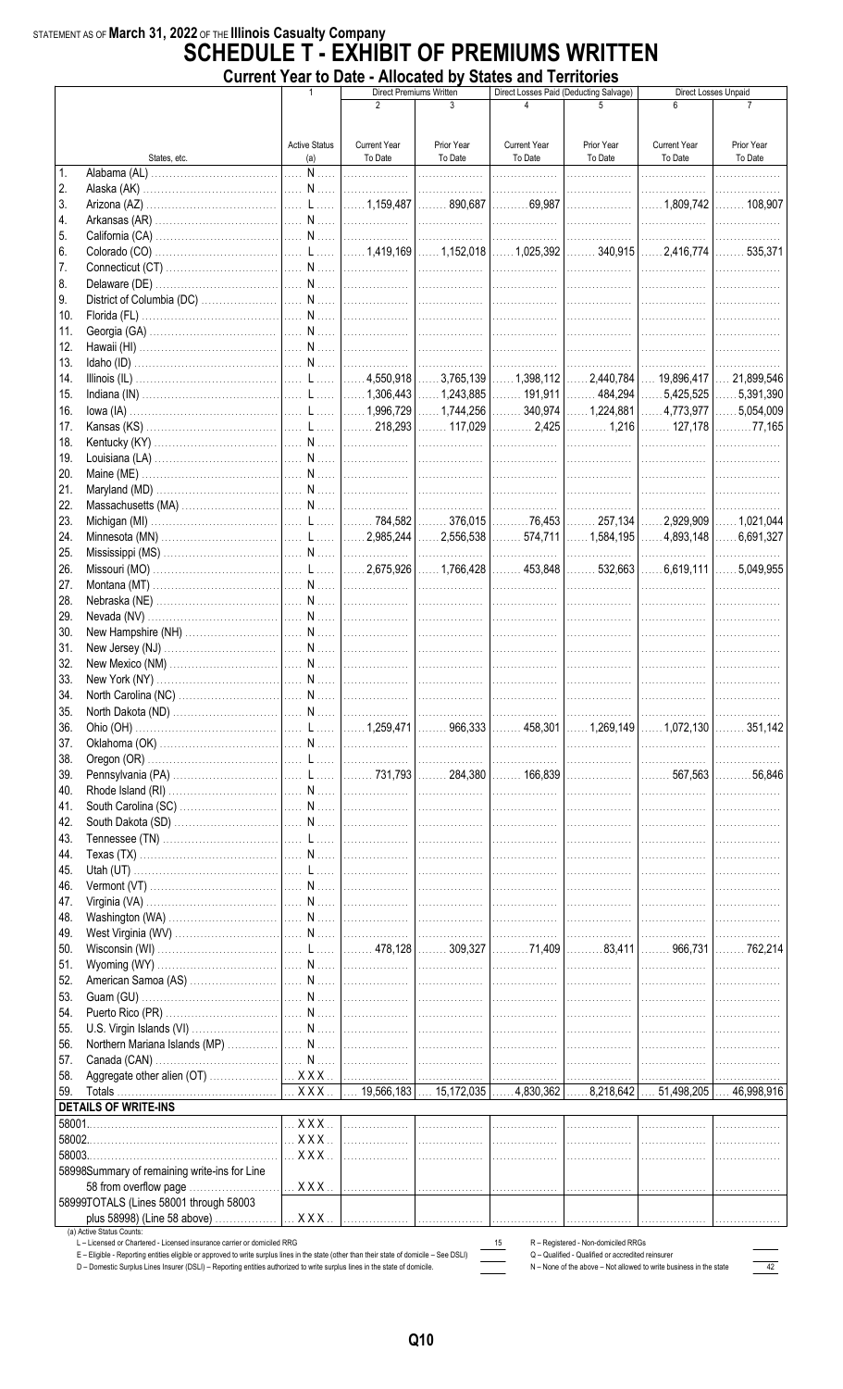# STATEMENT AS OF March 31, 2022 OF THE Illinois Casualty Company<br>**SCHEDULE T - EXHIBIT OF PREMIUMS WRITTEN** Current Year to Date - Allocated by States and Territories

|              |                                              | סוונו שטו נט בימנס      |                     | - Allocatea Ny<br><b>Direct Premiums Written</b> | <b>DIAICO AND TUNING</b><br>Direct Losses Paid (Deducting Salvage) |            |                     | Direct Losses Unpaid          |
|--------------|----------------------------------------------|-------------------------|---------------------|--------------------------------------------------|--------------------------------------------------------------------|------------|---------------------|-------------------------------|
|              |                                              |                         | $\overline{2}$      | 3                                                | 4                                                                  |            |                     |                               |
|              |                                              |                         |                     |                                                  |                                                                    |            |                     |                               |
|              |                                              | <b>Active Status</b>    | <b>Current Year</b> | Prior Year                                       | <b>Current Year</b>                                                | Prior Year | <b>Current Year</b> | Prior Year                    |
|              | States, etc.                                 | (a)                     | To Date             | To Date                                          | To Date                                                            | To Date    | To Date             | To Date                       |
| $\mathbf{1}$ |                                              | . N                     |                     |                                                  | .                                                                  | .          | .                   |                               |
| 2.           |                                              |                         |                     |                                                  | .                                                                  | .          | .                   |                               |
| 3.           |                                              |                         |                     |                                                  |                                                                    |            |                     | $\ldots$ 108,907              |
| 4.           |                                              |                         |                     |                                                  |                                                                    |            |                     | .                             |
| 5.           |                                              |                         |                     |                                                  |                                                                    |            |                     | .                             |
| 6.           |                                              |                         |                     |                                                  |                                                                    |            |                     |                               |
| 7.           |                                              |                         |                     |                                                  |                                                                    |            |                     | .                             |
| 8.           |                                              |                         |                     |                                                  |                                                                    | .          | .                   | .                             |
| 9.           |                                              |                         |                     |                                                  |                                                                    |            |                     | .                             |
| 10.<br>11.   |                                              |                         |                     |                                                  |                                                                    |            |                     | .                             |
| 12.          |                                              |                         |                     |                                                  |                                                                    |            |                     | .                             |
| 13.          |                                              |                         |                     |                                                  |                                                                    |            |                     |                               |
| 14.          |                                              |                         |                     |                                                  |                                                                    |            |                     |                               |
| 15.          |                                              |                         |                     |                                                  |                                                                    |            |                     |                               |
| 16.          |                                              |                         |                     |                                                  |                                                                    |            |                     |                               |
| 17.          |                                              |                         |                     |                                                  |                                                                    |            |                     |                               |
| 18.          |                                              |                         |                     |                                                  |                                                                    |            | .                   | .                             |
| 19.          |                                              |                         |                     |                                                  |                                                                    |            |                     | .                             |
| 20.          |                                              |                         |                     |                                                  |                                                                    |            | .                   | .                             |
| 21.          |                                              |                         |                     |                                                  |                                                                    |            |                     | .                             |
| 22.          |                                              |                         |                     |                                                  |                                                                    |            |                     | .                             |
| 23.          |                                              |                         |                     |                                                  |                                                                    |            |                     |                               |
| 24.          |                                              |                         |                     |                                                  |                                                                    |            |                     |                               |
| 25.          |                                              |                         |                     |                                                  |                                                                    |            |                     |                               |
| 26.          |                                              |                         |                     |                                                  |                                                                    |            |                     |                               |
| 27.          |                                              |                         |                     |                                                  |                                                                    |            | .                   |                               |
| 28.          |                                              |                         |                     |                                                  |                                                                    |            | .                   | .                             |
| 29.          |                                              |                         |                     |                                                  |                                                                    |            | .                   | .                             |
| 30.          |                                              |                         |                     |                                                  |                                                                    |            | .                   | .                             |
| 31.          |                                              |                         |                     |                                                  |                                                                    |            | .                   | .                             |
| 32.<br>33.   |                                              |                         |                     |                                                  |                                                                    |            | .                   | . <b>.</b> .                  |
| 34           |                                              |                         |                     |                                                  |                                                                    |            | .                   | .                             |
| 35.          |                                              |                         |                     |                                                  |                                                                    |            |                     |                               |
| 36.          |                                              |                         |                     |                                                  |                                                                    |            |                     |                               |
| 37.          |                                              |                         |                     |                                                  |                                                                    |            |                     |                               |
| 38.          |                                              |                         |                     |                                                  |                                                                    |            |                     | .                             |
| 39.          |                                              |                         |                     |                                                  |                                                                    |            |                     | $\ldots \ldots \ldots 56,846$ |
| 40.          |                                              |                         |                     |                                                  |                                                                    |            |                     | .                             |
| 41.          |                                              |                         |                     |                                                  |                                                                    |            |                     | .                             |
| 42.          |                                              |                         |                     |                                                  |                                                                    |            | .                   | .                             |
| 43.          |                                              |                         |                     |                                                  |                                                                    |            |                     | .                             |
| 44.          |                                              |                         |                     |                                                  |                                                                    |            | .                   | .                             |
| 45.          |                                              |                         |                     |                                                  |                                                                    |            |                     | .                             |
| 46.          |                                              |                         |                     |                                                  |                                                                    |            |                     | .                             |
| 47.          |                                              |                         |                     |                                                  |                                                                    |            |                     |                               |
| 48.          |                                              |                         |                     |                                                  |                                                                    |            |                     | .                             |
| 49.          |                                              |                         |                     |                                                  |                                                                    |            |                     | .                             |
| 50.          |                                              |                         |                     |                                                  |                                                                    |            |                     | $\ldots \ldots$ 762,214       |
| 51.          |                                              |                         |                     |                                                  |                                                                    |            |                     | .                             |
| 52.          |                                              |                         |                     |                                                  |                                                                    |            |                     |                               |
| 53.          |                                              |                         |                     |                                                  |                                                                    |            |                     | .                             |
| 54.<br>55.   |                                              |                         |                     |                                                  |                                                                    |            |                     | .<br>.                        |
| 56.          |                                              |                         |                     |                                                  |                                                                    |            |                     | .                             |
| 57.          |                                              |                         |                     |                                                  |                                                                    |            |                     | .                             |
| 58.          |                                              |                         |                     |                                                  |                                                                    |            |                     | .                             |
| 59.          |                                              |                         |                     |                                                  |                                                                    |            |                     |                               |
|              | <b>DETAILS OF WRITE-INS</b>                  |                         |                     |                                                  |                                                                    |            |                     |                               |
|              |                                              | $\ldots$ X X X $\ldots$ |                     |                                                  |                                                                    |            |                     | .                             |
|              |                                              | $\ldots$ X X X $\ldots$ |                     |                                                  |                                                                    |            | .                   | .                             |
|              |                                              | $$ X X X $$             |                     |                                                  |                                                                    | .          | .                   | .                             |
|              | 58998Summary of remaining write-ins for Line |                         |                     |                                                  |                                                                    |            |                     |                               |
|              | 58 from overflow page                        |                         |                     |                                                  |                                                                    |            |                     |                               |
|              | 58999TOTALS (Lines 58001 through 58003       |                         |                     |                                                  |                                                                    |            |                     |                               |
|              | plus 58998) (Line 58 above)                  | $\ldots$ X X X $\ldots$ |                     |                                                  |                                                                    |            |                     | .                             |
|              | (a) Active Status Counts:                    |                         |                     |                                                  |                                                                    |            |                     |                               |

L – Licensed or Chartered - Licensed insurance carrier or domiciled RRG<br>E – Eligible - Reporting entities eligible or approved to write surplus lines in the state (other than their state of domicile – See DSLI)<br>D – Domesti

15 R - Registered - Non-domiciled RRGs<br>
Q - Qualified - Qualified or accredited reinsurer<br>
N - None of the above - Not allowed to write business in the state

 $\frac{1}{\sqrt{12}}$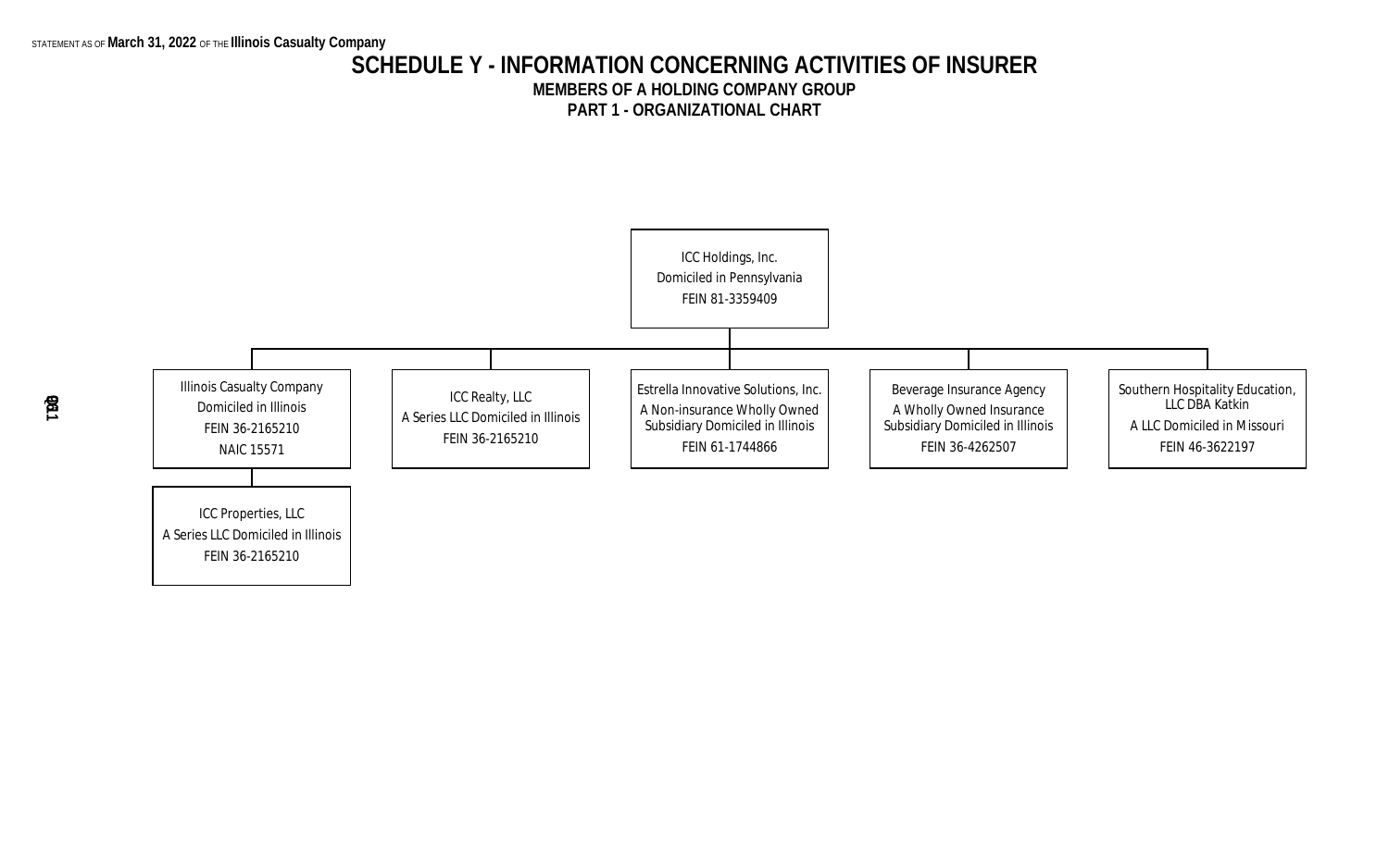### **SCHEDULE Y - INFORMATION CONCERNING ACTIVITIES OF INSURER MEMBERS OF A HOLDING COMPANY GROUP PART 1 - ORGANIZATIONAL CHART**

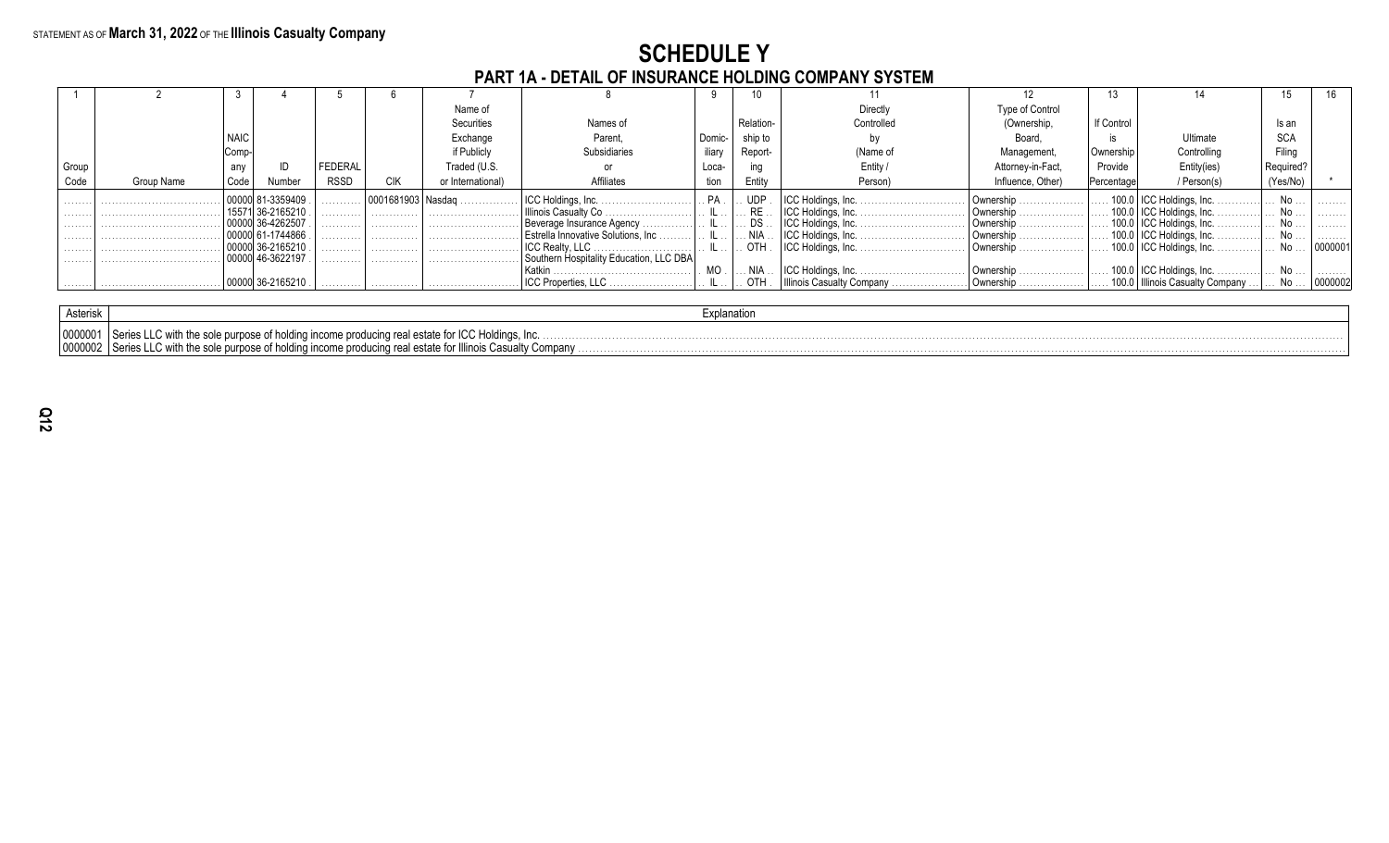# **SCHEDULE Y<br>PART 1A - DETAIL OF INSURANCE HOLDING COMPANY SYSTEM**

|       | <u>I ANT IA - DETAIE VI THUUNNIVE HUEDINU VUIII ANT UTUTEIII</u> |      |            |             |            |                   |                                         |          |                       |                           |                                                       |            |                                       |              |         |
|-------|------------------------------------------------------------------|------|------------|-------------|------------|-------------------|-----------------------------------------|----------|-----------------------|---------------------------|-------------------------------------------------------|------------|---------------------------------------|--------------|---------|
|       |                                                                  |      |            |             |            |                   |                                         |          |                       |                           |                                                       |            |                                       |              |         |
|       |                                                                  |      |            |             |            | Name of           |                                         |          |                       | Directly                  | Type of Control                                       |            |                                       |              |         |
|       |                                                                  |      |            |             |            | Securities        | Names of                                |          | Relation-             | Controlled                | (Ownership,                                           | If Control |                                       | Is an        |         |
|       |                                                                  |      |            |             |            | Exchange          | Parent,                                 | Domic-   | ship to               |                           | Board.                                                |            | Ultimate                              | <b>SCA</b>   |         |
|       |                                                                  | Comp |            |             |            | if Publicly       | Subsidiaries                            | iliarv   | Report-               | (Name of                  | Management,                                           | Ownership  | Controlling                           | Filina       |         |
| Group |                                                                  | any  |            | FEDERAL     |            | Traded (U.S.      |                                         | Loca-    | ing                   | Entity                    | Attorney-in-Fact,                                     | Provide    | Entity(ies)                           | Required     |         |
| Code  | Group Name                                                       | Code | Number     | <b>RSSD</b> | <b>CIK</b> | or International) | Affiliates                              | tion     | Entity                | Person)                   | Influence, Other)                                     | Percentage | / Person(s)                           | (Yes/No)     |         |
|       |                                                                  |      | 81-3359409 | .           |            |                   |                                         | . $PA$ . | . UDP                 |                           | $\mathbf{Downership}$                                 |            | 100.0   ICC Holdings, Inc.            |              | .       |
| .     |                                                                  |      | 36-2165210 | .           | .          |                   |                                         |          | RE                    |                           | $\Box$ Ownership $\ldots \ldots \ldots \ldots \ldots$ |            | 100.0   ICC Holdings, Inc.            | $\ldots$ No. | .       |
| .     |                                                                  |      | 36-4262507 | . 1         | . 1        |                   | Beverage Insurance Agency               |          | $\therefore$ DS       |                           |                                                       |            | 100.0   ICC Holdings, Inc.            |              | .       |
|       |                                                                  |      | 61-1744866 | .           | .          |                   | Festrella Innovative Solutions, Inc     |          | $\ldots$ NIA $\ldots$ |                           | $\vert$ Ownership $\ldots$                            |            | $\ldots$ 100.0   ICC Holdings, Inc. . |              | .       |
|       |                                                                  |      | 36-2165210 | .           | .          |                   |                                         |          | OTH                   |                           |                                                       |            | $\ldots$ 100.0   ICC Holdings, Inc. . |              | 0000001 |
|       |                                                                  |      | 46-3622197 | .           | .          |                   | Southern Hospitality Education, LLC DBA |          |                       |                           |                                                       |            |                                       |              |         |
|       |                                                                  |      |            |             |            |                   |                                         |          | . . NIA               |                           |                                                       |            |                                       |              | .       |
|       |                                                                  |      | 36-216521  |             | .          |                   | <b>ICC Properties, LLC</b>              |          | OTH                   | Illinois Casualty Company | Ownership                                             |            | 100.0   Illinois Casualty Company.    |              | 0000002 |

| Asterisk         |                                                                                                                                                                                                                               |  |
|------------------|-------------------------------------------------------------------------------------------------------------------------------------------------------------------------------------------------------------------------------|--|
| $100000^{\circ}$ | C with the sole purpose of holding income producing real estate for ICC Holdings. Inc.<br>I Series LLC<br>lucing real estate for Illinois Casualty Company.<br>∣Series ∟<br>" with the sole purpose of holding income produc- |  |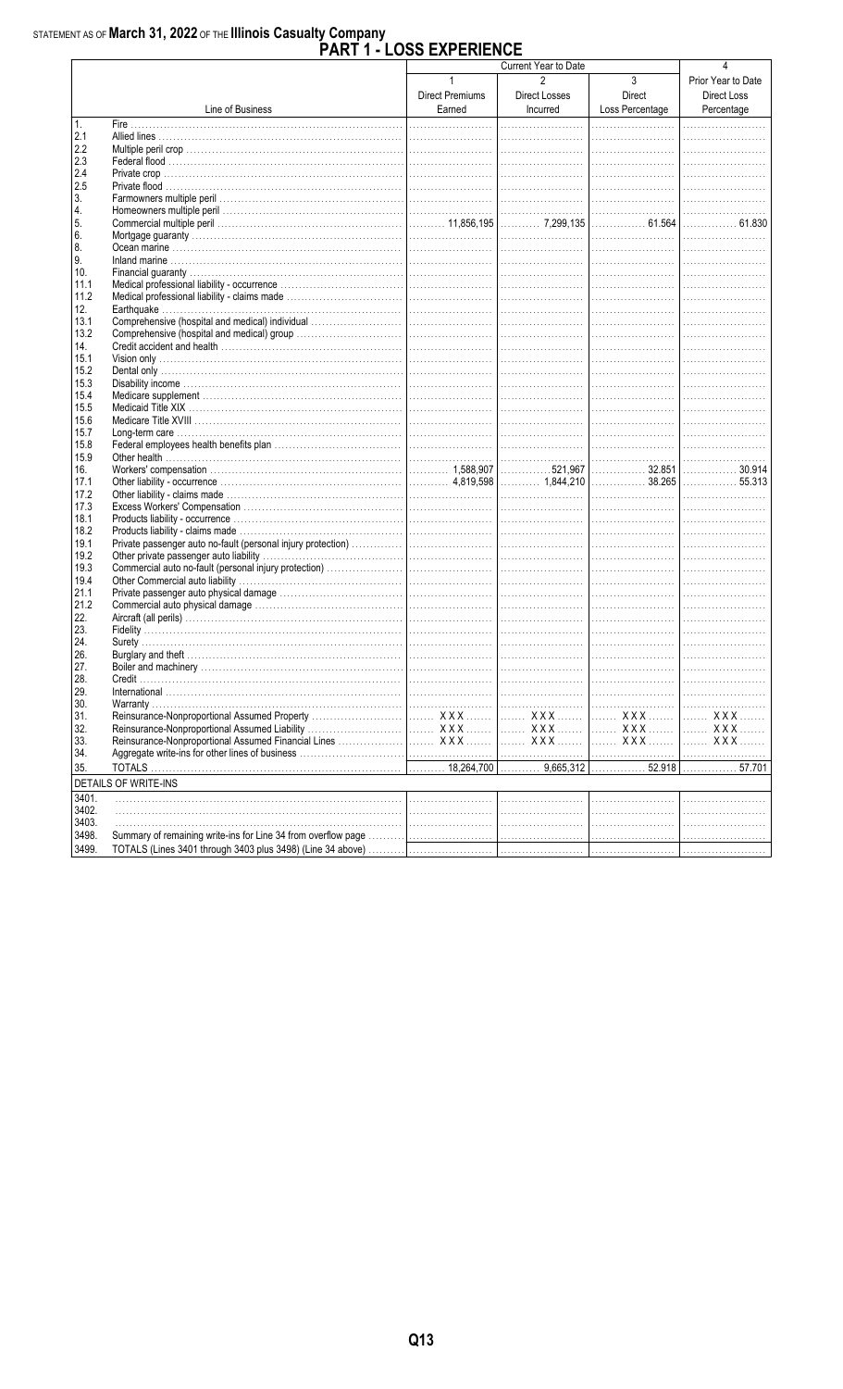#### STATEMENT AS OF March 31, 2022 OF THE Illinois Casualty Company **EVOCDIENCE**

|              |                             | PART 1 - LOSS EXPERIENCE                  |                                             |                                |                                                 |
|--------------|-----------------------------|-------------------------------------------|---------------------------------------------|--------------------------------|-------------------------------------------------|
|              |                             |                                           | Current Year to Date                        |                                |                                                 |
|              | Line of Business            | $\mathbf{1}$<br>Direct Premiums<br>Earned | $\overline{2}$<br>Direct Losses<br>Incurred | 3<br>Direct<br>Loss Percentage | Prior Year to Date<br>Direct Loss<br>Percentage |
| 1.           |                             |                                           |                                             |                                |                                                 |
| 2.1          |                             |                                           |                                             |                                |                                                 |
| 2.2          |                             |                                           |                                             |                                |                                                 |
| 2.3          |                             |                                           |                                             |                                |                                                 |
| 2.4<br>2.5   |                             |                                           |                                             |                                |                                                 |
| 3.           |                             |                                           |                                             |                                |                                                 |
| 4.           |                             |                                           |                                             |                                |                                                 |
| 5.           |                             |                                           |                                             |                                | . 61.830                                        |
| 6.           |                             |                                           |                                             |                                |                                                 |
| 8.           |                             |                                           |                                             |                                |                                                 |
| 9.           |                             |                                           |                                             |                                |                                                 |
| 10.          |                             |                                           |                                             |                                |                                                 |
| 11.1         |                             |                                           |                                             |                                |                                                 |
| 11.2         |                             |                                           |                                             |                                |                                                 |
| 12.          |                             |                                           |                                             |                                |                                                 |
| 13.1         |                             |                                           |                                             |                                |                                                 |
| 13.2         |                             |                                           |                                             |                                |                                                 |
| 14.<br>15.1  |                             |                                           |                                             |                                |                                                 |
| 15.2         |                             |                                           |                                             |                                |                                                 |
| 15.3         |                             |                                           |                                             |                                |                                                 |
| 15.4         |                             |                                           |                                             |                                |                                                 |
| 15.5         |                             |                                           |                                             |                                |                                                 |
| 15.6         |                             |                                           |                                             |                                |                                                 |
| 15.7         |                             |                                           |                                             |                                |                                                 |
| 15.8         |                             |                                           |                                             |                                |                                                 |
| 15.9         |                             |                                           |                                             |                                |                                                 |
| 16.          |                             |                                           |                                             | . 32.851                       | 30.914                                          |
| 17.1         |                             |                                           |                                             |                                | . 55.313                                        |
| 17.2         |                             |                                           |                                             |                                |                                                 |
| 17.3         |                             |                                           |                                             |                                |                                                 |
| 18.1         |                             |                                           |                                             |                                |                                                 |
| 18.2         |                             |                                           |                                             |                                |                                                 |
| 19.1         |                             |                                           |                                             |                                |                                                 |
| 19.2<br>19.3 |                             |                                           |                                             |                                |                                                 |
| 19.4         |                             |                                           |                                             |                                |                                                 |
| 21.1         |                             |                                           |                                             |                                |                                                 |
| 21.2         |                             |                                           |                                             |                                |                                                 |
| 22.          |                             |                                           |                                             |                                |                                                 |
| 23.          |                             |                                           |                                             |                                |                                                 |
| 24.          |                             |                                           |                                             |                                |                                                 |
| 26.          |                             |                                           |                                             |                                |                                                 |
| 27.          |                             |                                           |                                             |                                |                                                 |
| 28.          |                             |                                           |                                             |                                |                                                 |
| 29.          |                             |                                           |                                             |                                |                                                 |
| 30.          |                             |                                           |                                             |                                |                                                 |
| 31.          |                             |                                           |                                             |                                | <b>XXX</b>                                      |
| 32.          |                             |                                           |                                             |                                | <b>XXX</b>                                      |
| 33.          |                             |                                           |                                             |                                | . X X X                                         |
| 34.          |                             |                                           |                                             |                                |                                                 |
| 35.          |                             |                                           |                                             |                                |                                                 |
|              | <b>DETAILS OF WRITE-INS</b> |                                           |                                             |                                |                                                 |
| 3401.        |                             |                                           |                                             |                                |                                                 |
| 3402.        |                             |                                           |                                             |                                |                                                 |
| 3403.        |                             |                                           |                                             |                                |                                                 |
| 3498.        |                             |                                           |                                             |                                |                                                 |
| 3499.        |                             |                                           |                                             |                                |                                                 |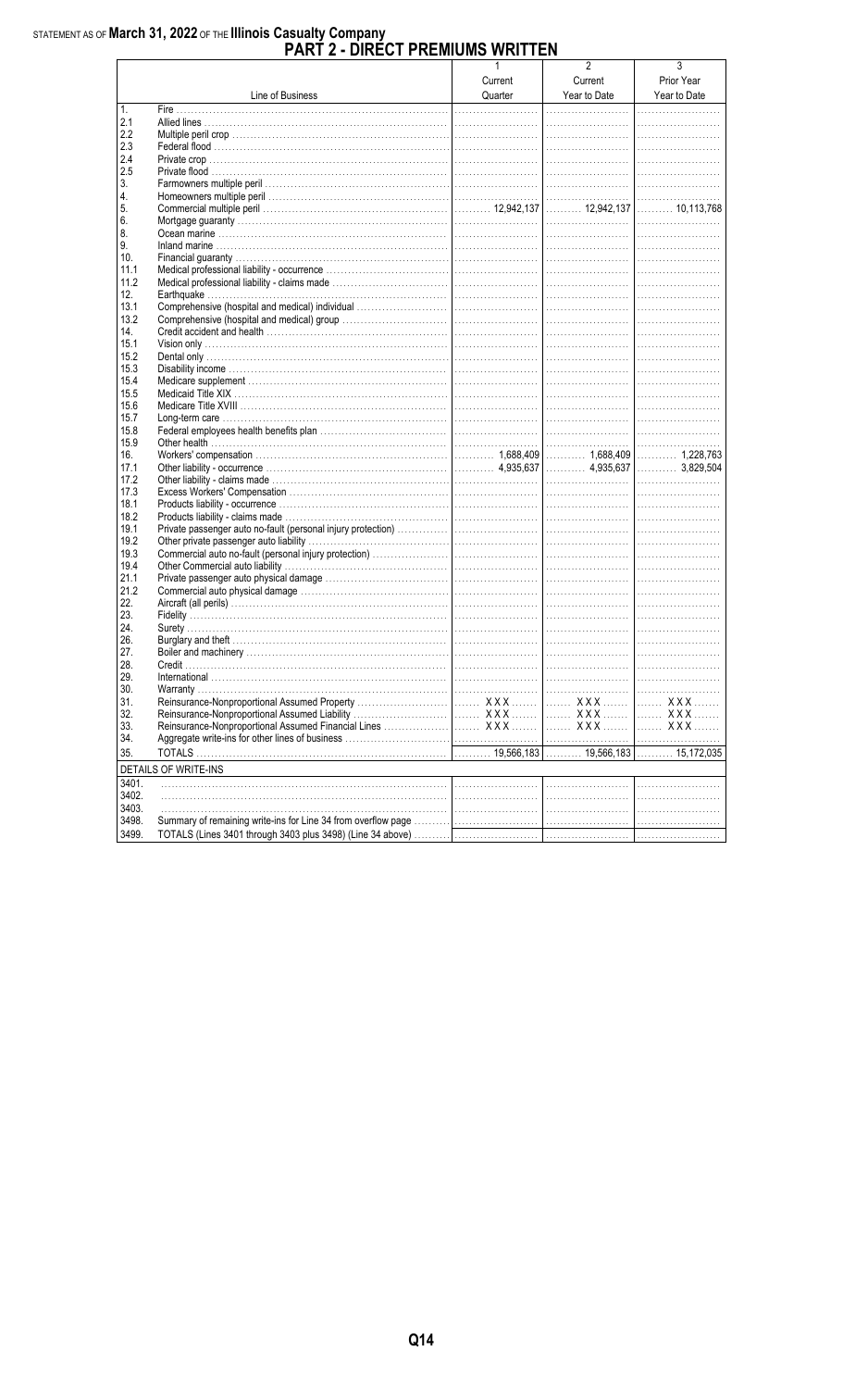|           |                      | $\mathbf{1}$<br>Current | $\overline{2}$<br>Current<br>Year to Date | 3<br>Prior Year |
|-----------|----------------------|-------------------------|-------------------------------------------|-----------------|
|           | Line of Business     | Quarter                 |                                           | Year to Date    |
| 1.<br>2.1 |                      |                         |                                           | .               |
| 2.2       |                      |                         |                                           |                 |
| 2.3       |                      |                         |                                           |                 |
| 2.4       |                      |                         |                                           |                 |
|           |                      |                         |                                           |                 |
| 2.5       |                      |                         |                                           |                 |
| 3.        |                      |                         |                                           |                 |
| 4.        |                      |                         |                                           |                 |
| 5.        |                      |                         |                                           |                 |
| 6.        |                      |                         |                                           |                 |
| 8.        |                      |                         |                                           |                 |
| 9.        |                      |                         |                                           |                 |
| 10.       |                      |                         |                                           |                 |
| 11.1      |                      |                         |                                           |                 |
| 11.2      |                      |                         |                                           |                 |
| 12.       |                      |                         |                                           |                 |
| 13.1      |                      |                         |                                           |                 |
| 13.2      |                      |                         |                                           |                 |
|           |                      |                         |                                           |                 |
| 14.       |                      |                         |                                           |                 |
| 15.1      |                      |                         |                                           |                 |
| 15.2      |                      |                         |                                           |                 |
| 15.3      |                      |                         |                                           |                 |
| 15.4      |                      |                         |                                           |                 |
| 15.5      |                      |                         |                                           |                 |
| 15.6      |                      |                         |                                           |                 |
| 15.7      |                      |                         |                                           |                 |
| 15.8      |                      |                         |                                           |                 |
| 15.9      |                      |                         |                                           |                 |
| 16.       |                      |                         |                                           |                 |
| 17.1      |                      |                         |                                           |                 |
| 17.2      |                      |                         |                                           |                 |
| 17.3      |                      |                         |                                           |                 |
| 18.1      |                      |                         |                                           |                 |
| 18.2      |                      |                         |                                           |                 |
| 19.1      |                      |                         |                                           |                 |
| 19.2      |                      |                         |                                           |                 |
| 19.3      |                      |                         |                                           |                 |
|           |                      |                         |                                           |                 |
| 19.4      |                      |                         |                                           |                 |
| 21.1      |                      |                         |                                           |                 |
| 21.2      |                      |                         |                                           |                 |
| 22.       |                      |                         |                                           |                 |
| 23.       |                      |                         |                                           |                 |
| 24.       |                      |                         |                                           |                 |
| 26.       |                      |                         |                                           |                 |
| 27.       |                      |                         |                                           |                 |
| 28.       |                      |                         |                                           |                 |
| 29.       |                      |                         |                                           |                 |
| 30.       |                      |                         |                                           |                 |
| 31.       |                      |                         | XXX 1 XXX                                 |                 |
| 32.       |                      |                         |                                           |                 |
| 33.       |                      |                         |                                           |                 |
| 34.       |                      |                         |                                           |                 |
|           |                      |                         |                                           |                 |
| 35.       |                      |                         |                                           |                 |
|           | DETAILS OF WRITE-INS |                         |                                           |                 |
| 3401.     |                      |                         |                                           |                 |
| 3402.     |                      |                         |                                           |                 |
| 3403.     |                      |                         |                                           |                 |
| 3498.     |                      |                         |                                           |                 |
| 3499.     |                      |                         |                                           |                 |
|           |                      |                         |                                           |                 |

# STATEMENT AS OF March 31, 2022 OF THE Illinois Casualty Company<br>PART 2 - DIRECT PREMIUMS WRITTEN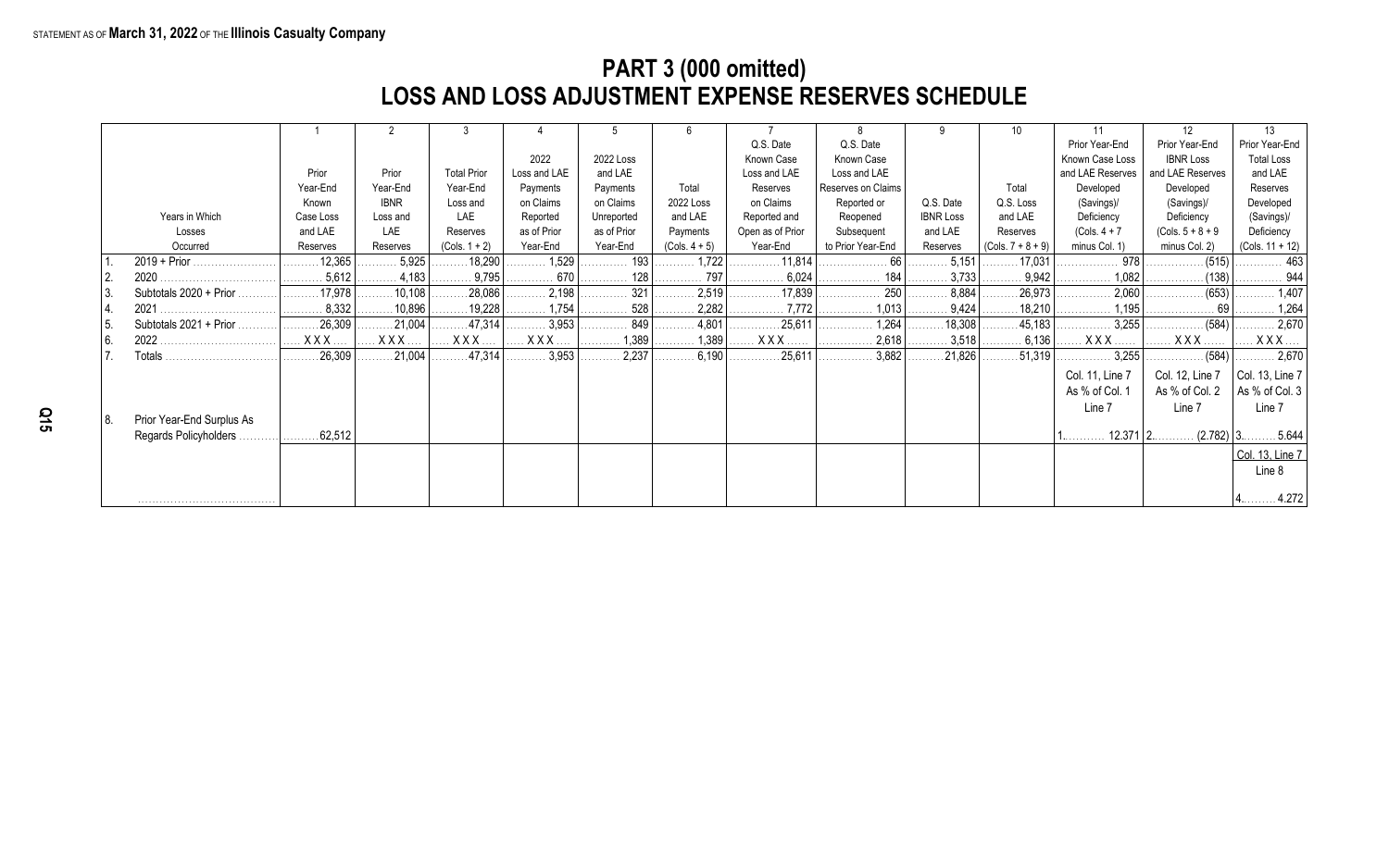### **PART 3 (000 omitted) LOSS AND LOSS ADJUSTMENT EXPENSE RESERVES SCHEDULE**

|                  |                           |           |             |                        |                         |             |                              |                                      |                    |                  | 10                            |                  | 12                      | 13                    |
|------------------|---------------------------|-----------|-------------|------------------------|-------------------------|-------------|------------------------------|--------------------------------------|--------------------|------------------|-------------------------------|------------------|-------------------------|-----------------------|
|                  |                           |           |             |                        |                         |             |                              | Q.S. Date                            | Q.S. Date          |                  |                               | Prior Year-End   | Prior Year-End          | Prior Year-End        |
|                  |                           |           |             |                        | 2022                    | 2022 Loss   |                              | Known Case                           | Known Case         |                  |                               | Known Case Loss  | <b>IBNR Loss</b>        | <b>Total Loss</b>     |
|                  |                           | Prior     | Prior       | <b>Total Prior</b>     | Loss and LAE            | and LAE     |                              | Loss and LAE                         | Loss and LAE       |                  |                               | and LAE Reserves | and LAE Reserves        | and LAE               |
|                  |                           | Year-End  | Year-End    | Year-End               | Payments                | Payments    | Total                        | Reserves                             | Reserves on Claims |                  | Total                         | Developed        | Developed               | Reserves              |
|                  |                           | Known     | <b>IBNR</b> | Loss and               | on Claims               | on Claims   | 2022 Loss                    | on Claims                            | Reported or        | Q.S. Date        | Q.S. Loss                     | (Savings)/       | (Savings)/              | Developed             |
|                  | Years in Which            | Case Loss | Loss and    | LAE                    | Reported                | Unreported  | and LAE                      | Reported and                         | Reopened           | <b>IBNR Loss</b> | and LAE                       | Deficiency       | Deficiency              | (Savings)/            |
|                  | Losses                    | and LAE   | LAE         | Reserves               | as of Prior             | as of Prior | Payments                     | Open as of Prior                     | Subsequent         | and LAE          | Reserves                      | $(Cols. 4 + 7)$  | $(Cols. 5 + 8 + 9)$     | Deficiency            |
|                  | Occurred                  | Reserves  | Reserves    | $(Cols. 1 + 2)$        | Year-End                | Year-End    | $(Cols. 4 + 5)$              | Year-End                             | to Prior Year-End  | Reserves         | $(Cols. 7 + 8 + 9)$           | minus Col. 1)    | minus Col. 2)           | (Cols. 11 + 12)       |
|                  |                           | .12,365   | 5,925       | 18,290                 | 1,529                   | 193         | $\ldots$ 1,722               | $\ldots \ldots \ldots \ldots 11,814$ | . 66 l<br>.        | 5,151            | $\ldots \ldots \ldots 17,031$ | 978              | (515)                   | . 463                 |
|                  | 2020                      | 5,612     | 4,183       | 9,795                  | 670                     | 128<br>.    | $\ldots \ldots \ldots 797$   | 6,024<br>.                           | 184<br>.           | 3,733<br>.       | 9,942                         | 1,082<br>.       | (138)                   | . 944                 |
| 3.               | Subtotals 2020 + Prior    | .17,978   | 10.108      | 28,086                 | 2,198<br>.              | 321         | 2,519                        |                                      | 250<br>.           | 8,884            | 26,973                        | 2,060<br>.       | (653)                   | $\ldots \ldots 1,407$ |
| $\overline{4}$ . |                           | 8,332     | 10,896      | 19,228                 | $\ldots \ldots 1,754$   | 528<br>.    | $\ldots \ldots \ldots 2,282$ | 7.772<br>.                           | 1.013<br>.         | 9,424            | $\ldots$ 18,210               | 1.195            |                         | . 1,264               |
| l 5.             | Subtotals 2021 + Prior    | 26,309    | .21,004     | $\ldots$ . 47,314      | 3,953                   | 849         | $\ldots \ldots \ldots 4,801$ | .25,611                              | 1,264<br>.         | 18,308           | .45,183                       |                  | . (584)                 | 2,670                 |
| 6.               | 2022                      | XXX.      | $XXX$       | $XXX$                  | $\ldots$ X X X $\ldots$ | 1,389<br>.  |                              | . X X X .                            | 2,618<br>.         | 3,518            | . 6,136                       |                  | <b>XXX</b>              | $XXX$                 |
|                  | Totals                    | .26,309   | .21,004     | $\ldots \ldots 47,314$ | 3,953<br>.              | 2,237       | 6,190<br>.                   | 25,611                               | 3,882<br>.         | .21,826          | 51,319                        | 3,255            | . (584)                 | 2,670                 |
|                  |                           |           |             |                        |                         |             |                              |                                      |                    |                  |                               | Col. 11, Line 7  | Col. 12, Line 7         | Col. 13, Line $7$     |
|                  |                           |           |             |                        |                         |             |                              |                                      |                    |                  |                               | As % of Col. 1   | As % of Col. 2          | As % of Col. 3        |
|                  |                           |           |             |                        |                         |             |                              |                                      |                    |                  |                               | Line 7           | Line 7                  | Line 7                |
| 18.              | Prior Year-End Surplus As |           |             |                        |                         |             |                              |                                      |                    |                  |                               |                  |                         |                       |
|                  | Regards Policyholders     | .62,512   |             |                        |                         |             |                              |                                      |                    |                  |                               |                  | $12.371$   2<br>(2.782) | .5.644                |
|                  |                           |           |             |                        |                         |             |                              |                                      |                    |                  |                               |                  |                         | Col. 13, Line 7       |
|                  |                           |           |             |                        |                         |             |                              |                                      |                    |                  |                               |                  |                         | Line 8                |
|                  |                           |           |             |                        |                         |             |                              |                                      |                    |                  |                               |                  |                         |                       |
|                  |                           |           |             |                        |                         |             |                              |                                      |                    |                  |                               |                  |                         | .4.272                |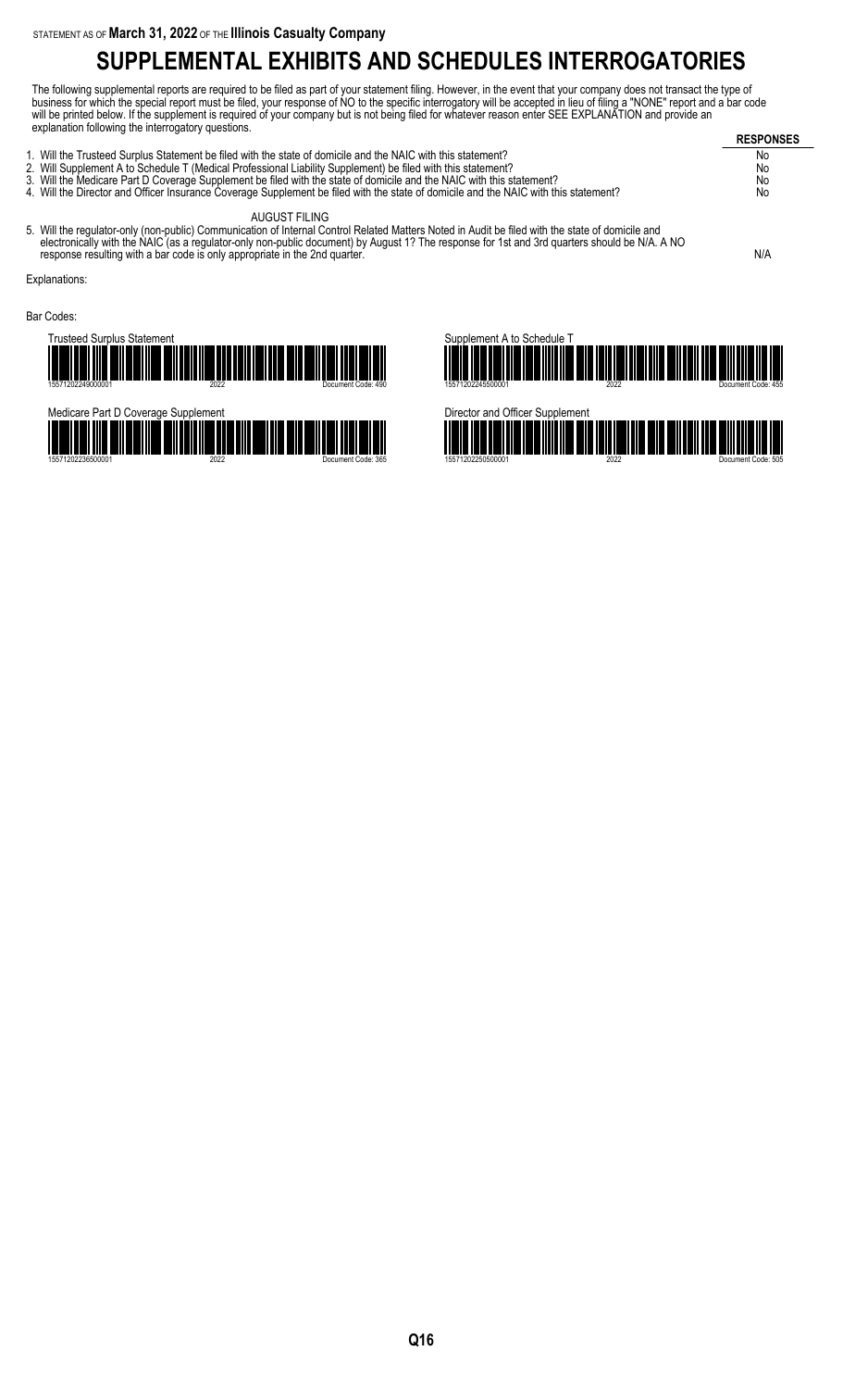# **SUPPLEMENTAL EXHIBITS AND SCHEDULES INTERROGATORIES**

The following supplemental reports are required to be filed as part of your statement filing. However, in the event that your company does not transact the type of business for which the special report must be filed, your response of NO to the specific interrogatory will be accepted in lieu of filing a "NONE" report and a bar code will be printed below. If the supplement is required of your company but is not being filed for whatever reason enter SEE EXPLANATION and provide an explanation following the interrogatory questions.

| $\frac{1}{2}$                                                                                                                                | <b>RESPONSES</b> |
|----------------------------------------------------------------------------------------------------------------------------------------------|------------------|
| 1. Will the Trusteed Surplus Statement be filed with the state of domicile and the NAIC with this statement?                                 | No               |
| 2. Will Supplement A to Schedule T (Medical Professional Liability Supplement) be filed with this statement?                                 | No               |
| 3. Will the Medicare Part D Coverage Supplement be filed with the state of domicile and the NAIC with this statement?                        | No               |
|                                                                                                                                              |                  |
| AUGUST FILING                                                                                                                                |                  |
| 4. Will the Director and Officer Insurance Coverage Supplement be filed with the state of domicile and the NAIC with this statement?<br>$-1$ | No               |

5. Will the regulator-only (non-public) Communication of Internal Control Related Matters Noted in Audit be filed with the state of domicile and electronically with the NAIC (as a regulator-only non-public document) by August 1? The response for 1st and 3rd quarters should be N/A. A NO response resulting with a bar code is only appropriate in the 2nd quarter.  $N/A$ 

Explanations:

Bar Codes:

Trusteed Surplus Statement 15571202249000001 2022 Document Code: 490





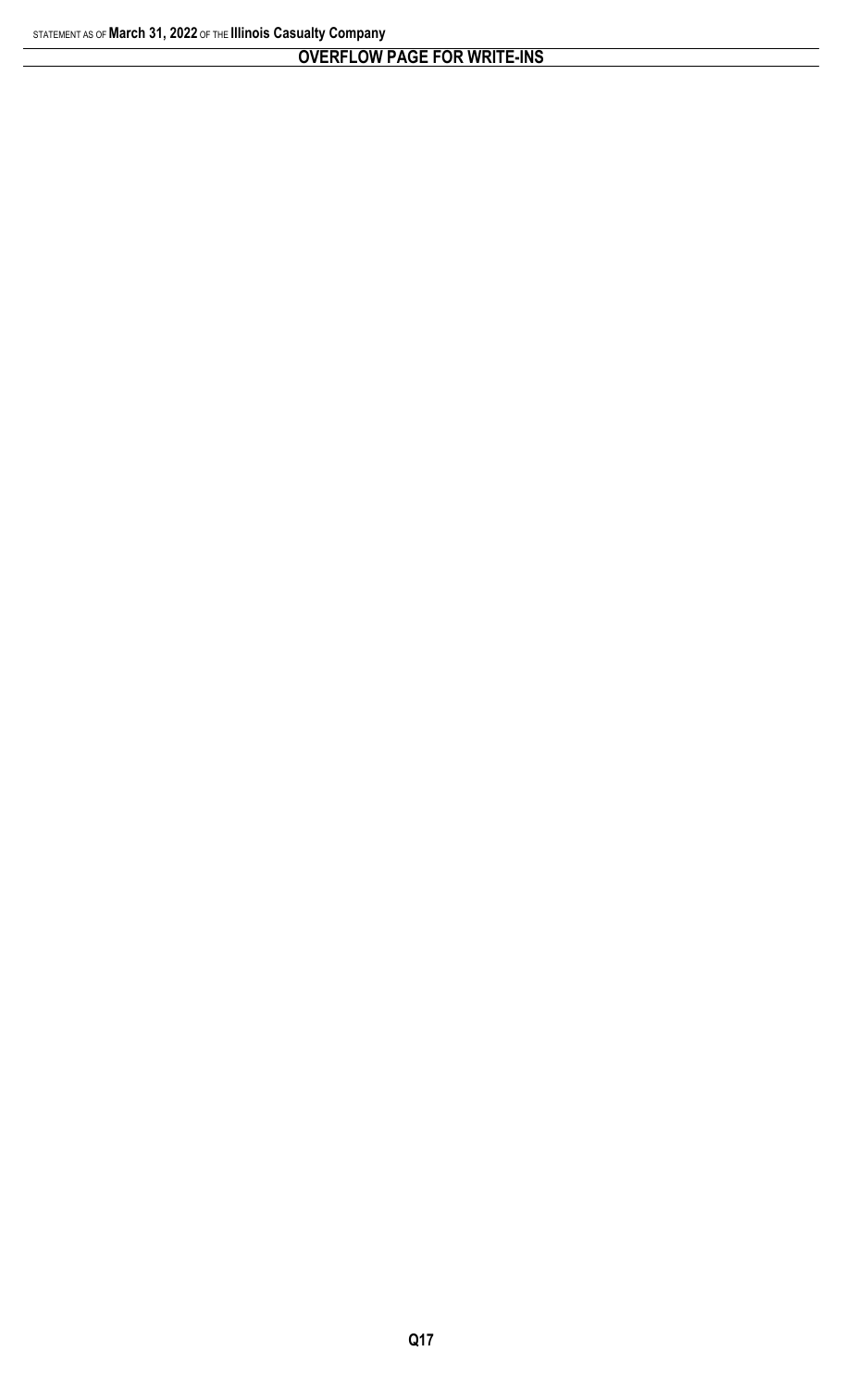### **OVERFLOW PAGE FOR WRITE-INS**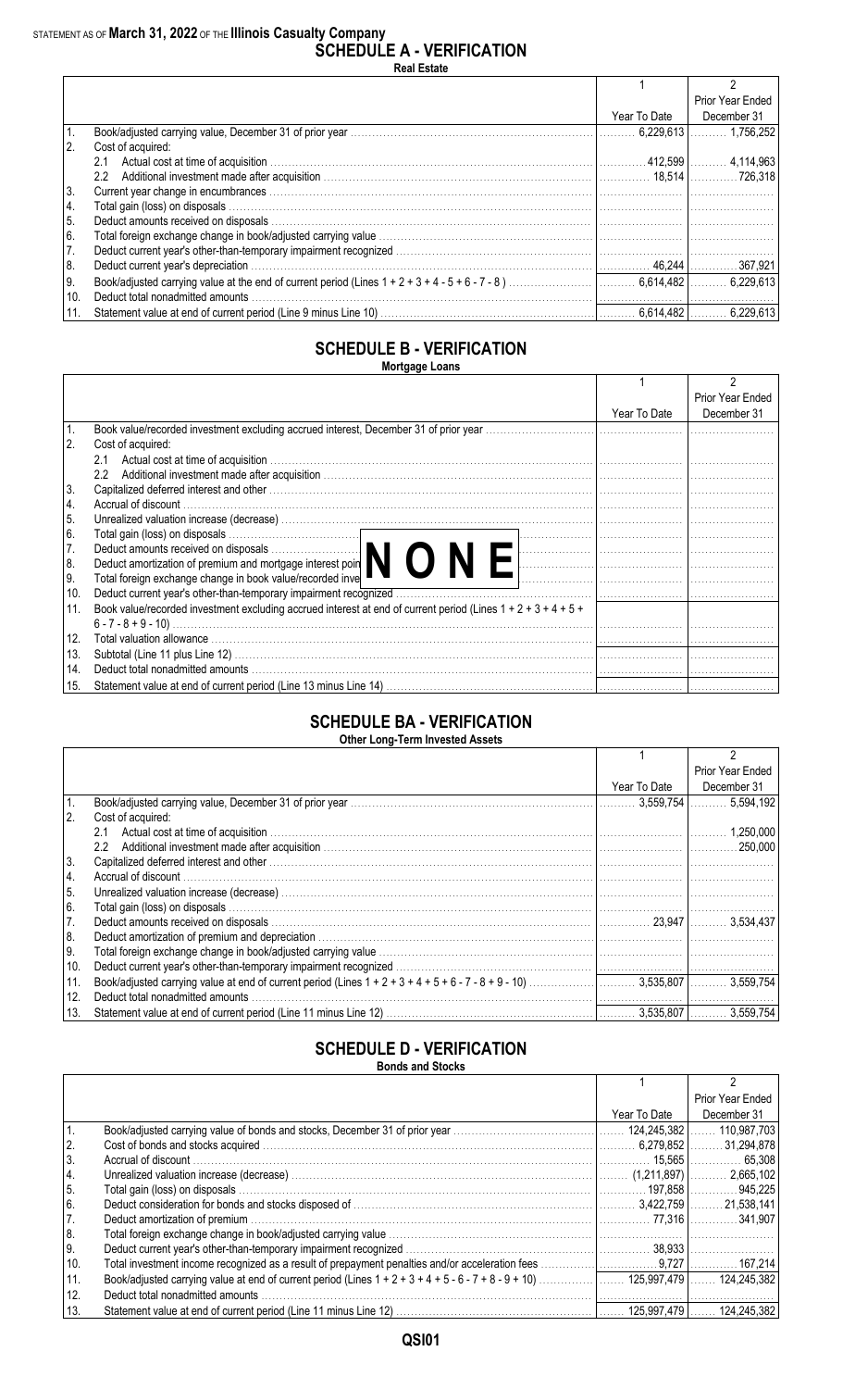#### STATEMENT AS OF **March 31, 2022** OF THE **Illinois Casualty Company**

| <b>SCHEDULE A - VERIFICATION</b> |
|----------------------------------|
| <b>Real Estate</b>               |

|      |                                                                                                                                                                                                                                       |              | Prior Year Ended |
|------|---------------------------------------------------------------------------------------------------------------------------------------------------------------------------------------------------------------------------------------|--------------|------------------|
|      |                                                                                                                                                                                                                                       | Year To Date | December 31      |
|      |                                                                                                                                                                                                                                       |              |                  |
| 2.   | Cost of acquired:                                                                                                                                                                                                                     |              |                  |
|      | 2.1                                                                                                                                                                                                                                   |              |                  |
|      | Additional investment made after acquisition measure and all the set of the set of the set of the set of the set of the set of the set of the set of the set of the set of the set of the set of the set of the set of the set<br>2.2 |              |                  |
| 3.   |                                                                                                                                                                                                                                       |              |                  |
| 14.  |                                                                                                                                                                                                                                       |              |                  |
| 5.   |                                                                                                                                                                                                                                       |              |                  |
| 6.   |                                                                                                                                                                                                                                       |              |                  |
| 7.   |                                                                                                                                                                                                                                       |              |                  |
| 8.   |                                                                                                                                                                                                                                       |              |                  |
| I 9. |                                                                                                                                                                                                                                       |              |                  |
| 10.  | Deduct total nonadmitted amounts                                                                                                                                                                                                      |              |                  |
| 11.  |                                                                                                                                                                                                                                       |              | 6.229.613        |

#### **SCHEDULE B - VERIFICATION Mortgage Loans**

|                |                                                                                                                                     |              | Prior Year Ended |
|----------------|-------------------------------------------------------------------------------------------------------------------------------------|--------------|------------------|
|                |                                                                                                                                     | Year To Date | December 31      |
| $\mathbf{1}$ . |                                                                                                                                     |              |                  |
| l 2.           | Cost of acquired:                                                                                                                   |              |                  |
|                | 2.1                                                                                                                                 |              |                  |
|                | $2.2^{\circ}$                                                                                                                       |              |                  |
| 3.             |                                                                                                                                     |              |                  |
| 4.             |                                                                                                                                     |              |                  |
| 15.            |                                                                                                                                     |              |                  |
| 6.             | Total gain (loss) on disposals<br>Deduct amounts received on disposals<br>Deduct amortization of premium and mortgage interest poin |              |                  |
| 7.             |                                                                                                                                     |              |                  |
| 8.             |                                                                                                                                     |              |                  |
| I 9.           | Total foreign exchange change in book value/recorded inve                                                                           |              |                  |
| 10.            |                                                                                                                                     |              |                  |
| 11.            | Book value/recorded investment excluding accrued interest at end of current period (Lines $1 + 2 + 3 + 4 + 5 + 1$ )                 |              |                  |
|                |                                                                                                                                     |              |                  |
| 12.            | Total valuation allowance www.communications.com/news/communications.com/news/communications.com/news/communic                      |              |                  |
| 13.            |                                                                                                                                     |              |                  |
| 14.            |                                                                                                                                     |              |                  |
| 15.            |                                                                                                                                     |              |                  |

#### **SCHEDULE BA - VERIFICATION Other Long-Term Invested Assets**

|      |                                                                                                                                                                                                                                |              | Prior Year Ended |
|------|--------------------------------------------------------------------------------------------------------------------------------------------------------------------------------------------------------------------------------|--------------|------------------|
|      |                                                                                                                                                                                                                                | Year To Date | December 31      |
|      |                                                                                                                                                                                                                                | .3.559.754   |                  |
| 2.   | Cost of acquired:                                                                                                                                                                                                              |              |                  |
|      | 2.1                                                                                                                                                                                                                            |              | 1,250,000        |
|      | $2.2^{\circ}$                                                                                                                                                                                                                  |              |                  |
| 3.   | Capitalized deferred interest and other www.communications.communications.com/interest and other www.communications.com                                                                                                        |              |                  |
| 14.  |                                                                                                                                                                                                                                |              |                  |
| l 5. |                                                                                                                                                                                                                                |              |                  |
| 16.  |                                                                                                                                                                                                                                |              |                  |
| 7.   |                                                                                                                                                                                                                                |              |                  |
| 8.   | Deduct amortization of premium and depreciation measurement contains the contract of the contract of the contract of the contract of the contract of the contract of the contract of the contract of the contract of the contr |              |                  |
| I 9. |                                                                                                                                                                                                                                |              |                  |
| 10.  |                                                                                                                                                                                                                                |              |                  |
| 11.  |                                                                                                                                                                                                                                |              |                  |
| 12.  | Deduct total nonadmitted amounts                                                                                                                                                                                               |              |                  |
| 13.  |                                                                                                                                                                                                                                |              | 3.559.754        |

### **SCHEDULE D - VERIFICATION**

|  | <b>Bonds and Stocks</b> |  |
|--|-------------------------|--|
|  |                         |  |

|            |                                  |              | Prior Year Ended |
|------------|----------------------------------|--------------|------------------|
|            |                                  | Year To Date | December 31      |
|            |                                  |              |                  |
| $\vert 2.$ |                                  |              |                  |
| 3.         |                                  |              |                  |
| $\vert 4.$ |                                  |              |                  |
| 5.         |                                  |              |                  |
| 6.         |                                  |              |                  |
| 7.         |                                  |              |                  |
| 8.         |                                  |              |                  |
| 9.         |                                  |              |                  |
| 10.        |                                  |              |                  |
| 11.        |                                  |              |                  |
| 12.        | Deduct total nonadmitted amounts |              |                  |
| 13.        |                                  |              |                  |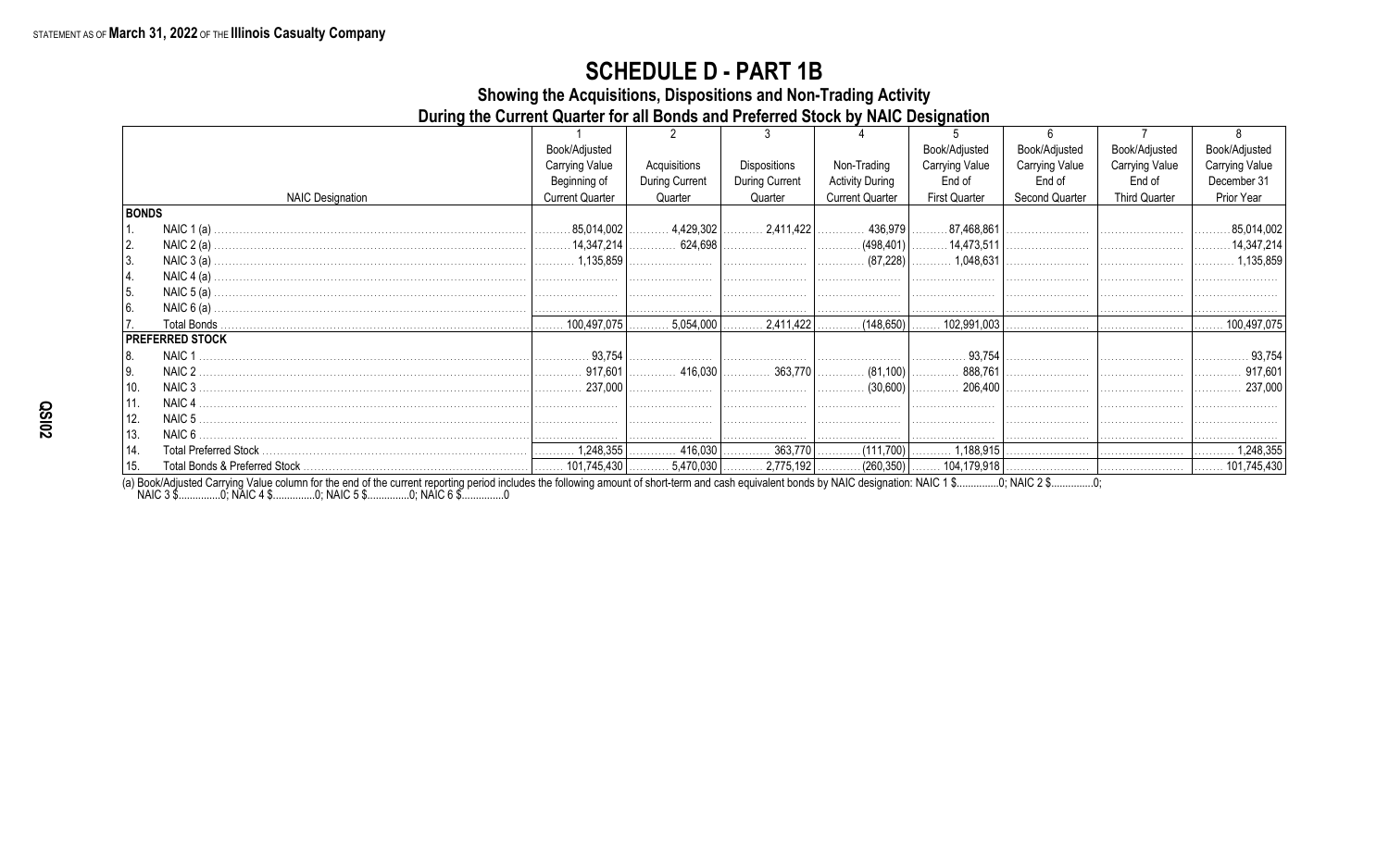Showing the Acquisitions, Dispositions and Non-Trading Activity

During the Current Quarter for all Bonds and Preferred Stock by NAIC Designation

|              |                         | Book/Adjusted          |                |                                |                        | Book/Adjusted                | Book/Adjusted         | Book/Adjusted         | Book/Adjusted    |
|--------------|-------------------------|------------------------|----------------|--------------------------------|------------------------|------------------------------|-----------------------|-----------------------|------------------|
|              |                         | Carrying Value         | Acquisitions   | Dispositions                   | Non-Trading            | <b>Carrying Value</b>        | <b>Carrying Value</b> | <b>Carrying Value</b> | Carrying Value   |
|              |                         | Beginning of           | During Current | During Current                 | <b>Activity During</b> | End of                       | End of                | End of                | December 31      |
|              | <b>NAIC Designation</b> | <b>Current Quarter</b> | Quarter        | Quarter                        | <b>Current Quarter</b> | <b>First Quarter</b>         | Second Quarter        | <b>Third Quarter</b>  | Prior Year       |
| <b>BONDS</b> |                         |                        |                |                                |                        |                              |                       |                       |                  |
|              | NAIC $1(a)$             |                        |                |                                | $\ldots$ 436,979       | 87,468,861                   |                       |                       | .85,014,002<br>. |
| 2.           |                         |                        |                |                                |                        |                              |                       |                       |                  |
| 3.           | NAIC $3(a)$ .           |                        |                |                                |                        | 1,048,631                    |                       |                       | 1,135,859<br>.   |
| 14.          | NAIC $4(a)$ .           |                        |                |                                |                        |                              |                       |                       |                  |
| 5.           | NAIC $5(a)$ .           |                        |                |                                |                        |                              |                       |                       |                  |
| 6.           | NAIC $6(a)$             |                        |                |                                |                        |                              |                       |                       |                  |
| 17.          | Total Bonds             |                        |                | $.5,054,000$ $ $ 2,411,422 $ $ | $(148,650)$ $\ldots$   | $.102,991,003$ $\vert$ .     |                       |                       | . 100,497,075    |
|              | <b>PREFERRED STOCK</b>  |                        |                |                                |                        |                              |                       |                       |                  |
| 8.           | NAIC <sub>1</sub>       | 93.754                 |                |                                |                        | 93.754                       |                       |                       | 93.754           |
| l 9.         | NAIC 2                  |                        |                |                                |                        |                              |                       |                       | 917,601<br>.     |
| 10.          | NAIC <sub>3</sub>       | 237,000                |                |                                | $\ldots$ (30,600)      | 206,400                      |                       |                       | 237,000          |
| 11.          | NAIC <sub>4</sub>       |                        |                |                                |                        |                              |                       |                       |                  |
| 12.          | NAIC <sub>5</sub>       |                        |                |                                |                        |                              |                       |                       |                  |
| 13.          | NAIC 6                  |                        |                |                                |                        |                              |                       |                       |                  |
| 14.          |                         |                        | 416,030        |                                | .                      | . (111,700)   ………… 1,188,915 |                       |                       | 1,248,355<br>.   |
| 15.          |                         |                        |                |                                |                        |                              |                       |                       |                  |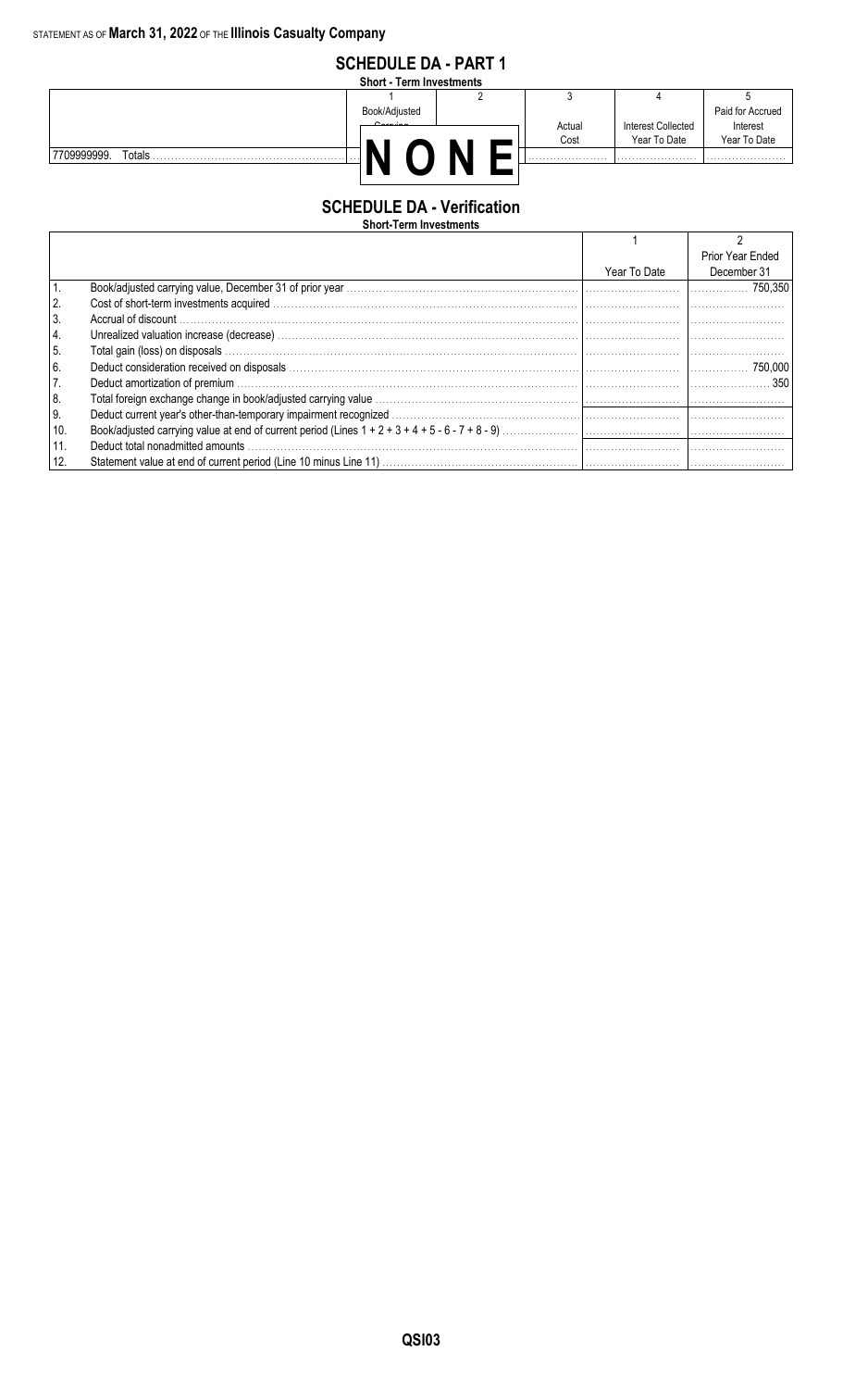

#### **SCHEDULE DA - Verification**

| <b>Short-Term Investments</b> |  |  |  |  |
|-------------------------------|--|--|--|--|
|-------------------------------|--|--|--|--|

|            |              | Prior Year Ended |
|------------|--------------|------------------|
|            | Year To Date | December 31      |
|            |              |                  |
| 2.         |              |                  |
| 3.         |              |                  |
| 4.         |              |                  |
| $\vert$ 5. |              |                  |
| 6.         |              |                  |
| 7.         |              |                  |
| 8.         |              |                  |
| 9.         |              |                  |
| 10.        |              |                  |
| 11.        |              |                  |
| 12.        |              |                  |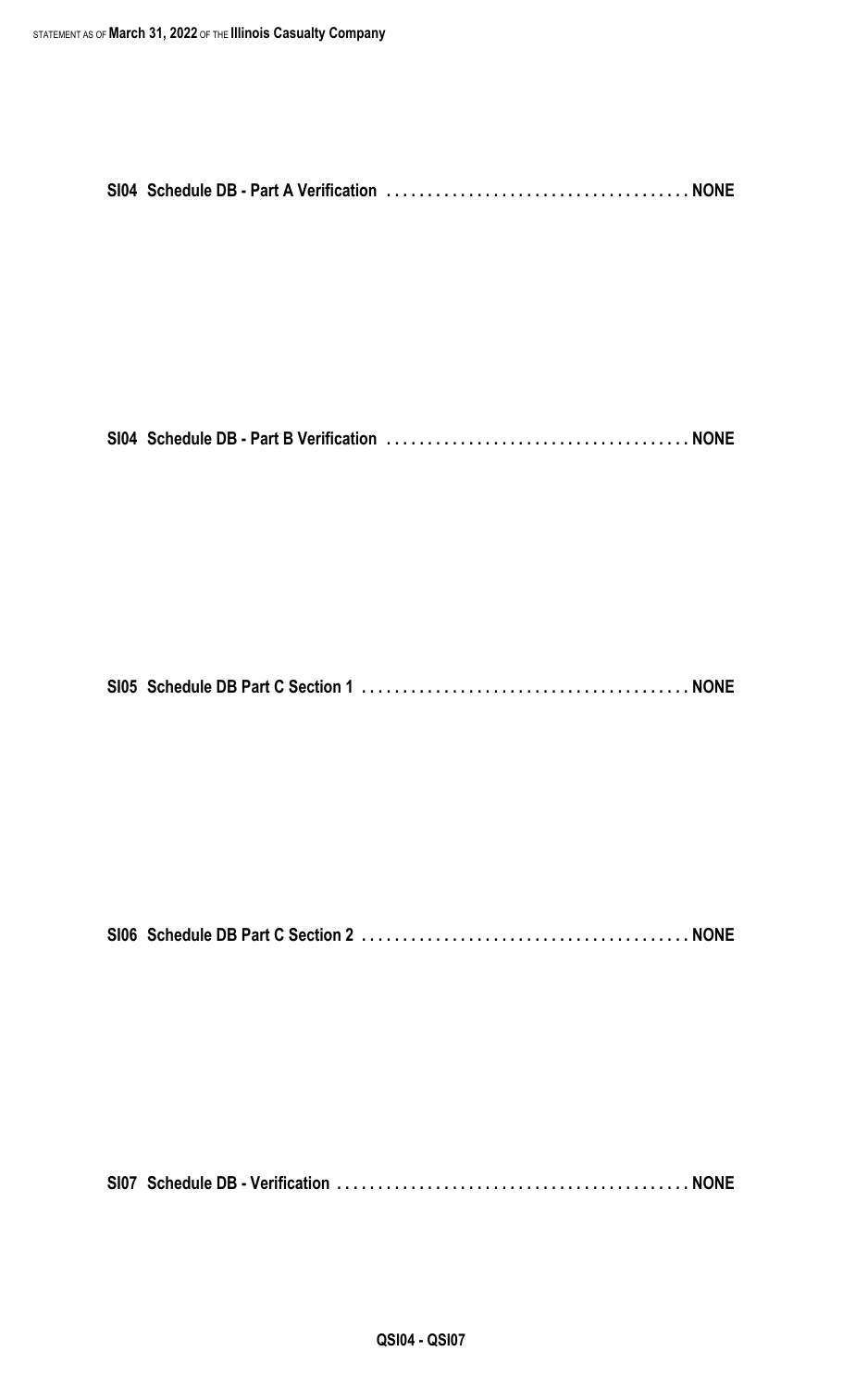|--|--|--|--|

```
SI05 Schedule DB Part C Section 1 . . . . . . . . . . . . . . . . . . . . . . . . . . . . . . . . . . . . . . . . NONE
```
**SI06 Schedule DB Part C Section 2 . . . . . . . . . . . . . . . . . . . . . . . . . . . . . . . . . . . . . . . . NONE**

**SI07 Schedule DB - Verification . . . . . . . . . . . . . . . . . . . . . . . . . . . . . . . . . . . . . . . . . . . NONE**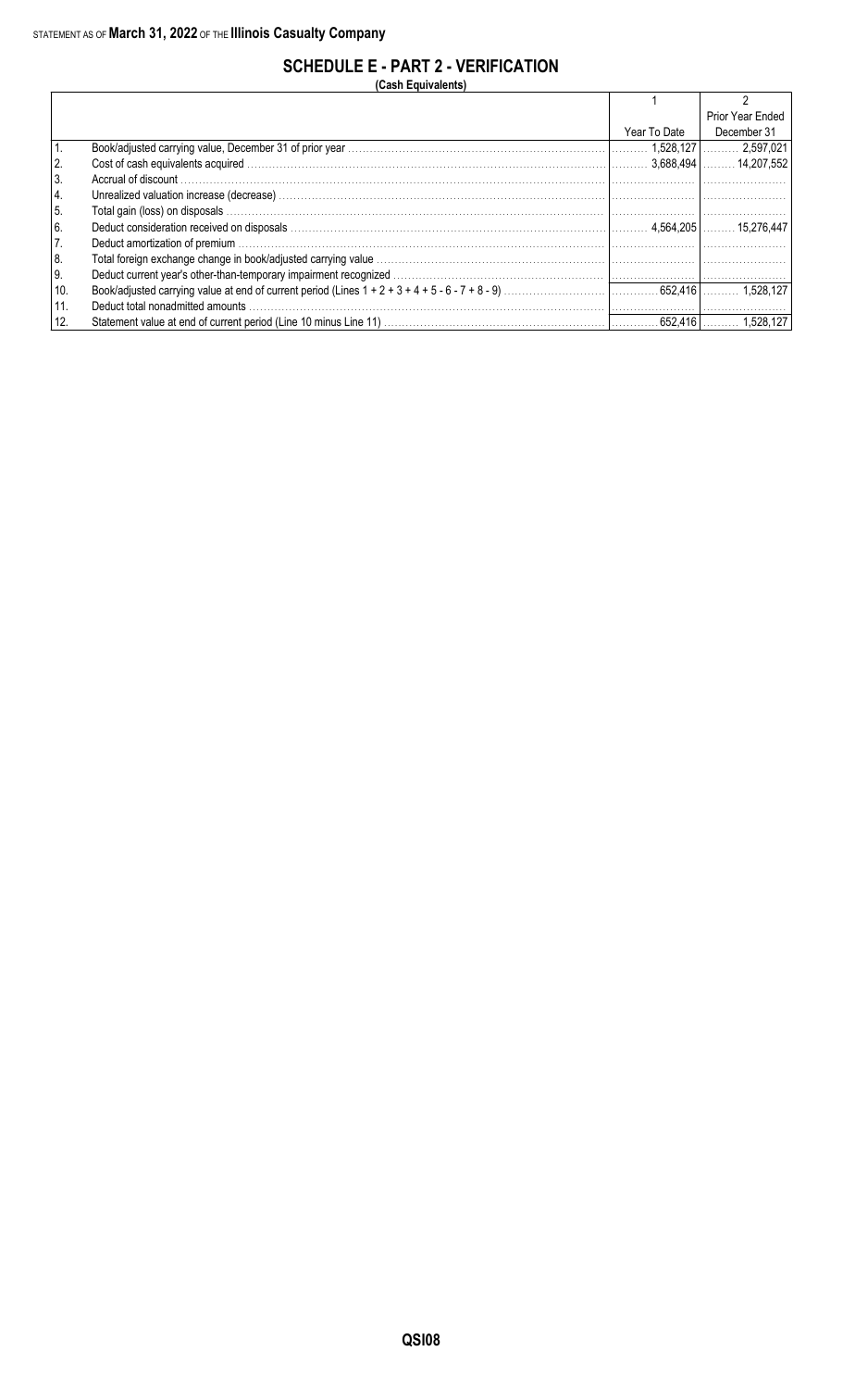### **SCHEDULE E - PART 2 - VERIFICATION**

**(Cash Equivalents)**

|      |                                  |              | Prior Year Ended |
|------|----------------------------------|--------------|------------------|
|      |                                  | Year To Date | December 31      |
|      |                                  |              |                  |
|      |                                  |              |                  |
| l 3. |                                  |              |                  |
| 4.   |                                  |              |                  |
| 5.   |                                  |              |                  |
| 6.   |                                  |              |                  |
| 7.   |                                  |              |                  |
| 8.   |                                  |              |                  |
| 9.   |                                  |              |                  |
| 10.  |                                  |              |                  |
| 11.  | Deduct total nonadmitted amounts |              |                  |
| 12.  |                                  |              |                  |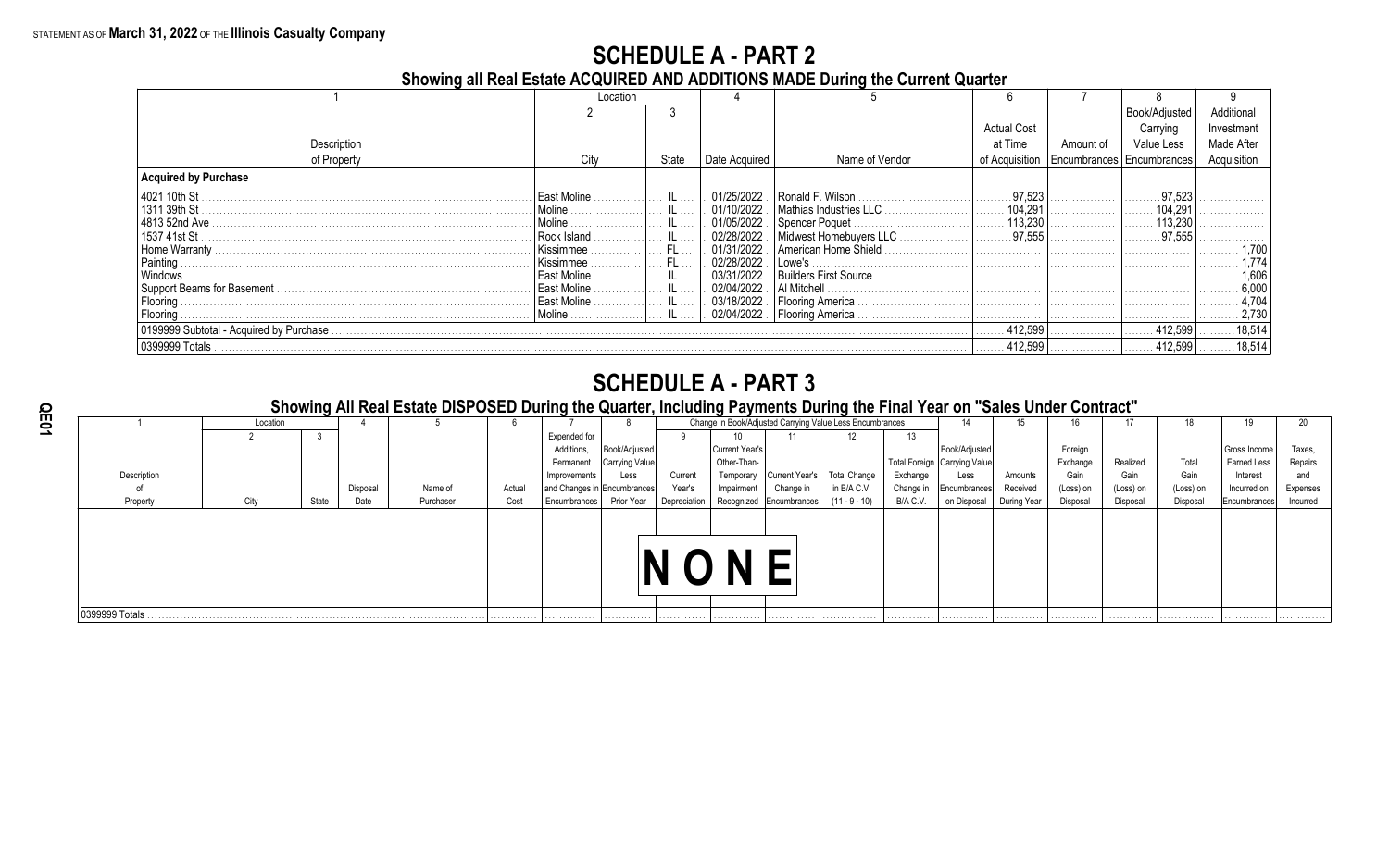**Showing all Real Estate ACQUIRED AND ADDITIONS MADE During the Current Quarter**

|                                          | Location    |           |               |                                |                    |                                              |               |             |
|------------------------------------------|-------------|-----------|---------------|--------------------------------|--------------------|----------------------------------------------|---------------|-------------|
|                                          |             |           |               |                                |                    |                                              | Book/Adjusted | Additional  |
|                                          |             |           |               |                                | <b>Actual Cost</b> |                                              | Carrying      | Investment  |
| Description                              |             |           |               |                                | at Time            | Amount of                                    | Value Less    | Made After  |
| of Property                              | City        | State     | Date Acquired | Name of Vendor                 |                    | of Acquisition   Encumbrances   Encumbrances |               | Acquisition |
| Acquired by Purchase                     |             |           |               |                                |                    |                                              |               |             |
| 4021 10th St                             | East Moline |           | 01/25/2022    |                                | .97,523            |                                              |               |             |
| 1311 39th St                             | Moline.     |           | 01/10/2022.   | .   Mathias Industries LLC     | 104.291            |                                              | 104.29'       |             |
| 4813 52nd Ave                            | Moline.     |           | 01/05/2022.   |                                | 113.230            |                                              |               |             |
| 1537 41st St                             | Rock Island |           | 02/28/2022    | Midwest Homebuyers LLC         | $ $ 97,555         |                                              | .97,555       |             |
| Home Warranty.                           | Kissimmee   | - FL      | 01/31/2022    | l American Home Shield.        |                    |                                              |               |             |
| Painting                                 | Kissimmee   | <b>FL</b> | 02/28/2022    | Lowe's                         |                    |                                              |               |             |
| Windows                                  | East Moline |           | 03/31/2022    |                                |                    |                                              |               | 1.60<br>.   |
|                                          | East Moline |           | 02/04/2022    | l Al Mitchell                  |                    |                                              |               | 6.00        |
| Flooring                                 | East Moline |           |               | 03/18/2022   Flooring America. |                    |                                              |               | 4.704       |
| Flooring                                 | Moline      |           |               | 02/04/2022   Flooring America  |                    |                                              |               | 2,73        |
| 0199999 Subtotal - Acquired by Purchase. |             |           |               |                                | 412,599            |                                              | 412.599       | 18,514      |
| 0399999 Totals                           |             |           |               |                                | 412,599            |                                              | 412.599       | 18.514      |

### **SCHEDULE A - PART 3**

**Showing All Real Estate DISPOSED During the Quarter, Including Payments During the Final Year on "Sales Under Contract"**

| Change in Book/Adjusted Carrying Value Less Encumbrances<br>Location<br>15<br>12<br>Expended for<br>13<br>Foreign<br>Book/Adjusted<br>Current Year's<br>Book/Adjusted<br>Additions,<br>Total Foreign Carrying Value<br>Other-Than-<br>Exchange<br>Carrying Value<br>Permanent<br>Exchange<br>Current Year's<br><b>Total Change</b><br>Description<br>Gain<br>Current<br>Amounts | Total<br>Realized<br>Gain<br>Gain | 19<br>20<br>Gross Income<br>Taxes,<br>Earned Less<br>Repairs<br>Interest<br>and |
|---------------------------------------------------------------------------------------------------------------------------------------------------------------------------------------------------------------------------------------------------------------------------------------------------------------------------------------------------------------------------------|-----------------------------------|---------------------------------------------------------------------------------|
|                                                                                                                                                                                                                                                                                                                                                                                 |                                   |                                                                                 |
|                                                                                                                                                                                                                                                                                                                                                                                 |                                   |                                                                                 |
|                                                                                                                                                                                                                                                                                                                                                                                 |                                   |                                                                                 |
|                                                                                                                                                                                                                                                                                                                                                                                 |                                   |                                                                                 |
| Temporary<br>Less<br>Improvements<br>Less                                                                                                                                                                                                                                                                                                                                       |                                   |                                                                                 |
| in B/A C.V.<br>Year's<br>Change in<br>(Loss) on<br>Actual<br>Disposal<br>Name of<br>and Changes in Encumbrances<br>Received<br>Change in<br>Impairment<br>Encumbrances                                                                                                                                                                                                          | (Loss) on<br>(Loss) on            | Incurred on<br>Expenses                                                         |
| Prior Year<br>$(11 - 9 - 10)$<br>Disposal<br>Property<br>Cost<br>B/A C.V.<br>on Disposal<br>During Year<br>Depreciation<br>City<br>State<br>Purchaser<br>Date<br>Recognized Encumbrances<br>Encumbrances                                                                                                                                                                        | Disposal<br>Disposal              | Encumbrances<br>Incurred                                                        |
|                                                                                                                                                                                                                                                                                                                                                                                 |                                   |                                                                                 |
|                                                                                                                                                                                                                                                                                                                                                                                 |                                   |                                                                                 |
|                                                                                                                                                                                                                                                                                                                                                                                 |                                   |                                                                                 |
|                                                                                                                                                                                                                                                                                                                                                                                 |                                   |                                                                                 |
|                                                                                                                                                                                                                                                                                                                                                                                 |                                   |                                                                                 |
|                                                                                                                                                                                                                                                                                                                                                                                 |                                   |                                                                                 |
|                                                                                                                                                                                                                                                                                                                                                                                 |                                   |                                                                                 |
| 0399999 Totals<br>.<br>.<br>.<br>.<br>.<br>.<br>.<br>.<br>.<br>.                                                                                                                                                                                                                                                                                                                | .<br>.                            | .<br>.                                                                          |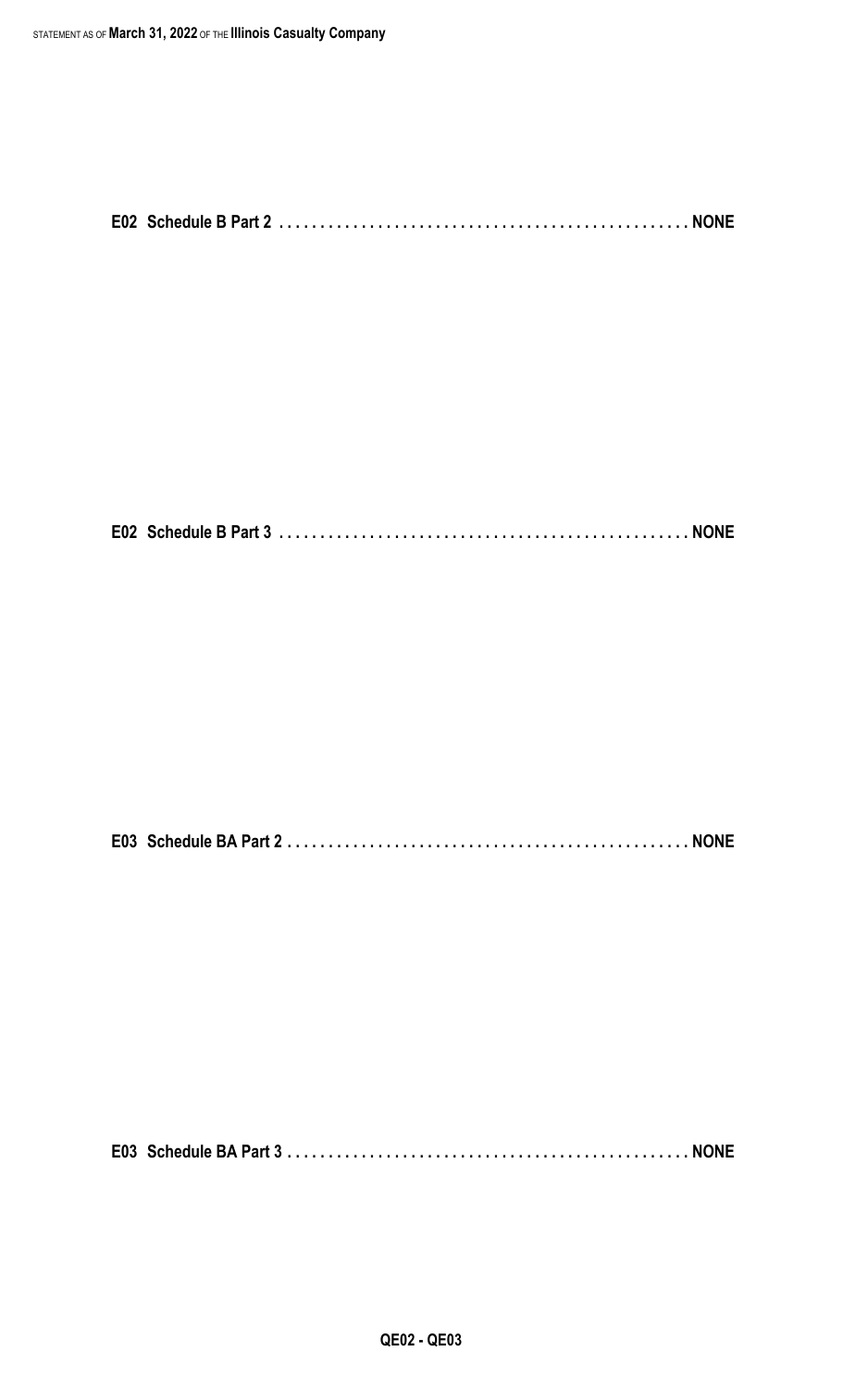**E02 Schedule B Part 3 . . . . . . . . . . . . . . . . . . . . . . . . . . . . . . . . . . . . . . . . . . . . . . . . . . NONE**

**E03 Schedule BA Part 2 . . . . . . . . . . . . . . . . . . . . . . . . . . . . . . . . . . . . . . . . . . . . . . . . . NONE**

**E03 Schedule BA Part 3 . . . . . . . . . . . . . . . . . . . . . . . . . . . . . . . . . . . . . . . . . . . . . . . . . NONE**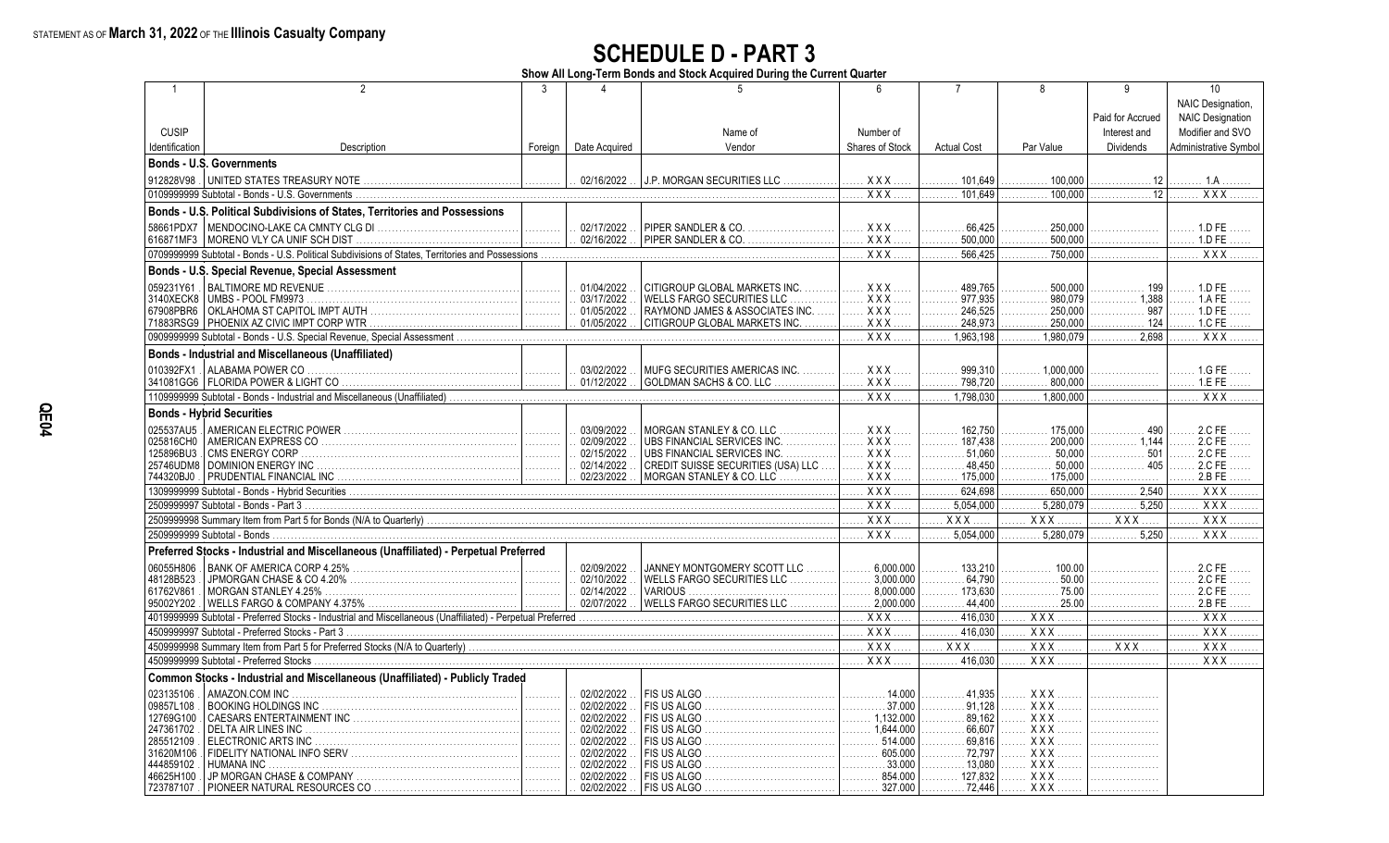**Show All Long-Term Bonds and Stock Acquired During the Current Quarter**

| -1                     | $\mathfrak{D}$                                                                       | 3       |                          | 5                                  | $6\overline{6}$           | $\overline{7}$                | 8                              | 9                | 10                                                |
|------------------------|--------------------------------------------------------------------------------------|---------|--------------------------|------------------------------------|---------------------------|-------------------------------|--------------------------------|------------------|---------------------------------------------------|
|                        |                                                                                      |         |                          |                                    |                           |                               |                                |                  | NAIC Designation,                                 |
|                        |                                                                                      |         |                          |                                    |                           |                               |                                | Paid for Accrued | <b>NAIC Designation</b>                           |
| <b>CUSIP</b>           |                                                                                      |         |                          | Name of                            | Number of                 |                               |                                | Interest and     | Modifier and SVO                                  |
| Identification         | Description                                                                          | Foreign | Date Acquired            | Vendor                             | Shares of Stock           | <b>Actual Cost</b>            | Par Value                      | <b>Dividends</b> | Administrative Symbol                             |
|                        | <b>Bonds - U.S. Governments</b>                                                      |         |                          |                                    |                           |                               |                                |                  |                                                   |
| 912828V98.             |                                                                                      |         | 02/16/2022               |                                    |                           |                               |                                |                  |                                                   |
|                        | 0109999999 Subtotal - Bonds - U.S. Governments                                       | .       |                          | J.P. MORGAN SECURITIES LLC         | XXX<br>XXX                | 101.649<br>.<br>101.649       | 100,000<br>.<br>100.000        | . 12             | . 1.A<br><b>XXX</b>                               |
|                        |                                                                                      |         |                          |                                    |                           | .                             | .                              | . 12             | .                                                 |
|                        | Bonds - U.S. Political Subdivisions of States, Territories and Possessions           |         |                          |                                    |                           |                               |                                |                  |                                                   |
| 58661PDX7              |                                                                                      |         |                          | PIPER SANDLER & CO.                | <b>XXX</b>                | 66.425                        | 250.000                        |                  | 1.D FE                                            |
|                        |                                                                                      |         | $\ldots$ 02/16/2022      | PIPER SANDLER & CO.                | <b>XXX</b>                | 500,000                       | 500,000                        | .                | 1.D FE                                            |
|                        |                                                                                      |         |                          |                                    | $\overline{XXX}$          | 566.425                       | 750,000                        |                  | <b>XXX</b>                                        |
|                        | Bonds - U.S. Special Revenue, Special Assessment                                     |         |                          |                                    |                           |                               |                                |                  |                                                   |
| 059231Y61              |                                                                                      | .       | 01/04/2022               | CITIGROUP GLOBAL MARKETS INC.      | $XXX$                     | 489.765                       | 500.000                        | 199              | 1.D FE                                            |
| 3140XECK8              | UMBS - POOL FM9973                                                                   | .       | 03/17/2022               | WELLS FARGO SECURITIES LLC<br>.    | <b>XXX</b>                | 977.935<br>1.                 | 980.079<br>.                   | 1,388            | 1 A FF                                            |
| 67908PBR6              |                                                                                      | .       | 01/05/2022               | RAYMOND JAMES & ASSOCIATES INC.    | XXX                       | 246,525<br>.                  | 250.000<br>.                   | 987<br>.         | 1.D FE                                            |
|                        |                                                                                      | .       | 01/05/2022               | CITIGROUP GLOBAL MARKETS INC.      | $XXX$                     | 248,973<br>.                  | 250.000<br>.                   | . 124            | 1.C FE                                            |
|                        |                                                                                      |         |                          |                                    | XXX                       | 1.963.198                     |                                | 2698<br>.        | <b>XXX</b>                                        |
|                        | <b>Bonds - Industrial and Miscellaneous (Unaffiliated)</b>                           |         |                          |                                    |                           |                               |                                |                  |                                                   |
| 010392FX1              | ALABAMA POWER CO                                                                     | المستنب | . 03/02/2022             | MUFG SECURITIES AMERICAS INC.      | <b>XXX</b>                | 999.310<br>.                  | $\ldots \ldots 1.000.000$      | .                | 1.G FE                                            |
|                        |                                                                                      |         | 01/12/2022               | GOLDMAN SACHS & CO. LLC<br>.       | XXX                       | . 798,720                     | .800.000<br>.                  | .                | 1.EFE<br>.                                        |
|                        |                                                                                      |         |                          |                                    | XXX                       | 1.798.030                     | $\ldots$ 1.800.000             | .                | <b>XXX</b><br>.                                   |
|                        | <b>Bonds - Hybrid Securities</b>                                                     |         |                          |                                    |                           |                               |                                |                  |                                                   |
| 025537AU5              |                                                                                      | .       | 03/09/2022               | MORGAN STANLEY & CO. LLC           | $XXX$                     | 162.750<br>.                  | 175.000                        | 490              |                                                   |
| 025816CH0              | AMERICAN EXPRESS CO                                                                  | .       | 02/09/2022               | UBS FINANCIAL SERVICES INC.        | $XXX$                     | 187.438                       | $\ldots \ldots \ldots 200.000$ | 1.144            |                                                   |
| 125896BU3              | <b>CMS ENERGY CORP</b>                                                               | .       | 02/15/2022               | UBS FINANCIAL SERVICES INC.        | $XXX$                     | $\frac{1}{2}$                 | 50.000<br>.                    | .                |                                                   |
|                        |                                                                                      |         | . 02/14/2022             | CREDIT SUISSE SECURITIES (USA) LLC | . X X X                   | . 48.450                      | 50.000<br>.                    | 405<br>.         | 2.C FE                                            |
| 744320BJ0              |                                                                                      |         |                          | MORGAN STANLEY & CO. LLC           | <b>XXX</b>                | 175,000                       | . 175,000                      | .                | 2.B FE<br>.                                       |
|                        |                                                                                      |         |                          |                                    | <b>XXX</b>                | 624,698<br>.                  | 650,000<br>.                   | 2,540<br>.       | $\overline{XXX}$<br>.                             |
|                        | 2509999997 Subtotal - Bonds - Part 3                                                 |         |                          |                                    | $XXX$                     | 5,054,000                     | 5,280,079                      | 5,250<br>.       | $\overline{XX}$                                   |
|                        |                                                                                      |         |                          |                                    | <b>XXX</b>                | $XXX$<br>.                    | XXX                            | <b>XXX</b>       | $\overline{XXX}$<br>.                             |
|                        | 2509999999 Subtotal - Bonds                                                          |         |                          |                                    | <b>XXX</b>                | 5,054,000                     | 5.280.079                      | 5.250<br>.       | $\overline{XXX}$                                  |
|                        | Preferred Stocks - Industrial and Miscellaneous (Unaffiliated) - Perpetual Preferred |         |                          |                                    |                           |                               |                                |                  |                                                   |
| 06055H806              |                                                                                      | .       | 02/09/2022               | JANNEY MONTGOMERY SCOTT LLC        | 6.000.000<br>.            | 133.210<br>.                  | 100.00                         | .                |                                                   |
| 48128B523              |                                                                                      | .       | 02/10/2022               | WELLS FARGO SECURITIES LLC         | $\ldots$ 3.000.000        | .64.790<br>.                  | .50.00<br>.                    | .                |                                                   |
| 61762V861              | MORGAN STANLEY 4.25%                                                                 | .       | . 02/14/2022             | <b>VARIOUS</b>                     | $\ldots \ldots 8.000.000$ | 173.630<br>.                  | . 75.00                        | .                | 2.C FE<br>.                                       |
| 95002Y202              |                                                                                      |         |                          | WELLS FARGO SECURITIES LLC         | 2,000.000<br>.            | .44,400                       | .25.00                         |                  | 2.B FE                                            |
|                        |                                                                                      |         |                          |                                    | $XXX$                     | 416,030                       | $XXX$                          | .                | $\overline{X}$ $\overline{X}$ $\overline{X}$<br>. |
|                        |                                                                                      |         |                          |                                    | $XXX$<br>.                | 416,030<br>.                  | $XXX$                          | .                | $\overline{XXX}$<br>.                             |
|                        |                                                                                      |         |                          |                                    | . X X X                   | <b>XXX</b>                    | <b>XXX</b>                     | XXX              | $\overline{XXX}$                                  |
|                        | 4509999999 Subtotal - Preferred Stocks                                               |         |                          |                                    | <b>XXX</b>                | 416.030                       | $XXX$                          |                  | $\overline{XXX}$                                  |
|                        | Common Stocks - Industrial and Miscellaneous (Unaffiliated) - Publicly Traded        |         |                          |                                    |                           |                               |                                |                  |                                                   |
| 023135106              | AMAZON.COM INC                                                                       | .       | . 02/02/2022             | FIS US ALGO                        | . 14.000                  | 41,935                        | XXX                            |                  |                                                   |
| 09857L108              |                                                                                      | .       | 02/02/2022               |                                    | .37.000<br>.              | 91,128                        | <b>XXX</b>                     | .                |                                                   |
| 12769G100              |                                                                                      | .       | 02/02/2022<br>02/02/2022 | FIS US ALGO                        | $\ldots \ldots 1,644.000$ | 89.162<br>66,607              | $XXX$<br>XXX                   |                  |                                                   |
| 247361702<br>285512109 | DELTA AIR LINES INC.<br>ELECTRONIC ARTS INC                                          | .<br>.  | 02/02/2022               |                                    | .514.000<br>.             | .<br>69.816<br>.              | <b>XXX</b>                     | .                |                                                   |
| 31620M106              |                                                                                      | .       | 02/02/2022               |                                    | 605.000<br>.              | $\ldots \ldots \ldots$ 72,797 | <b>XXX</b>                     | .                |                                                   |
| 444859102              | <b>HUMANA INC</b>                                                                    | .       | 02/02/2022               |                                    | 33.000<br>.               | .13.080                       | <b>XXX</b>                     |                  |                                                   |
| 46625H100              |                                                                                      | .       | 02/02/2022               |                                    | 854.000<br>.              | 127.832<br>.                  | . X X X                        | .                |                                                   |
| 723787107              |                                                                                      |         | 02/02/2022               |                                    | 327.000                   | 72.446                        | XXX                            |                  |                                                   |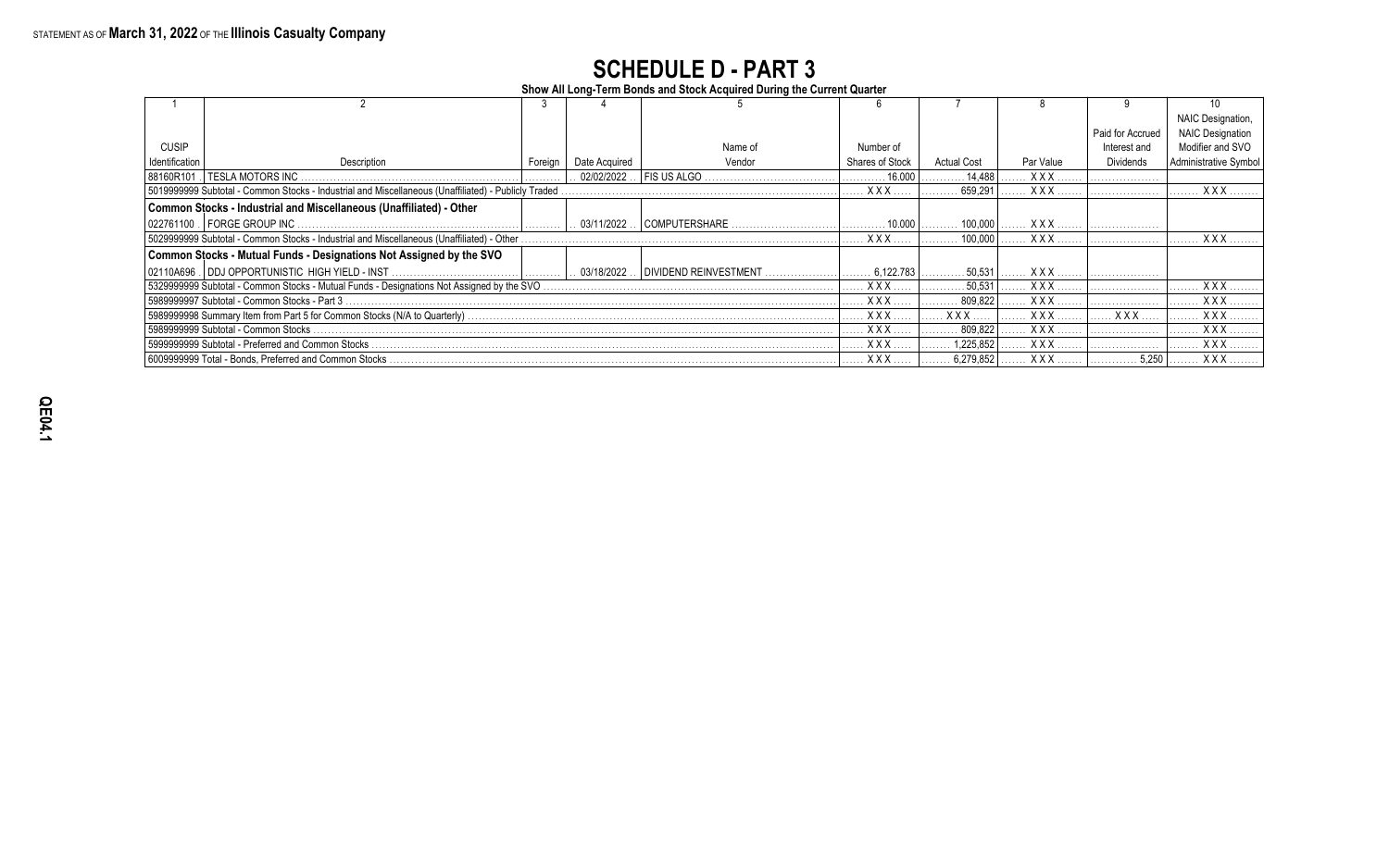**Show All Long-Term Bonds and Stock Acquired During the Current Quarter**

|                |                                                                                                     |         |               |                                       |                        |                    |            |                  | NAIC Designation,       |
|----------------|-----------------------------------------------------------------------------------------------------|---------|---------------|---------------------------------------|------------------------|--------------------|------------|------------------|-------------------------|
|                |                                                                                                     |         |               |                                       |                        |                    |            | Paid for Accrued | <b>NAIC Designation</b> |
| CUSIP          |                                                                                                     |         |               | Name of                               | Number of              |                    |            | Interest and     | Modifier and SVO        |
| Identification | Description                                                                                         | Foreign | Date Acquired | Vendor                                | <b>Shares of Stock</b> | <b>Actual Cost</b> | Par Value  | <b>Dividends</b> | Administrative Symbo    |
| 88160R101      | <b>I TESLA MOTORS INC</b>                                                                           |         | . 02/02/2022  | FIS US ALGO                           | 16.000                 | 14,488             | <b>XXX</b> |                  |                         |
|                | 5019999999 Subtotal - Common Stocks - Industrial and Miscellaneous (Unaffiliated) - Publicly Traded |         |               |                                       | XXX                    | 659.291            | <b>XXX</b> |                  | <b>XXX</b>              |
|                | Common Stocks - Industrial and Miscellaneous (Unaffiliated) - Other                                 |         |               |                                       |                        |                    |            |                  |                         |
|                |                                                                                                     |         |               | . 03/11/2022  COMPUTERSHARE .         | 10.000                 | 100.000            | XXX        |                  |                         |
|                | 5029999999 Subtotal - Common Stocks - Industrial and Miscellaneous (Unaffiliated) - Other           |         |               |                                       | <b>XXX</b>             | 100.000            | XXX.       |                  | <b>XXX</b>              |
|                | Common Stocks - Mutual Funds - Designations Not Assigned by the SVO                                 |         |               |                                       |                        |                    |            |                  |                         |
|                | 02110A696 .   DDJ OPPORTUNISTIC  HIGH YIELD - INST …………………………………   …………                             |         |               | 03/18/2022    DIVIDEND REINVESTMENT . | 6,122.783              | 50,531             | XXX        |                  |                         |
|                |                                                                                                     |         |               |                                       | $XXX$                  | 50.531             | <b>XXX</b> |                  | <b>XXX</b>              |
|                | 5989999997 Subtotal - Common Stocks - Part 3                                                        |         |               |                                       | <b>XXX</b>             | 809.822            | <b>XXX</b> |                  | <b>XXX</b>              |
|                |                                                                                                     |         |               |                                       | <b>XXX</b>             | X X X              | <b>XXX</b> | <b>XXX</b>       | <b>XXX</b>              |
|                | 5989999999 Subtotal - Common Stocks                                                                 |         |               |                                       | <b>XXX</b>             | 809.822            | <b>XXX</b> |                  | <b>XXX</b>              |
|                | 5999999999 Subtotal - Preferred and Common Stocks                                                   |         |               |                                       | <b>XXX</b>             | 1.225.852          | <b>XXX</b> |                  | <b>XXX</b>              |
|                |                                                                                                     |         |               |                                       | <b>XXX</b>             | 6,279,852          | XXX.       | 5,250            | <b>XXX</b>              |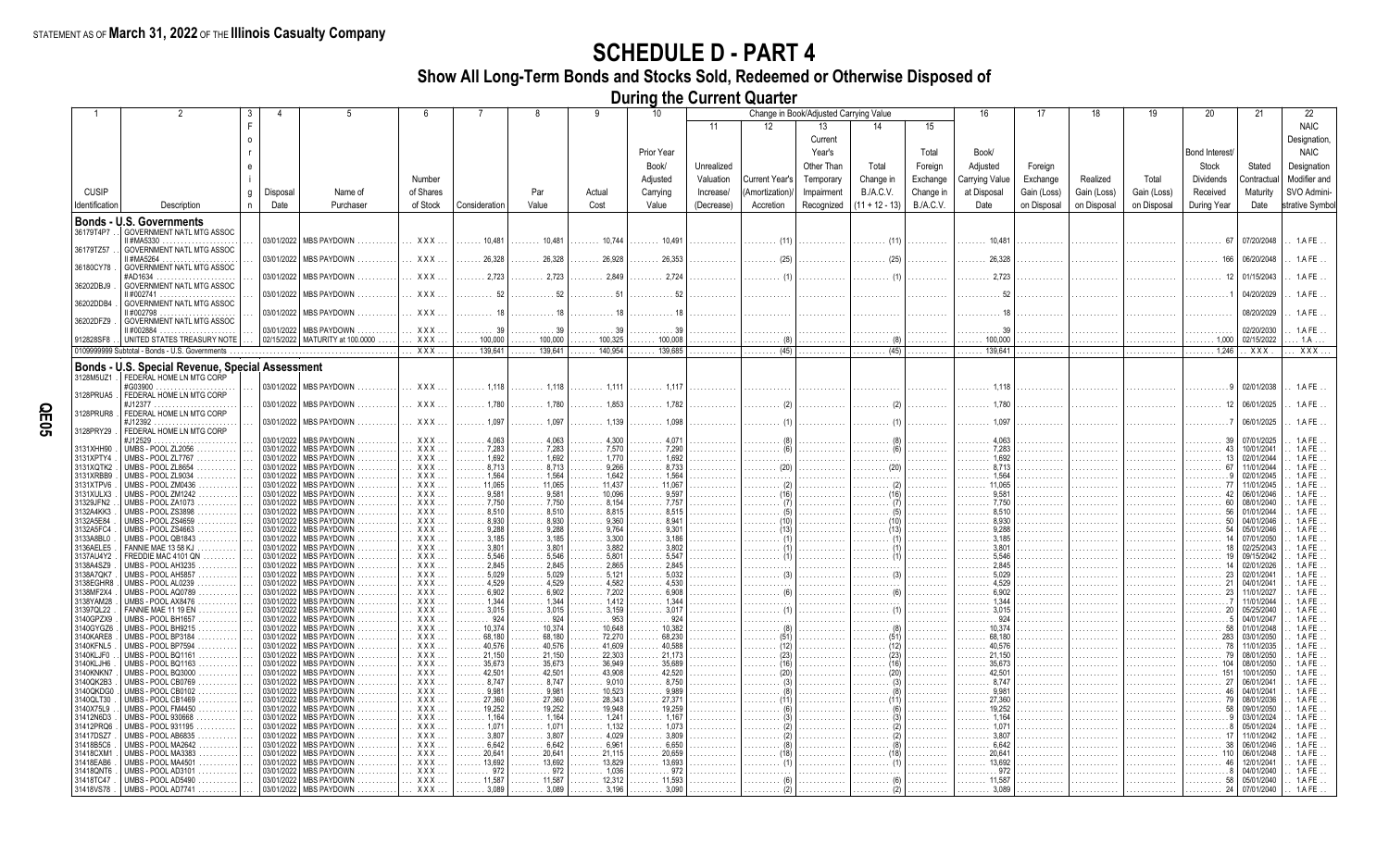**Show All Long-Term Bonds and Stocks Sold, Redeemed or Otherwise Disposed of**

**During the Current Quarter**

|                        |                                                         |                          | 5                                                     |                          |                                |                                    | 9                        | 10                       |            |                | Change in Book/Adjusted Carrying Value |                  |                  |                                                 | 17          | 18          |             | 20                    | 21                       | 22                       |
|------------------------|---------------------------------------------------------|--------------------------|-------------------------------------------------------|--------------------------|--------------------------------|------------------------------------|--------------------------|--------------------------|------------|----------------|----------------------------------------|------------------|------------------|-------------------------------------------------|-------------|-------------|-------------|-----------------------|--------------------------|--------------------------|
|                        |                                                         |                          |                                                       |                          |                                |                                    |                          |                          | 11         | 12             | 13                                     | 14               | 15               |                                                 |             |             |             |                       |                          | <b>NAIC</b>              |
|                        |                                                         |                          |                                                       |                          |                                |                                    |                          |                          |            |                | Current                                |                  |                  |                                                 |             |             |             |                       |                          | Designation,             |
|                        |                                                         |                          |                                                       |                          |                                |                                    |                          | Prior Year               |            |                | Year's                                 |                  | Total            | Book/                                           |             |             |             | Bond Interest         |                          | <b>NAIC</b>              |
|                        |                                                         |                          |                                                       |                          |                                |                                    |                          | Book/                    | Unrealized |                | Other Than                             | Total            | Foreign          | Adjusted                                        | Foreign     |             |             | Stock                 | Stated                   | Designation              |
|                        |                                                         |                          |                                                       | Number                   |                                |                                    |                          | Adjusted                 | Valuation  | Current Year's | Temporary                              | Change in        | Exchange         | <b>Carrying Value</b>                           | Exchange    | Realized    | Total       | <b>Dividends</b>      | Contractua               | Modifier and             |
| <b>CUSIP</b>           | g                                                       | Disposal                 | Name of                                               | of Shares                |                                | Par                                | Actual                   | Carrying                 | Increase/  | Amortization   | Impairment                             | B./A.C.V.        | Change in        | at Disposal                                     | Gain (Loss) | Gain (Loss) | Gain (Loss) | Received              | Maturity                 | SVO Admini-              |
| Identification         | Description<br>n                                        | Date                     | Purchaser                                             | of Stock                 | Consideration                  | Value                              | Cost                     | Value                    | (Decrease) | Accretion      | Recognized                             | $(11 + 12 - 13)$ | <b>B./A.C.V.</b> | Date                                            | on Disposal | on Disposal | on Disposal | During Year           | Date                     | strative Symbo           |
|                        | Bonds - U.S. Governments                                |                          |                                                       |                          |                                |                                    |                          |                          |            |                |                                        |                  |                  |                                                 |             |             |             |                       |                          |                          |
| 36179T4P7              | <b>GOVERNMENT NATL MTG ASSOC</b>                        |                          |                                                       |                          |                                |                                    |                          |                          |            |                |                                        |                  |                  |                                                 |             |             |             |                       |                          |                          |
| 36179TZ57              | I #MA5330<br><b>GOVERNMENT NATL MTG ASSOC</b>           |                          | 03/01/2022   MBS PAYDOWN                              | XXX.                     | $\ldots \ldots 10,481$         | $\ldots \ldots 10,481$             | $\ldots \ldots 10,744$   | $\ldots \ldots 10,491$   | .          | . (11)         |                                        |                  |                  | $\ldots$ . 10,481                               |             |             |             | - 67                  | 07/20/2048               | 1.A FE                   |
|                        | I #MA5264                                               | 03/01/2022               | MBS PAYDOWN                                           | XXX.                     | $\ldots$ 26,328                | 26.328                             | 26.928<br>.              | . 26.353                 |            | (25            |                                        |                  |                  |                                                 |             |             |             |                       | 06/20/2048               | 1.A FE                   |
| 36180CY78              | GOVERNMENT NATL MTG ASSOC<br>#AD1634                    | 03/01/2022               | <b>IMBS PAYDOWN</b>                                   | <b>XXX</b>               | 2.723                          | 2.723                              | 2.849                    |                          |            |                |                                        |                  |                  |                                                 |             |             |             |                       | 01/15/2043               | 1.A FE                   |
| 36202DBJ9              | GOVERNMENT NATL MTG ASSOC                               |                          |                                                       |                          |                                |                                    |                          |                          |            |                |                                        |                  |                  |                                                 |             |             |             |                       |                          |                          |
| 36202DDB4              | II #002741<br>GOVERNMENT NATL MTG ASSOC                 | 03/01/2022               | <b>MBS PAYDOWN</b>                                    | <b>XXX</b>               |                                |                                    |                          |                          |            |                |                                        |                  |                  |                                                 |             |             |             |                       | 04/20/2029               | 1.A FE                   |
|                        | II #002798                                              | 03/01/2022               | <b>MBS PAYDOWN</b>                                    | <b>XXX</b>               |                                |                                    |                          |                          |            |                |                                        |                  |                  |                                                 |             |             |             |                       | 08/20/2029               | 1.A FE                   |
| 36202DFZ9              | GOVERNMENT NATL MTG ASSOC                               |                          | <b>MBS PAYDOWN</b>                                    | XXX                      |                                |                                    |                          |                          |            |                |                                        |                  |                  |                                                 |             |             |             |                       |                          |                          |
| 912828SF8              | #002884<br>UNITED STATES TREASURY NOTE                  | 03/01/2022               | 02/15/2022   MATURITY at 100.0000                     | XXX                      | $\ldots$ . 100,000             | 100,000                            | 100,325                  | 100,008                  |            |                |                                        |                  |                  | $\ldots$ . 100,000                              |             |             |             | $\ldots \ldots 1,000$ | 02/20/2030<br>02/15/2022 | $1.AFE$ .<br>.1A         |
|                        | 0109999999 Subtotal - Bonds - U.S. Governments          |                          |                                                       | $\overline{XXX}$         | 139.641                        | 139.641                            | 140.954                  | 139.685                  |            | (45)           |                                        | (45)             |                  | 139.641                                         |             |             |             | 1.246                 | XXX                      | XXX                      |
|                        | <b>Bonds - U.S. Special Revenue, Special Assessment</b> |                          |                                                       |                          |                                |                                    |                          |                          |            |                |                                        |                  |                  |                                                 |             |             |             |                       |                          |                          |
| 3128M5UZ1              | FEDERAL HOME LN MTG CORP                                |                          |                                                       |                          |                                |                                    |                          |                          |            |                |                                        |                  |                  |                                                 |             |             |             |                       |                          |                          |
| 3128PRUA5              | #G03900<br>FEDERAL HOME LN MTG CORP                     | 03/01/2022               | MBS PAYDOWN                                           | XXX.                     | $\ldots \ldots 1.118$          | $\ldots \ldots 1.118$              |                          |                          |            |                |                                        |                  |                  |                                                 |             |             |             |                       | 02/01/2038               | 1.A FE                   |
|                        | #J12377                                                 | 03/01/2022               | <b>MBS PAYDOWN</b>                                    | XXX.                     | $\ldots \ldots 1,780$          | . 1.780                            | $\ldots \ldots 1.853$    | $\ldots \ldots 1.782$    |            |                |                                        |                  |                  | $\ldots \ldots 1.780$                           |             |             |             |                       | 06/01/2025               | 1.A FE                   |
| 3128PRUR8              | FEDERAL HOME LN MTG CORP<br>#J12392                     | 03/01/2022               | <b>MBS PAYDOWN</b>                                    | XXX.                     | $\ldots \ldots 1.097$          | . 1.097                            | $\ldots \ldots 1,139$    | 1.098                    |            |                |                                        |                  |                  |                                                 |             |             |             |                       | 06/01/2025               | 1.A FE                   |
| 3128PRY29              | .<br>FEDERAL HOME LN MTG CORP                           |                          |                                                       |                          |                                |                                    |                          |                          |            |                |                                        |                  |                  |                                                 |             |             |             |                       |                          |                          |
| 3131XHH90              | #J12529<br>UMBS - POOL ZL2056                           | 03/01/2022<br>03/01/2022 | <b>MBS PAYDOWN</b><br><b>MBS PAYDOWN</b>              | XXX.<br>$XXX$            | 4,063<br>.<br>.7,283           | 4,063<br>7,283                     | 4.300<br>. 7,570         |                          |            |                |                                        |                  |                  | $\ldots \ldots 7,283$                           |             |             |             |                       | 07/01/2025<br>10/01/2041 | 1.A FE<br>$1.AFE$ .      |
| 3131XPTY4              | UMBS - POOL ZL7767                                      | 03/01/2022               | <b>MBS PAYDOWN</b>                                    | XXX.                     | .<br>1,692<br>.                | $\ldots$ . 1.692                   | . 1.770                  | . 7,290<br>1.692         |            |                | .                                      |                  | .                | $\ldots \ldots 1.692$                           |             |             |             |                       | 02/01/2044               | 1.A FE                   |
| 3131XQTK2              | UMBS - POOL ZL8654                                      | 03/01/2022<br>03/01/2022 | <b>MBS PAYDOWN</b>                                    | $XXX$<br>XXX.            | 8,713<br>.                     | 8.713<br>$\ldots$ . 1.564          | 9,266<br>1.642           | 8.733<br>1.564           | .          |                |                                        |                  | .                | $\ldots \ldots 8.713$                           |             | .           |             |                       | 11/01/2044               | 1.A FE                   |
| 3131XRBB9<br>3131XTPV6 | UMBS - POOL ZL9034<br>UMBS - POOL ZM0436                | 03/01/2022               | <b>MBS PAYDOWN</b><br><b>MBS PAYDOWN</b>              | $XXX$                    | 1,564<br>$\ldots$ . 11,065     | $\ldots$ . 11,065                  | 11.437<br>.              | 11,067                   | .<br>.     | .              | .<br>.                                 |                  | .<br>.           | $\ldots \ldots 1.564$<br>$\ldots \ldots$ 11,065 | .           | .<br>.      | .<br>.      |                       | 02/01/2045<br>11/01/2045 | 1.AFE<br>1.A FE          |
| 3131XULX3              | UMBS - POOL ZM1242                                      | 03/01/2022               | <b>MBS PAYDOWN</b>                                    | XXX.                     | 9,581                          | $\ldots$ 9.581                     | 10.096                   | 9.597                    | .          |                | .                                      |                  | .                | $\ldots \ldots 9,581$                           | .           | .           | .           |                       | 06/01/2046               | 1.A FE                   |
| 31329JFN2<br>3132A4KK3 | UMBS - POOL ZA1073<br>UMBS - POOL ZS3898                | 03/01/2022<br>03/01/2022 | <b>MBS PAYDOWN</b><br>1.1.1.1.1<br><b>MBS PAYDOWN</b> | $XXX$<br>$XXX$           | 7.750<br>.<br>8,510<br>.       | $\ldots 7.750$<br>$\ldots$ . 8.510 | 8.154<br>.<br>8.815<br>. | 7.757<br>.<br>8.515<br>. | .<br>.     | .              | .<br>.                                 | .                | .<br>.           | . 7,750<br>$\ldots \ldots 8.510$                | .<br>.      | .<br>.      | .<br>.      | .                     | 08/01/2040<br>01/01/2044 | 1.A FE<br>1.A FE         |
| 3132A5E84              | UMBS - POOL ZS4659                                      | 03/01/2022               | <b>MBS PAYDOWN</b>                                    | XXX.                     | 8,930<br>.                     | $\ldots$ 8,930                     | 9.360                    | 8.941<br>.               | .          | .              |                                        |                  | .                | $\ldots \ldots 8.930$                           |             | .           | .           |                       | 04/01/2046               | 1.A FE                   |
| 3132A5FC4<br>3133A8BL0 | UMBS - POOL ZS4663<br>UMBS - POOL QB1843                | 03/01/2022<br>03/01/2022 | <b>MBS PAYDOWN</b><br><b>MBS PAYDOWN</b>              | XXX.<br>XXX              | 9,288<br>.<br>3.185            | 9,288<br>3.185                     | 9,764<br>3.300           | 9,301<br>.<br>3.186      | .          |                |                                        |                  |                  | 9,288<br>.3.185                                 |             |             | .           |                       | 05/01/2046<br>07/01/2050 | 1.A FE<br>1.A FE         |
| 3136AELE5              | FANNIE MAE 13 58 KJ                                     | 03/01/2022               | <b>MBS PAYDOWN</b>                                    | <b>XXX</b>               | 3,801                          | 3,801                              | 3.882                    | 3.802                    |            |                |                                        |                  |                  | $\ldots$ . 3,801                                |             |             |             |                       | 02/25/2043               | 1.A FE                   |
| 3137AU4Y2<br>3138A4SZ9 | FREDDIE MAC 4101 QN<br>JMBS - POOL AH3235               | 03/01/2022<br>03/01/2022 | <b>MBS PAYDOWN</b><br><b>MBS PAYDOWN</b>              | <b>XXX</b><br>XXX        | 5.546<br>2.845                 | 5.546<br>2.845                     | 5,801<br>2.865           | 5,547<br>2.845           |            |                |                                        |                  |                  | $\ldots \ldots 5.546$<br>$\ldots \ldots$ 2.845  |             |             |             |                       | 09/15/2042<br>02/01/2026 | 1.A FE<br>1.A FE         |
| 3138A7QK7              | JMBS - POOL AH5857                                      | 03/01/2022               | <b>MBS PAYDOWN</b>                                    | <b>XXX</b>               | 5.029                          | 5.029                              | 5.121                    | 5.032                    |            |                |                                        |                  |                  | $\ldots 5.029$                                  |             |             |             |                       | 02/01/2041               | 1.A FE                   |
| 3138EGHR8<br>3138MF2X4 | JMBS - POOL AL0239<br>UMBS - POOL AQ0789                | 03/01/2022<br>03/01/2022 | <b>MBS PAYDOWN</b><br>MBS PAYDOWN                     | XXX.<br>XXX.             | 4.529<br>6,902                 | 4.529<br>6,902                     | 4.582<br>7,202           | 4.530<br>6.908           |            |                |                                        |                  |                  | $\ldots \ldots 4.529$<br>. 6.902                |             |             |             |                       | 04/01/2041<br>11/01/2027 | 1.A FE<br>$1.AFE$ .      |
| 3138YAM28              | <b>JMBS - POOL AX8476</b>                               | 03/01/2022               | <b>MBS PAYDOWN</b>                                    | $XXX$                    | 1.344<br>.                     | 1,344                              | 1.412                    | 1.344                    |            |                |                                        |                  |                  | $\ldots$ . 1.344                                |             |             |             |                       | 11/01/2044               | $1.AFE$ .                |
| 31397QL22<br>3140GPZX9 | FANNIE MAE 11 19 EN<br>JMBS - POOL BH1657               | 03/01/2022<br>03/01/2022 | <b>MBS PAYDOWN</b><br>MBS PAYDOWN                     | XXX<br>XXX.              | 3,015<br>.<br>924              | 3,015<br>.924                      | 953                      | 3,017<br>. 924           |            |                |                                        |                  |                  | 3,015<br>. 924                                  |             |             |             |                       | 05/25/2040<br>04/01/2047 | $1.AFE$ .<br>1.A FE      |
| 3140GYGZ6              | UMBS - POOL BH9215                                      | 03/01/2022               | <b>MBS PAYDOWN</b>                                    | XXX                      | 10,374<br>1.1.1.               | 10,374                             | 10.648                   | 10.382                   |            |                |                                        |                  |                  | 10.374<br>.                                     |             |             |             |                       | 01/01/2048               | 1.A FE                   |
| 3140KARE8<br>3140KFNL5 | JMBS - POOL BP3184<br>JMBS - POOL BP7594                | 03/01/2022<br>03/01/2022 | MBS PAYDOWN<br><b>MBS PAYDOWN</b>                     | XXX.<br>XXX              | 68,180<br>40,576               | 68,180<br>40,576                   | 72,270<br>41.609         | 68.230<br>40,588         |            |                |                                        |                  |                  | 68,180<br>40,576                                |             |             |             | 283                   | 03/01/2050<br>11/01/2035 | 1.A FE<br>1.A FE         |
| 3140KLJF0              | JMBS - POOL BQ1161                                      | 03/01/2022               | <b>MBS PAYDOWN</b>                                    | XXX                      | 21.150                         | 21.150                             | 22.303                   | 21.173                   | .          |                |                                        |                  |                  | $\ldots$ . 21,150                               |             |             | .<br>.      |                       | 08/01/2050               | 1.AFE                    |
| 3140KLJH6<br>3140KNKN7 | JMBS - POOL BQ1163                                      | 03/01/2022<br>03/01/2022 | <b>MBS PAYDOWN</b>                                    | $XXX$<br>XXX             | 35.673<br>42,501               | 35.673<br>42,501                   | 36.949<br>43.908         | 35.689<br>42,520         | .          |                |                                        |                  |                  | 35.673<br>.<br>42.501                           |             |             | .           |                       | 08/01/2050               | 1.A FE                   |
| 3140QK2B3              | UMBS - POOL BQ3000<br>UMBS - POOL CB0769                | 03/01/2022               | MBS PAYDOWN<br><b>MBS PAYDOWN</b>                     | XXX                      | 8,747<br>.                     | 8.747                              | 9.010                    | 8,750                    | .<br>.     |                |                                        |                  |                  | .<br>$\ldots \ldots 8.747$                      | .           |             | .<br>.      |                       | 10/01/2050<br>06/01/2041 | 1.A FE<br>1.A FE         |
| 3140QKDG0              | UMBS - POOL CB0102                                      | 03/01/2022               | <b>MBS PAYDOWN</b>                                    | XXX.                     | 9,981                          | 9,981                              | 10,523                   | 9,989                    | .          |                |                                        |                  |                  | $\ldots \ldots 9,981$                           |             |             | .           |                       | 04/01/204                | 1.A FE                   |
| 3140QLT30<br>3140X75L9 | UMBS - POOL CB1469<br>UMBS - POOL FM4450                | 03/01/2022<br>03/01/2022 | <b>MBS PAYDOWN</b><br><b>MBS PAYDOWN</b>              | XXX<br>XXX               | 27,360<br>19,252               | 27,360<br>19,252                   | 28.343<br>19.948         | 27,371<br>19,259         |            |                |                                        |                  |                  | 27.360<br>19,252                                |             |             |             |                       | 08/01/2036<br>09/01/2050 | 1.A FE<br>1.A FE         |
| 31412N6D3              | UMBS-<br>- POOL 930668                                  | 03/01/2022               | <b>MBS PAYDOWN</b>                                    | XXX                      | 1.164                          | 1.164                              | 1.241                    | 1.167                    |            |                |                                        |                  |                  | $\ldots \ldots 1,164$                           |             |             |             |                       | 03/01/2024               | 1.A FE                   |
| 31412PRQ6<br>31417DSZ7 | UMBS - POOL 931195<br>JMBS - POOL AB6835                | 03/01/2022<br>03/01/2022 | MBS PAYDOWN<br><b>MBS PAYDOWN</b>                     | <b>XXX</b><br><b>XXX</b> | 1.071<br>3.807                 | 1.071<br>3.807                     | 1.132<br>4.029           | 1.073<br>3.809           |            |                |                                        |                  |                  | . 1.071<br>3.807                                |             |             |             |                       | 05/01/2024<br>11/01/2042 | 1.A FE<br>1.A FE         |
| 31418B5C6              | UMBS - POOL MA2642                                      | 03/01/2022               | <b>MBS PAYDOWN</b>                                    | XXX.                     | 6.642                          | 6.642                              | 6.961                    | 6.650                    |            |                |                                        |                  |                  | 6.642                                           |             |             |             |                       | 06/01/2046               | $1.AFE$ .                |
| 31418CXM1<br>31418EAB6 | UMBS - POOL MA3383<br>UMBS - POOL MA4501                | 03/01/2022<br>03/01/2022 | MBS PAYDOWN<br><b>MBS PAYDOWN</b>                     | XXX.<br>XXX.             | $\ldots$ 20,641<br>13,692<br>. | 20,641<br>13,692                   | 21.115<br>13,829         | 20,659<br>13.693         |            |                |                                        |                  |                  | 20.641<br>.<br>$\ldots$ 13.692                  |             |             |             |                       | 06/01/2048<br>12/01/2041 | $1.$ A FE .<br>$1.AFE$ . |
| 31418QNT6              | UMBS - POOL AD3101                                      | 03/01/2022               | <b>MBS PAYDOWN</b>                                    | $XXX$                    | 972<br>.                       | . 972                              | 1,036                    | 972                      |            |                |                                        |                  |                  | 972                                             |             | .           |             |                       | 04/01/2040               | $1.AFE$ .                |
| 31418TC47<br>31418VS78 | UMBS - POOL AD5490<br>UMBS - POOL AD7741                | 03/01/2022<br>03/01/2022 | <b>MBS PAYDOWN</b><br>MBS PAYDOWN                     | XXX<br>XXX.              | 11,587<br>3,089                | $\ldots$ . 11,587<br>3.089         | 12,312<br>3.196          | 11,593<br>3.090          |            |                |                                        |                  |                  | $\ldots$ . 11,587<br>3.089                      |             |             |             |                       | 05/01/2040               | $1.$ A FE .<br>1.A FE    |
|                        |                                                         |                          |                                                       |                          |                                |                                    |                          |                          |            |                |                                        |                  |                  |                                                 |             |             |             |                       | 07/01/2040               |                          |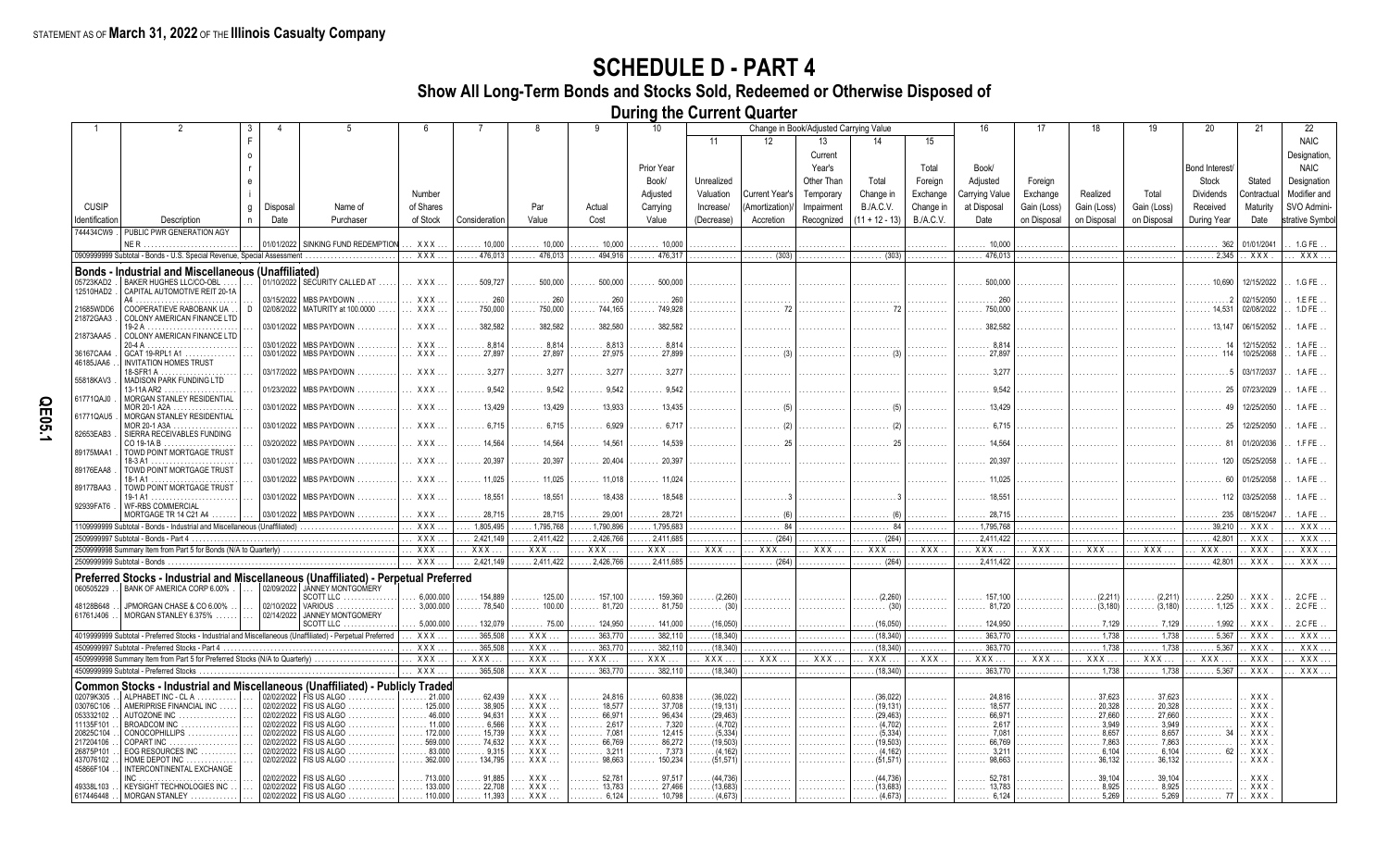**Show All Long-Term Bonds and Stocks Sold, Redeemed or Otherwise Disposed of**

**During the Current Quarter**

|                        |                                                                                                            | 3 |            | -5                                                             |                                 |                                    | 8                                                | q                                   | 10                                  |                                          |                       | Change in Book/Adjusted Carrying Value |                      |                  | 16                                              | 17          | 18                                 | 19                                             | 20                             | 21                | 22               |
|------------------------|------------------------------------------------------------------------------------------------------------|---|------------|----------------------------------------------------------------|---------------------------------|------------------------------------|--------------------------------------------------|-------------------------------------|-------------------------------------|------------------------------------------|-----------------------|----------------------------------------|----------------------|------------------|-------------------------------------------------|-------------|------------------------------------|------------------------------------------------|--------------------------------|-------------------|------------------|
|                        |                                                                                                            | Е |            |                                                                |                                 |                                    |                                                  |                                     |                                     | 11                                       | 12                    | 13                                     | 14                   | 15               |                                                 |             |                                    |                                                |                                |                   | <b>NAIC</b>      |
|                        |                                                                                                            |   |            |                                                                |                                 |                                    |                                                  |                                     |                                     |                                          |                       | Current                                |                      |                  |                                                 |             |                                    |                                                |                                |                   | Designation,     |
|                        |                                                                                                            |   |            |                                                                |                                 |                                    |                                                  |                                     | Prior Year                          |                                          |                       | Year's                                 |                      | Total            | Book/                                           |             |                                    |                                                | Bond Interest/                 |                   | <b>NAIC</b>      |
|                        |                                                                                                            |   |            |                                                                |                                 |                                    |                                                  |                                     | Book/                               | Unrealized                               |                       | Other Than                             | Total                | Foreign          | Adjusted                                        | Foreign     |                                    |                                                | Stock                          | Stated            | Designation      |
|                        |                                                                                                            |   |            |                                                                | Number                          |                                    |                                                  |                                     | Adjusted                            | Valuation                                | <b>Current Year's</b> | Temporary                              | Change in            | Exchange         | Carrying Value                                  | Exchange    | Realized                           | Total                                          | <b>Dividends</b>               | Contractua        | Modifier and     |
| <b>CUSIP</b>           |                                                                                                            | g | Disposal   | Name of                                                        | of Shares                       |                                    | Par                                              | Actual                              | Carrying                            | Increase/                                | (Amortization)        | Impairment                             | <b>B./A.C.V.</b>     | Change in        | at Disposal                                     | Gain (Loss) | Gain (Loss)                        | Gain (Loss)                                    | Received                       | Maturity          | SVO Admini-      |
| Identification         | Description                                                                                                | n | Date       | Purchaser                                                      | of Stock                        | Consideration                      | Value                                            | Cost                                | Value                               | (Decrease)                               | Accretion             | Recognized                             | $(11 + 12 - 13)$     | <b>B./A.C.V.</b> | Date                                            | on Disposal | on Disposal                        | on Disposal                                    | During Year                    | Date              | strative Symbol  |
| 744434CW9              | PUBLIC PWR GENERATION AGY                                                                                  |   |            |                                                                |                                 |                                    |                                                  |                                     |                                     |                                          |                       |                                        |                      |                  |                                                 |             |                                    |                                                |                                |                   |                  |
|                        | NER.                                                                                                       |   |            | 01/01/2022 SINKING FUND REDEMPTION                             | XXX.                            | $\ldots$ 10.000                    | 10,000                                           | $\ldots$ 10.000                     | $\ldots$ 10.000                     | .                                        |                       |                                        |                      |                  | $\ldots$ . 10.000                               |             |                                    | .                                              | . 362                          | 01/01/2041        | 1.GFE            |
|                        | 0909999999 Subtotal - Bonds - U.S. Special Revenue, Special Assessment                                     |   |            |                                                                | XXX.                            | 476,013                            | 476,013                                          | 494.916                             | 476.317                             | .                                        | (303)                 | .                                      | $\ldots$ (303)       |                  | 476.013                                         |             |                                    |                                                | 2.345                          | <b>XXX</b>        | XXX.             |
|                        | <b>Bonds - Industrial and Miscellaneous (Unaffiliated)</b>                                                 |   |            |                                                                |                                 |                                    |                                                  |                                     |                                     |                                          |                       |                                        |                      |                  |                                                 |             |                                    |                                                |                                |                   |                  |
| 05723KAD2<br>12510HAD2 | BAKER HUGHES LLC/CO-OBL<br>CAPITAL AUTOMOTIVE REIT 20-1A                                                   |   |            | 01/10/2022   SECURITY CALLED AT                                | XXX.                            | $\ldots$ 509.727                   | 500,000                                          | 500,000                             | 500,000                             |                                          |                       |                                        |                      |                  | 500,000                                         |             |                                    |                                                | 10.690                         | 12/15/2022        | 1.G FE           |
|                        | A4                                                                                                         |   | 03/15/2022 | MBS PAYDOWN                                                    | $XXX$                           | . 260                              | . 260                                            | . 260                               | $\ldots \ldots 260$                 |                                          |                       |                                        |                      |                  | . 260                                           |             |                                    |                                                |                                | 02/15/2050        | 1.E FE           |
| 21685WDD6<br>21872GAA3 | COOPERATIEVE RABOBANK UA<br>COLONY AMERICAN FINANCE LTD                                                    |   |            | 02/08/2022   MATURITY at 100.0000                              | $XXX$                           | $\ldots$ . 750,000                 | 750,000<br>.                                     | 744,165                             | 749,928                             | .                                        |                       |                                        |                      |                  |                                                 |             |                                    |                                                | . 14,531                       | 02/08/2022        | $1.DFE$ .        |
|                        | 19-2 A <u>.</u> . <u>.</u>                                                                                 |   |            | 03/01/2022 MBS PAYDOWN                                         | XXX.                            | 382.582                            | 382.582                                          | 382.580                             | 382.582                             |                                          |                       |                                        |                      |                  | 382.582                                         |             |                                    |                                                | 13.147                         | 06/15/2052        | 1.AFE            |
| 21873AAA5              | COLONY AMERICAN FINANCE LTD                                                                                |   |            | 03/01/2022   MBS PAYDOWN                                       | XXX.                            | .8.814                             | 8.814                                            | 8,813                               | . 8.814                             |                                          |                       |                                        |                      |                  | 8.81                                            |             |                                    |                                                |                                | 12/15/2052        | 1.AFE            |
| 36167CAA4              | GCAT 19-RPL1 A1                                                                                            |   |            | 03/01/2022 MBS PAYDOWN                                         | XXX.                            | $\ldots$ 27.897                    | $\ldots \ldots 27.897$                           | $\ldots \ldots 27.975$              | 27.899                              |                                          |                       |                                        |                      |                  | 27.897                                          |             |                                    |                                                |                                | 10/25/2068        | 1.AFE            |
| 46185JAA6              | <b>INVITATION HOMES TRUST</b><br>18-SFR1 A                                                                 |   |            | 03/17/2022   MBS PAYDOWN .                                     | XXX                             | $\ldots \ldots 3.277$              | $\cdots$ 3.277                                   | . 3,277                             | . 3.277                             | .                                        |                       |                                        |                      |                  | . 3.27                                          |             |                                    |                                                |                                | 03/17/2037        | 1.AFE            |
| 55818KAV3              | MADISON PARK FUNDING LTD                                                                                   |   |            |                                                                |                                 |                                    |                                                  |                                     |                                     |                                          |                       |                                        |                      |                  |                                                 |             |                                    |                                                |                                |                   |                  |
| 61771QAJ0              | $13-11A AR2$<br>MORGAN STANLEY RESIDENTIAL                                                                 |   |            | 01/23/2022 MBS PAYDOWN                                         | $XXX$                           | . 9.542                            | $\ldots \ldots 9.542$                            | $\ldots \ldots 9.542$               | $\ldots \ldots 9,542$               |                                          |                       |                                        |                      |                  |                                                 |             |                                    |                                                |                                | 07/23/2029        | 1.AFE            |
| 61771QAU5              | MOR 20-1 A2A<br>MORGAN STANLEY RESIDENTIAL                                                                 |   |            | 03/01/2022 MBS PAYDOWN                                         | XXX                             | . 13,429                           |                                                  | $\ldots$ 13,933                     | $\ldots \ldots$ 13.435              | .                                        |                       |                                        |                      |                  | 13.429                                          |             |                                    |                                                |                                | 12/25/2050        | 1.AFE            |
| 82653EAB3              | MOR 20-1 A3A .<br>.<br>SIERRA RECEIVABLES FUNDING                                                          |   |            | 03/01/2022   MBS PAYDOWN                                       | . XXX                           |                                    | 6,715 $\vert$ 6,715                              | $\ldots \ldots 6,929$               | $\ldots \ldots 6,717$               | .                                        |                       |                                        |                      |                  |                                                 |             |                                    |                                                |                                | 12/25/2050        | 1 A FF           |
| 89175MAA1              | $CO 19-1A B$<br>TOWD POINT MORTGAGE TRUST                                                                  |   |            | 03/20/2022   MBS PAYDOWN .                                     | . XXX                           | $\ldots$ . 14,564                  |                                                  | $\ldots \ldots 14,561$              | $\ldots \ldots 14,539$              | .                                        |                       |                                        |                      |                  | $\ldots \ldots 14.564$                          |             |                                    |                                                |                                | 01/20/2036        | 1.FFE            |
|                        |                                                                                                            |   |            | 03/01/2022 MBS PAYDOWN                                         | $XXX$                           | $\ldots$ . 20.397                  | $\ldots \ldots 20.397$                           | $\cdots$ 20,404                     | $\ldots$ . 20,397                   |                                          |                       |                                        |                      |                  | 20.397                                          |             |                                    |                                                |                                | 05/25/2058        | 1 A FF           |
| 89176EAA8              | TOWD POINT MORTGAGE TRUST                                                                                  |   |            | 03/01/2022 MBS PAYDOWN.                                        | $XXX$                           | $\ldots$ . 11.025                  | $\ldots \ldots 11.025$                           | $\ldots \ldots$ 11,018              | $\ldots \ldots 11.024$              |                                          |                       |                                        |                      |                  |                                                 |             |                                    |                                                |                                | 01/25/2058        | 1 A FF           |
| 89177BAA3              | TOWD POINT MORTGAGE TRUST                                                                                  |   |            | 03/01/2022 MBS PAYDOWN                                         | $XXX$                           | $\ldots$ . 18.551                  | $\ldots$ . 18.551                                | $\ldots$ 18.438                     | 18.548                              |                                          |                       |                                        |                      |                  | 18.55'                                          |             |                                    |                                                |                                | 03/25/2058        | 1 A FF           |
| 92939FAT6              | <b>WF-RBS COMMERCIAL</b><br>MORTGAGE TR 14 C21 A4                                                          |   |            | 03/01/2022 MBS PAYDOWN.                                        | XXX.                            | $\ldots$ 28.715                    | $\ldots$ . 28.715                                | . 29.001                            | $\ldots$ . 28.721                   |                                          |                       |                                        |                      |                  | $\ldots$ 28.715                                 |             |                                    |                                                |                                | 08/15/2047        | 1.AFE            |
|                        | 1109999999 Subtotal - Bonds - Industrial and Miscellaneous (Unaffiliated)                                  |   |            |                                                                | $XXX$ .                         | 1,805,495                          | .1,795,768                                       | . 1,790,896                         | . 1,795,683                         | .                                        |                       | .                                      | . 84                 | .                | 1,795,768                                       |             | .                                  | .                                              | .39,210                        | XXX               | XXX              |
|                        | 2509999997 Subtotal - Bonds - Part 4                                                                       |   |            |                                                                | XXX                             | 2,421,149                          | .2,411,422                                       | .2,426,766                          | .2,411,685                          | .                                        | (264)                 |                                        | $\ldots$ (264)       |                  | 2,411,422                                       |             | .                                  |                                                | 42,801                         | XXX               | XXX              |
|                        | 2509999998 Summary Item from Part 5 for Bonds (N/A to Quarterly)                                           |   |            |                                                                | . XXX .                         | XXX.                               | XXX                                              | XXX.                                | XXX                                 | XXX.                                     | XXX.                  | XXX.                                   | XXX.                 | XXX.             | XXX.                                            | XXX.        | XXX.                               | . XXX .                                        | XXX.                           | XXX               | XXX              |
|                        | 2509999999 Subtotal - Bonds                                                                                |   |            |                                                                | $\overline{\ldots$ XXX $\ldots$ | 2,421,149                          | .2,411,422                                       | .2,426,766                          | .2,411,685                          |                                          | (264)                 |                                        | (264)                |                  | 2,411,422                                       |             |                                    |                                                | 42.801                         | $\overline{XXX}$  | XXX              |
|                        | Preferred Stocks - Industrial and Miscellaneous (Unaffiliated) - Perpetual Preferred                       |   |            |                                                                |                                 |                                    |                                                  |                                     |                                     |                                          |                       |                                        |                      |                  |                                                 |             |                                    |                                                |                                |                   |                  |
| 060505229              | BANK OF AMERICA CORP 6.00%                                                                                 |   |            | 02/09/2022 JJANNEY MONTGOMERY                                  |                                 |                                    |                                                  |                                     |                                     |                                          |                       |                                        |                      |                  |                                                 |             |                                    |                                                |                                |                   |                  |
| 48128B648              | JPMORGAN CHASE & CO 6.00%                                                                                  |   | 02/10/2022 | SCOTT LLC.<br>VARIOUS                                          | 6.000.000<br>3.000.000          | 154.889<br>$\ldots \ldots 78,540$  | $\ldots \ldots 125.00$<br>$\ldots \ldots 100.00$ | $157,100$<br>$\ldots \ldots 81.720$ | 159.360<br>$\ldots$ . 81.750        | $\ldots$ (2,260)<br>$\ldots \ldots$ (30) | .                     | .                                      | (2,260)<br>. (30)    | .<br>.           | $\ldots$ . 157,100<br>$\ldots \ldots 81.720$    | .           | (2.211)<br>(3.180)<br>.            | (2,211)<br>$\ldots$ (3,180)                    | 2,250<br>$\ldots \ldots 1.125$ | . XXX<br>XXX      | 2.C FE<br>2.C FE |
| 61761J406              | MORGAN STANLEY 6.375%                                                                                      |   |            | 02/14/2022 JANNEY MONTGOMERY                                   |                                 |                                    |                                                  |                                     |                                     |                                          |                       |                                        |                      |                  |                                                 |             |                                    |                                                |                                |                   |                  |
|                        | 4019999999 Subtotal - Preferred Stocks - Industrial and Miscellaneous (Unaffiliated) - Perpetual Preferred |   |            | SCOTT LLC.                                                     | 5.000.000<br>XXX.               | . 132.079<br>.365.508              | $\ldots$ 75.00<br>XXX.                           | 124.950<br>363.770                  | 141.000<br>382,110                  | (16,050)                                 |                       |                                        | (16.050)<br>(18.340) |                  | 124.950<br>$\ldots$ .363.770                    |             | .7.129<br>$\ldots \ldots 1.738$    | . 1.738                                        | 1.992<br>5.367                 | XXX<br><b>XXX</b> | 2.C FE<br>XXX    |
|                        | 4509999997 Subtotal - Preferred Stocks - Part 4                                                            |   |            |                                                                | XXX                             | 365,508                            | XXX.                                             | .<br>363,770                        | 382,110                             | $\ldots$ (18,340)<br>(18, 340)           | .                     | .                                      | (18,340)             | .                | 363,770                                         | .           | $\ldots \ldots 1.738$              | $\ldots$ . 1,738                               | 5.367                          | XXX               | <b>XXX</b>       |
|                        | 4509999998 Summary Item from Part 5 for Preferred Stocks (N/A to Quarterly).                               |   |            |                                                                | <b>XXX</b>                      | XXX.                               | XXX                                              | . XXX                               | XXX.                                | XXX                                      | XXX.                  | XXX.                                   | XXX.                 | XXX.             | XXX.                                            | XXX.        | XXX.                               | XXX.                                           | XXX                            | XXX               | XXX              |
|                        | 4509999999 Subtotal - Preferred Stocks                                                                     |   |            |                                                                | $XXX$ .                         | .365.508                           | XXX.                                             | 363.770<br>.                        | 382.110                             | (18, 340)                                |                       | .                                      | (18, 340)            |                  | 363,770                                         | .           | 1.738                              | $\ldots$ . 1,738                               | $\ldots 5.367$                 | XXX               | XXX.             |
|                        | Common Stocks - Industrial and Miscellaneous (Unaffiliated) - Publicly Traded                              |   |            |                                                                |                                 |                                    |                                                  |                                     |                                     |                                          |                       |                                        |                      |                  |                                                 |             |                                    |                                                |                                |                   |                  |
| 02079K305              | ALPHABET INC - CLA                                                                                         |   |            | 02/02/2022 FIS US ALGO.<br>.                                   | $\ldots$ . 21.000               | 62.439                             | XXX                                              | 24.816                              | 60.838                              | (36.022)                                 |                       |                                        | (36.022)             | .                | $\ldots$ . 24.816                               |             | 37.623                             | $\ldots$ 37.623                                |                                | XXX               |                  |
| 03076C106<br>053332102 | AMERIPRISE FINANCIAL INC.<br>AUTOZONE INC.                                                                 |   |            | 02/02/2022   FIS US ALGO<br>.<br>02/02/2022 FIS US ALGO        | 125.000<br>46,000               | 38.905<br>94.631                   | XXX<br>XXX                                       | $\ldots \ldots 18.577$<br>66.971    | 37,708                              | (19, 131)<br>(29.463)                    | .                     | .                                      | (19.131)<br>(29.463) | .                | $\ldots \ldots$ 18,577<br>66.971                | .           | 20.328<br>$\cdots$<br>27,660       | $\ldots$ . 20,328<br>$\ldots$ . 27,660         | .                              | XXX<br>XXX        |                  |
| 11135F101              | $BROADCOM INC$                                                                                             |   |            | .<br>02/02/2022   FIS US ALGO<br>.                             | 11.000                          | 6.566                              | XXX                                              | .<br>2.617<br>.                     | $\ldots$ 96.434<br>$\ldots$ . 7.320 | (4,702)                                  |                       |                                        | (4,702)              | .<br>.           | .<br>. 2.617                                    |             | 3.949                              | $\ldots \ldots 3,949$                          |                                | XXX               |                  |
| 20825C104              | CONOCOPHILLIPS                                                                                             |   |            | 02/02/2022   FIS US ALGO<br>.                                  | 172.000                         | 15.739                             | XXX                                              | 7.081<br>.                          | $\ldots$ 12,415                     | (5, 334)                                 |                       |                                        | (5, 334)             | .                | 7,081                                           |             | 8.657                              | $\ldots \ldots 8.657$                          |                                | XXX               |                  |
| 217204106<br>26875P101 | <b>COPART INC</b><br>EOG RESOURCES INC                                                                     |   |            | 02/02/2022   FIS US ALGO<br>.<br>02/02/2022   FIS US ALGO<br>. | 569,000<br>$\ldots$ 83.000      | 74,632<br>9,315                    | XXX<br>XXX                                       | 66.769<br>.<br>3,211<br>.           | $\ldots$ . 86,272<br>$\ldots$ 7,373 | (19, 503)<br>(4, 162)                    | .                     |                                        | (19,503)<br>(4, 162) | .<br>.           | $\ldots \ldots 66,769$<br>$\ldots \ldots 3,211$ | .           | $\ldots$ . 7.863<br>$\ldots 6,104$ | $\ldots \ldots 7,863$<br>$\ldots \ldots 6,104$ |                                | XXX<br>XXX        |                  |
| 437076102<br>45866F104 | HOME DEPOT INC<br>.<br><b>INTERCONTINENTAL EXCHANGE</b>                                                    |   |            | 02/02/2022   FIS US ALGO<br>.                                  | 362,000                         | 134,795                            | XXX                                              | 98.663<br>.                         | 150.234                             | (51, 571)                                |                       |                                        | (51, 571)            |                  | 98,663                                          |             | 36.132                             | 36.132                                         |                                | XXX               |                  |
|                        |                                                                                                            |   | 02/02/2022 | FIS US ALGO                                                    | 713.000                         | 91,885                             | XXX                                              |                                     | 97,517                              | (44, 736)                                |                       |                                        | (44, 736)            |                  |                                                 |             | 39.104                             |                                                |                                | XXX               |                  |
| 49338L103<br>617446448 | KEYSIGHT TECHNOLOGIES INC<br>MORGAN STANLEY                                                                |   |            | 02/02/2022   FIS US ALGO<br>02/02/2022   FIS US ALGO           | 133.000<br>110.000              | $\ldots$ 22,708<br>$\ldots$ 11,393 | XXX<br>XXX                                       | 13.783<br>6,124                     | 27,466<br>10,798                    | (13, 683)<br>(4,673)                     |                       |                                        | (13, 683)<br>(4,673) |                  | 13.783<br>6,124                                 |             | 8,925<br>5,269                     | 8,925<br>5,269                                 | -77                            | XXX<br>XXX        |                  |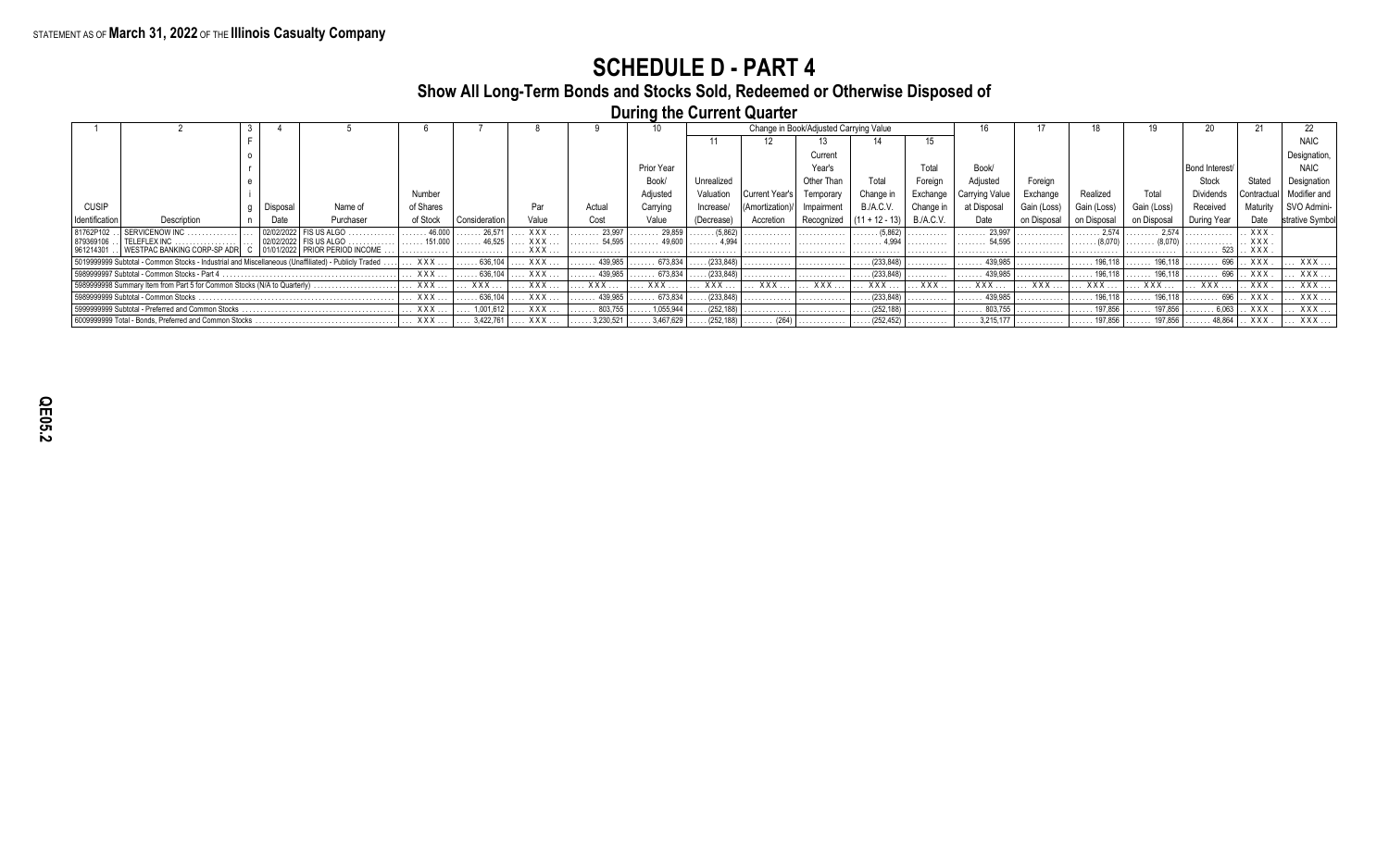#### **Show All Long-Term Bonds and Stocks Sold, Redeemed or Otherwise Disposed of**

**During the Current Quarter**

|                |                                                                                                     |              |                              |           |                         |              |                  |                         |            |                       | Change in Book/Adjusted Carrying Value |                    |           |                         |             |             |                         |                |                   |              |
|----------------|-----------------------------------------------------------------------------------------------------|--------------|------------------------------|-----------|-------------------------|--------------|------------------|-------------------------|------------|-----------------------|----------------------------------------|--------------------|-----------|-------------------------|-------------|-------------|-------------------------|----------------|-------------------|--------------|
|                |                                                                                                     |              |                              |           |                         |              |                  |                         |            |                       |                                        |                    |           |                         |             |             |                         |                |                   |              |
|                |                                                                                                     |              |                              |           |                         |              |                  |                         |            |                       | Current                                |                    |           |                         |             |             |                         |                |                   | Designation  |
|                |                                                                                                     |              |                              |           |                         |              |                  | Prior Year              |            |                       | Year's                                 |                    | Total     | Book/                   |             |             |                         | Bond Interest/ |                   | <b>NAIC</b>  |
|                |                                                                                                     |              |                              |           |                         |              |                  | Book/                   | Unrealized |                       | Other Than                             | Total              | Foreian   | Adjusted                | Foreian     |             |                         | Stock          | Stated            | Designation  |
|                |                                                                                                     |              |                              | Number    |                         |              |                  | Adjusted                | Valuation  |                       | Temporary                              | Change in          | Exchange  | Carrying Value          | Exchange    | Realized    | Total                   | Dividends      | Contractual       | Modifier and |
| <b>CUSIP</b>   |                                                                                                     | Disposal     | Name of                      | of Shares |                         | Par          | Actual           | Carrying                | Increase/  |                       | Impairment                             | <b>B./A.C.V.</b>   | Change in | at Disposal             | Gain (Loss) | Gain (Loss) | Gain (Loss)             | Received       | Maturity          | SVO Admini   |
| Identification | Description                                                                                         | Date         | Purchaser                    | of Stock  | Consideration           | Value        | Cost             | Value                   | Decrease   | Accretion             | Recognized                             | $+12 - 13$         | B.A.C.V.  | Date                    |             | on Disposal | on Disposa              | During Year    |                   |              |
|                |                                                                                                     | 02/02/2022   | US ALGO                      | 46,000    | 26.571                  | <b>XXX</b>   | 23.997           | 29.859                  | (5.862)    |                       |                                        | (5.862)            |           | 23.997                  |             | 2.574       | 2574                    |                | <b>XXX</b>        |              |
| 961214301      | WESTPAC BANKING CORP-SP ADR                                                                         | C 01/01/2022 | <b>I PRIOR PERIOD INCOME</b> |           |                         | x x x<br>XXX |                  |                         |            |                       |                                        |                    |           |                         |             |             |                         | 523 I          | <b>XXX</b><br>XXX |              |
|                | 5019999999 Subtotal - Common Stocks - Industrial and Miscellaneous (Unaffiliated) - Publicly Traded |              |                              | XXX .     | .636,104                | XXX          | 439,985          | 673,834                 | (233, 848) |                       | .                                      | (233,848)          |           | 439.985                 |             | 196.118     | 196,118                 |                | XXX               | $XXX$        |
|                | 5989999997 Subtotal - Common Stocks - Part 4                                                        |              |                              | XXX       | .636,104                | XXX          | $\ldots$ 439,985 | $\ldots 673,834$        | (233, 848) |                       | .                                      | $\ldots$ (233,848) |           | $\ldots$ . 439,985      |             | 196.118     | 196,118                 |                | XXX.              | XXX          |
|                | 5989999998 Summary Item from Part 5 for Common Stocks (N/A to Quarterly).                           |              |                              | XXX.      | XXX                     | XXX          | $XXX$            | XXX                     | XXX.       | XXX                   | XXX                                    | XXX.               | . XXX     | <b>XXX</b> .            | <b>XXX</b>  | XXX         | XXX                     | XXX            | XXX               | $XXX$        |
|                | 5989999999 Subtotal - Common Stocks                                                                 |              |                              | XXX.      | $\ldots \ldots 636,104$ | XXX          | . 439,985        | $\ldots \ldots 673.834$ | (233, 848) |                       | .                                      | (233, 848)         | .         | $\ldots \ldots$ 439,985 |             | 196,118     | 196,118                 | . 696          | XXX               | XXX          |
|                | 5999999999 Subtotal - Preferred and Common Stocks                                                   |              |                              | XXX.      | 1,001,612               | $XXX$        | $\ldots$ 803,755 | 1,055,944               | (252, 188) | .                     | .                                      | (252, 188)         |           | $\ldots \ldots 803,755$ |             | 197.856     | 197.856                 | 6.063          | XXX               | XXX          |
|                | 6009999999 Total - Bonds, Preferred and Common Stocks                                               |              |                              | XXX       | $\ldots$ 3,422,761      | XXX          | 3,230,521        | $\ldots$ . 3,467,629    | (252, 188) | $\ldots \ldots$ (264) |                                        | $\ldots$ (252,452) |           | $\ldots$ . 3,215,177    |             | 197,856     | $\ldots \ldots$ 197,856 | 48,864         | . XXX             | XXX          |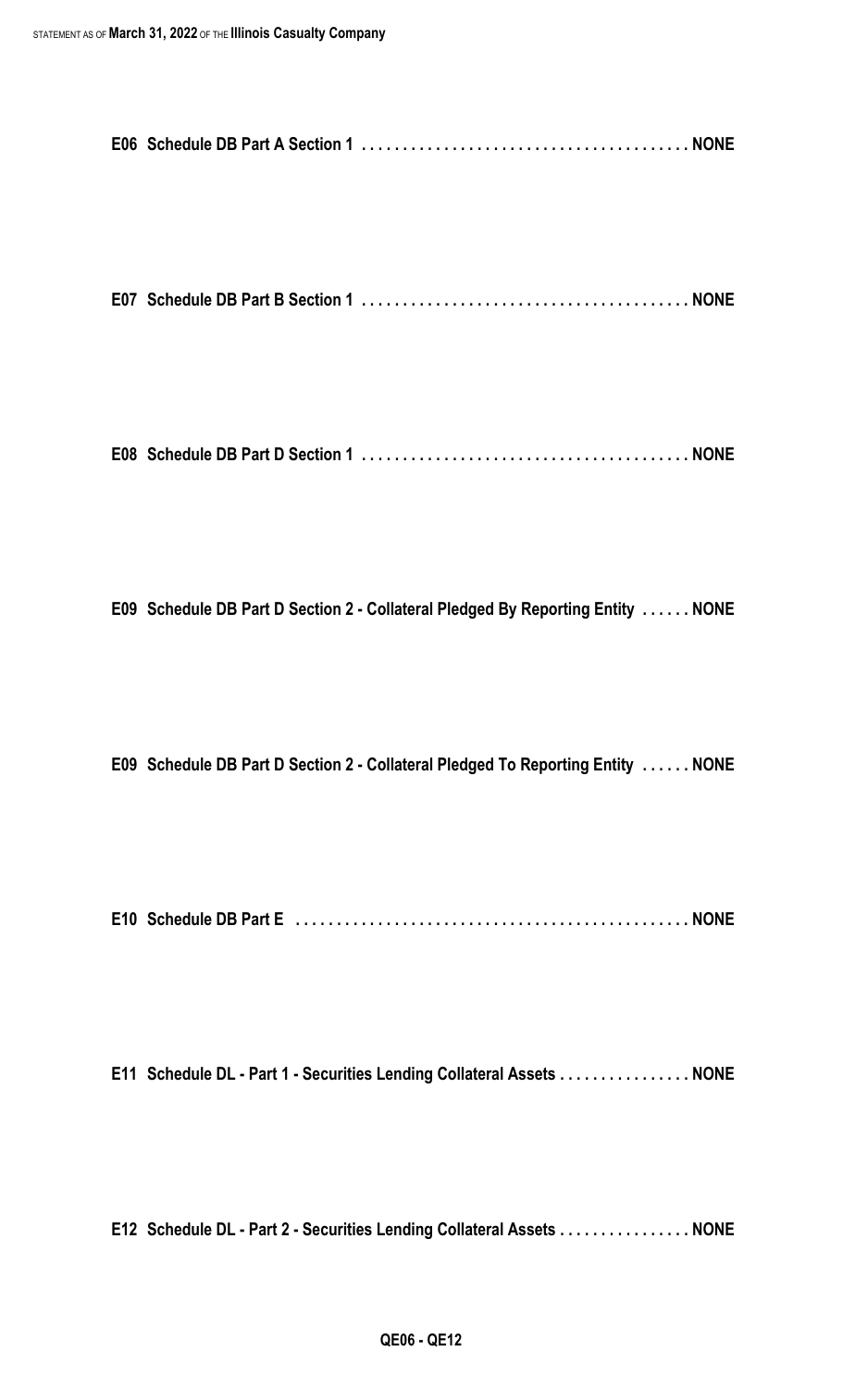|--|--|--|

**E07 Schedule DB Part B Section 1 . . . . . . . . . . . . . . . . . . . . . . . . . . . . . . . . . . . . . . . . NONE**

**E08 Schedule DB Part D Section 1 . . . . . . . . . . . . . . . . . . . . . . . . . . . . . . . . . . . . . . . . NONE**

**E09 Schedule DB Part D Section 2 - Collateral Pledged By Reporting Entity . . . . . . NONE**

**E09 Schedule DB Part D Section 2 - Collateral Pledged To Reporting Entity . . . . . . NONE**

**E10 Schedule DB Part E . . . . . . . . . . . . . . . . . . . . . . . . . . . . . . . . . . . . . . . . . . . . . . . . NONE**

**E11 Schedule DL - Part 1 - Securities Lending Collateral Assets . . . . . . . . . . . . . . . . NONE**

**E12 Schedule DL - Part 2 - Securities Lending Collateral Assets . . . . . . . . . . . . . . . . NONE**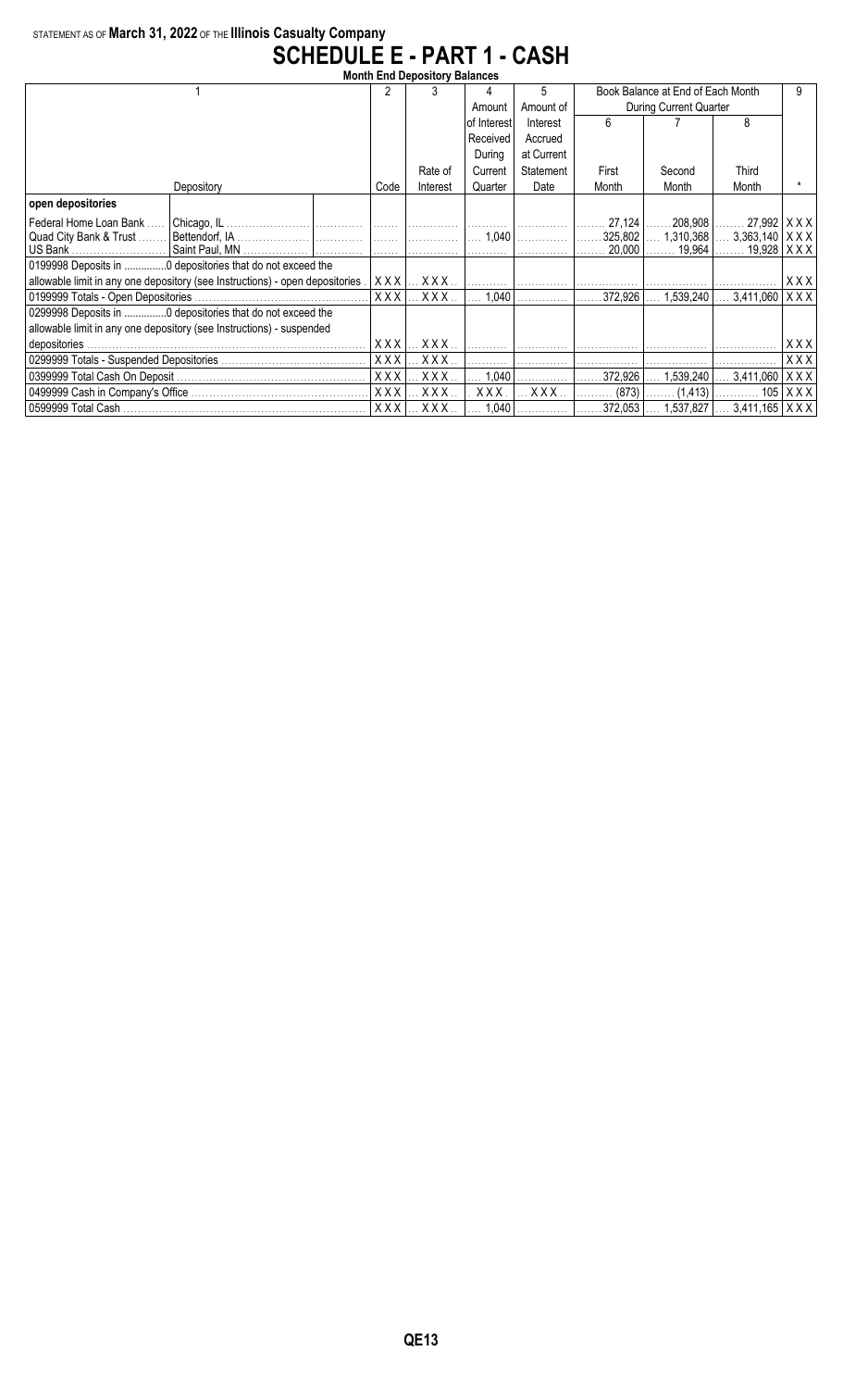### STATEMENT AS OF **March 31, 2022** OF THE **Illinois Casualty Company SCHEDULE E - PART 1 - CASH**

| <b>Month End Depository Balances</b>                                          |            |            |                |            |                                   |                                           |                                   |     |  |
|-------------------------------------------------------------------------------|------------|------------|----------------|------------|-----------------------------------|-------------------------------------------|-----------------------------------|-----|--|
|                                                                               |            |            | 4              | 5          | Book Balance at End of Each Month |                                           |                                   |     |  |
|                                                                               |            |            | Amount         | Amount of  | During Current Quarter            |                                           |                                   |     |  |
|                                                                               |            |            | of Interest    | Interest   | 6                                 |                                           | 8                                 |     |  |
|                                                                               |            |            | Received       | Accrued    |                                   |                                           |                                   |     |  |
|                                                                               |            |            | During         | at Current |                                   |                                           |                                   |     |  |
|                                                                               |            | Rate of    | Current        | Statement  | First                             | Second                                    | <b>Third</b>                      |     |  |
| Depository                                                                    | Code       | Interest   | Quarter        | Date       | Month                             | Month                                     | Month                             |     |  |
| open depositories                                                             |            |            |                |            |                                   |                                           |                                   |     |  |
| Federal Home Loan Bank<br>Chicago, IL.                                        |            |            |                |            |                                   | $27,124$    208,908    27,992   X X X     |                                   |     |  |
| Quad City Bank & Trust                                                        |            |            | $\ldots$ 1,040 |            |                                   | 325,802    1,310,368    3,363,140   X X X |                                   |     |  |
| US Bank                                                                       |            | . 1        |                |            | $20,000$                          |                                           | $19,964$ $19,928$   X X X         |     |  |
| 0199998 Deposits in  0 depositories that do not exceed the                    |            |            |                |            |                                   |                                           |                                   |     |  |
| allowable limit in any one depository (see Instructions) - open depositories. | XXX        | XXX        |                |            |                                   |                                           |                                   | XXX |  |
| 0199999 Totals - Open Depositories.                                           | XXX        | $XXX$      | 1,040          |            | 372,926                           | 1.539.240                                 | $3,411,060$ $\vert$ X X X $\vert$ |     |  |
| 0299998 Deposits in 0 depositories that do not exceed the                     |            |            |                |            |                                   |                                           |                                   |     |  |
| allowable limit in any one depository (see Instructions) - suspended          |            |            |                |            |                                   |                                           |                                   |     |  |
|                                                                               | XXX        | XXX.       |                |            |                                   |                                           |                                   | xxx |  |
|                                                                               | XXX        | XXX.       |                |            |                                   |                                           |                                   | XXX |  |
|                                                                               | <b>XXX</b> | XXX.       | 1,040          |            | 372.926                           | 1,539,240                                 | 3,411,060   X X X                 |     |  |
|                                                                               | XXX        | XXX.       | XXX.           | XXX.       |                                   |                                           |                                   |     |  |
|                                                                               | <b>XXX</b> | <b>XXX</b> | 1,040          |            | $372,053$                         |                                           | $1,537,827$ $3,411,165$   X X X   |     |  |